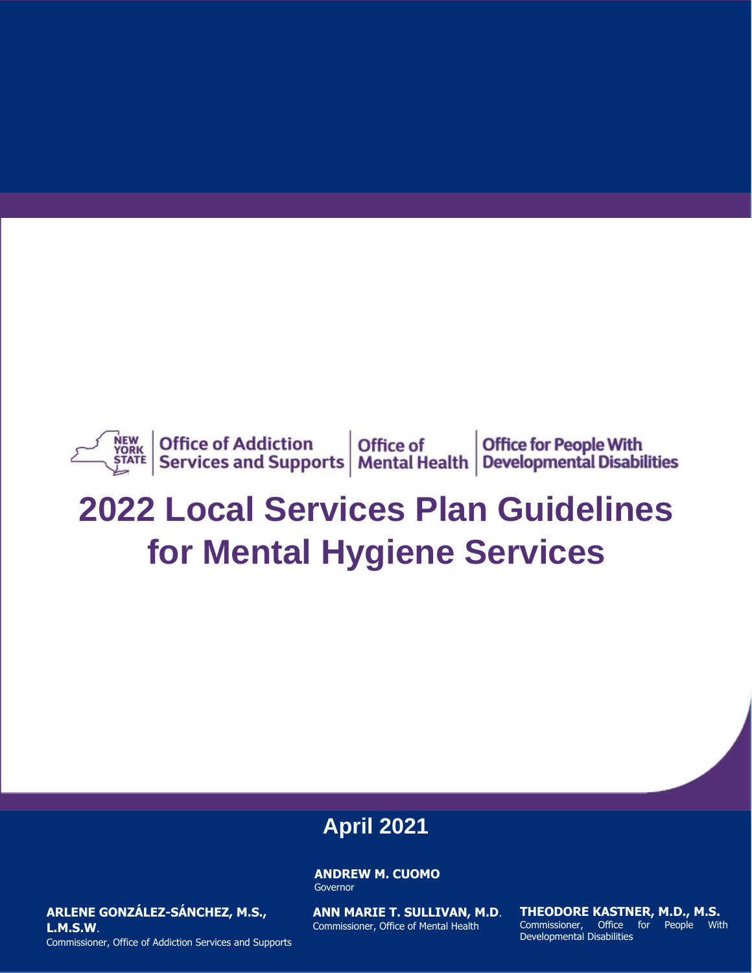

# **2022 Local Services Plan Guidelines for Mental Hygiene Services**

## **April 2021**

**ANDREW M. CUOMO** Governor

**ARLENE GONZÁLEZ-SÁNCHEZ, M.S., L.M.S.W**. Commissioner, Office of Addiction Services and Supports **ANN MARIE T. SULLIVAN, M.D**. Commissioner, Office of Mental Health

**2019 Local Services Plan Guidelines THEODORE KASTNER, M.D., M.S. for MEODORE RASTNER, M.D., M.S.**<br>Commissioner, Office for People With Developmental Disabilities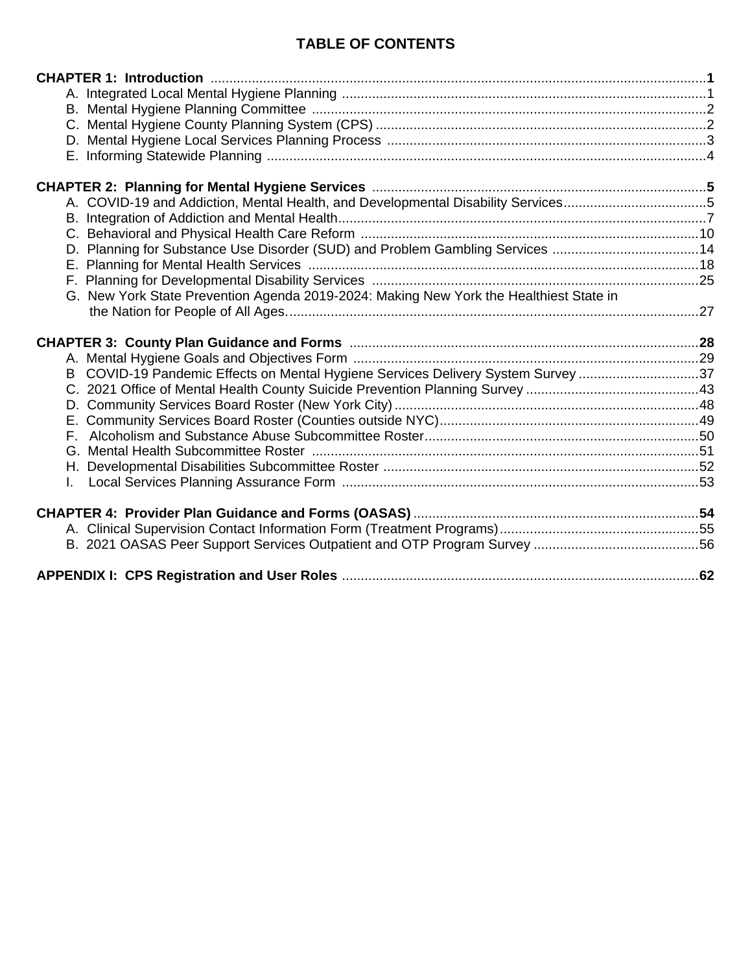## **TABLE OF CONTENTS**

| A. COVID-19 and Addiction, Mental Health, and Developmental Disability Services5       |  |
|----------------------------------------------------------------------------------------|--|
|                                                                                        |  |
|                                                                                        |  |
| D. Planning for Substance Use Disorder (SUD) and Problem Gambling Services 14          |  |
|                                                                                        |  |
|                                                                                        |  |
| G. New York State Prevention Agenda 2019-2024: Making New York the Healthiest State in |  |
|                                                                                        |  |
|                                                                                        |  |
|                                                                                        |  |
|                                                                                        |  |
|                                                                                        |  |
| COVID-19 Pandemic Effects on Mental Hygiene Services Delivery System Survey 37<br>B    |  |
|                                                                                        |  |
|                                                                                        |  |
|                                                                                        |  |
|                                                                                        |  |
|                                                                                        |  |
|                                                                                        |  |
|                                                                                        |  |
|                                                                                        |  |
|                                                                                        |  |
|                                                                                        |  |
|                                                                                        |  |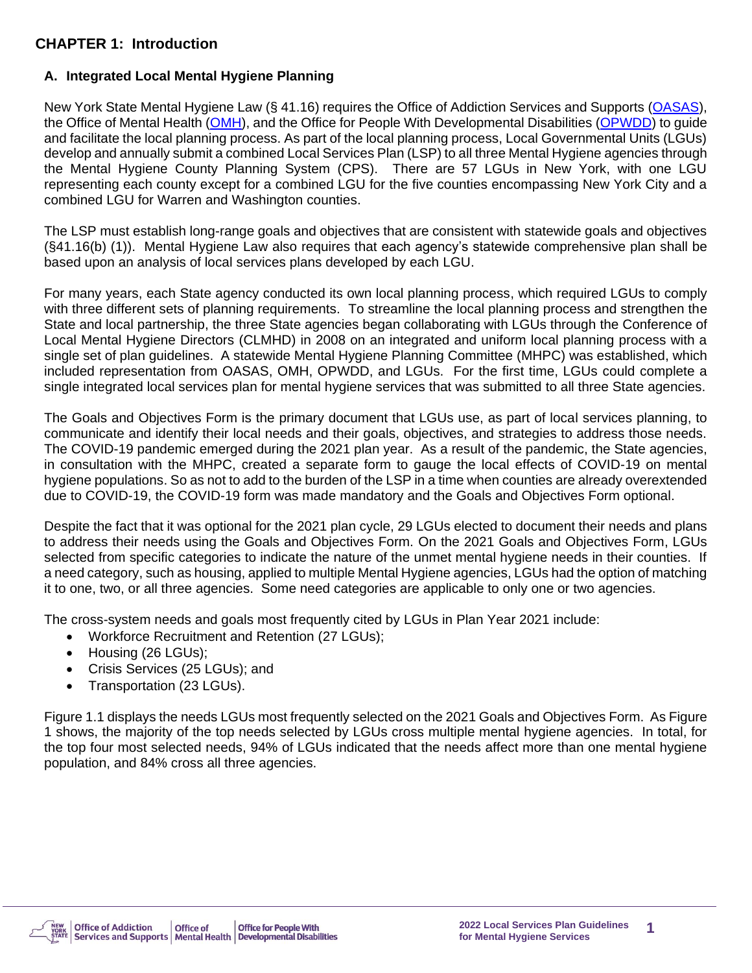## **CHAPTER 1: Introduction**

#### **A. Integrated Local Mental Hygiene Planning**

New York State Mental Hygiene Law (§ 41.16) requires the Office of Addiction Services and Supports [\(OASAS\)](http://www.oasas.ny.gov/), the Office of Mental Health [\(OMH\)](http://www.omh.ny.gov/), and the Office for People With Developmental Disabilities [\(OPWDD\)](http://www.opwdd.ny.gov/) to guide and facilitate the local planning process. As part of the local planning process, Local Governmental Units (LGUs) develop and annually submit a combined Local Services Plan (LSP) to all three Mental Hygiene agencies through the Mental Hygiene County Planning System (CPS). There are 57 LGUs in New York, with one LGU representing each county except for a combined LGU for the five counties encompassing New York City and a combined LGU for Warren and Washington counties.

The LSP must establish long-range goals and objectives that are consistent with statewide goals and objectives (§41.16(b) (1)). Mental Hygiene Law also requires that each agency's statewide comprehensive plan shall be based upon an analysis of local services plans developed by each LGU.

For many years, each State agency conducted its own local planning process, which required LGUs to comply with three different sets of planning requirements. To streamline the local planning process and strengthen the State and local partnership, the three State agencies began collaborating with LGUs through the Conference of Local Mental Hygiene Directors (CLMHD) in 2008 on an integrated and uniform local planning process with a single set of plan guidelines. A statewide Mental Hygiene Planning Committee (MHPC) was established, which included representation from OASAS, OMH, OPWDD, and LGUs. For the first time, LGUs could complete a single integrated local services plan for mental hygiene services that was submitted to all three State agencies.

The Goals and Objectives Form is the primary document that LGUs use, as part of local services planning, to communicate and identify their local needs and their goals, objectives, and strategies to address those needs. The COVID-19 pandemic emerged during the 2021 plan year. As a result of the pandemic, the State agencies, in consultation with the MHPC, created a separate form to gauge the local effects of COVID-19 on mental hygiene populations. So as not to add to the burden of the LSP in a time when counties are already overextended due to COVID-19, the COVID-19 form was made mandatory and the Goals and Objectives Form optional.

Despite the fact that it was optional for the 2021 plan cycle, 29 LGUs elected to document their needs and plans to address their needs using the Goals and Objectives Form. On the 2021 Goals and Objectives Form, LGUs selected from specific categories to indicate the nature of the unmet mental hygiene needs in their counties. If a need category, such as housing, applied to multiple Mental Hygiene agencies, LGUs had the option of matching it to one, two, or all three agencies. Some need categories are applicable to only one or two agencies.

The cross-system needs and goals most frequently cited by LGUs in Plan Year 2021 include:

- Workforce Recruitment and Retention (27 LGUs);
- Housing (26 LGUs);
- Crisis Services (25 LGUs); and
- Transportation (23 LGUs).

Figure 1.1 displays the needs LGUs most frequently selected on the 2021 Goals and Objectives Form. As Figure 1 shows, the majority of the top needs selected by LGUs cross multiple mental hygiene agencies. In total, for the top four most selected needs, 94% of LGUs indicated that the needs affect more than one mental hygiene population, and 84% cross all three agencies.

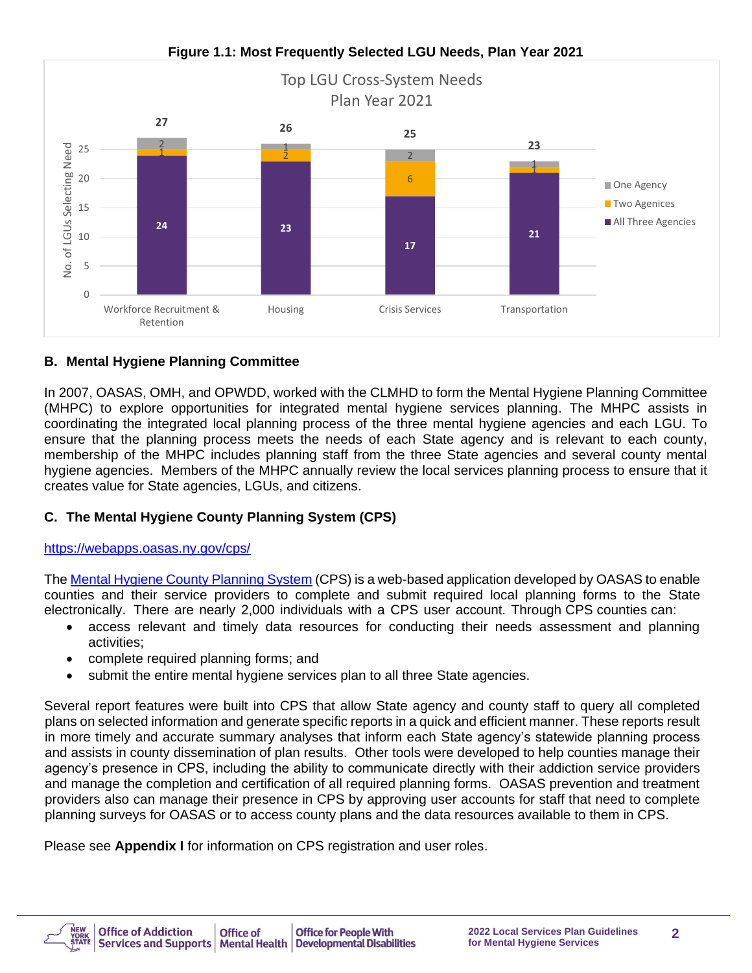

#### **Figure 1.1: Most Frequently Selected LGU Needs, Plan Year 2021**

## **B. Mental Hygiene Planning Committee**

In 2007, OASAS, OMH, and OPWDD, worked with the CLMHD to form the Mental Hygiene Planning Committee (MHPC) to explore opportunities for integrated mental hygiene services planning. The MHPC assists in coordinating the integrated local planning process of the three mental hygiene agencies and each LGU. To ensure that the planning process meets the needs of each State agency and is relevant to each county, membership of the MHPC includes planning staff from the three State agencies and several county mental hygiene agencies. Members of the MHPC annually review the local services planning process to ensure that it creates value for State agencies, LGUs, and citizens.

## **C. The Mental Hygiene County Planning System (CPS)**

<https://webapps.oasas.ny.gov/cps/>

The [Mental Hygiene County Planning System](https://webapps.oasas.ny.gov/cps/) (CPS) is a web-based application developed by OASAS to enable counties and their service providers to complete and submit required local planning forms to the State electronically. There are nearly 2,000 individuals with a CPS user account. Through CPS counties can:

- access relevant and timely data resources for conducting their needs assessment and planning activities;
- complete required planning forms; and
- submit the entire mental hygiene services plan to all three State agencies.

Several report features were built into CPS that allow State agency and county staff to query all completed plans on selected information and generate specific reports in a quick and efficient manner. These reports result in more timely and accurate summary analyses that inform each State agency's statewide planning process and assists in county dissemination of plan results. Other tools were developed to help counties manage their agency's presence in CPS, including the ability to communicate directly with their addiction service providers and manage the completion and certification of all required planning forms. OASAS prevention and treatment providers also can manage their presence in CPS by approving user accounts for staff that need to complete planning surveys for OASAS or to access county plans and the data resources available to them in CPS.

Please see **Appendix I** for information on CPS registration and user roles.

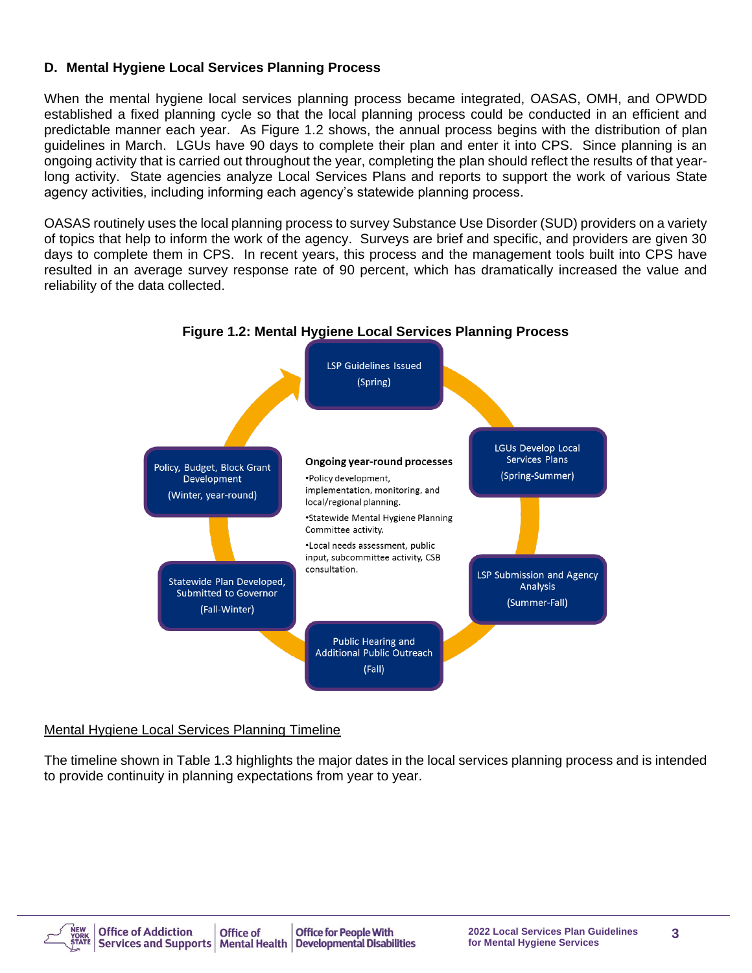## **D. Mental Hygiene Local Services Planning Process**

When the mental hygiene local services planning process became integrated, OASAS, OMH, and OPWDD established a fixed planning cycle so that the local planning process could be conducted in an efficient and predictable manner each year. As Figure 1.2 shows, the annual process begins with the distribution of plan guidelines in March. LGUs have 90 days to complete their plan and enter it into CPS. Since planning is an ongoing activity that is carried out throughout the year, completing the plan should reflect the results of that yearlong activity. State agencies analyze Local Services Plans and reports to support the work of various State agency activities, including informing each agency's statewide planning process.

OASAS routinely uses the local planning process to survey Substance Use Disorder (SUD) providers on a variety of topics that help to inform the work of the agency. Surveys are brief and specific, and providers are given 30 days to complete them in CPS. In recent years, this process and the management tools built into CPS have resulted in an average survey response rate of 90 percent, which has dramatically increased the value and reliability of the data collected.



#### **Figure 1.2: Mental Hygiene Local Services Planning Process**

Mental Hygiene Local Services Planning Timeline

The timeline shown in Table 1.3 highlights the major dates in the local services planning process and is intended to provide continuity in planning expectations from year to year.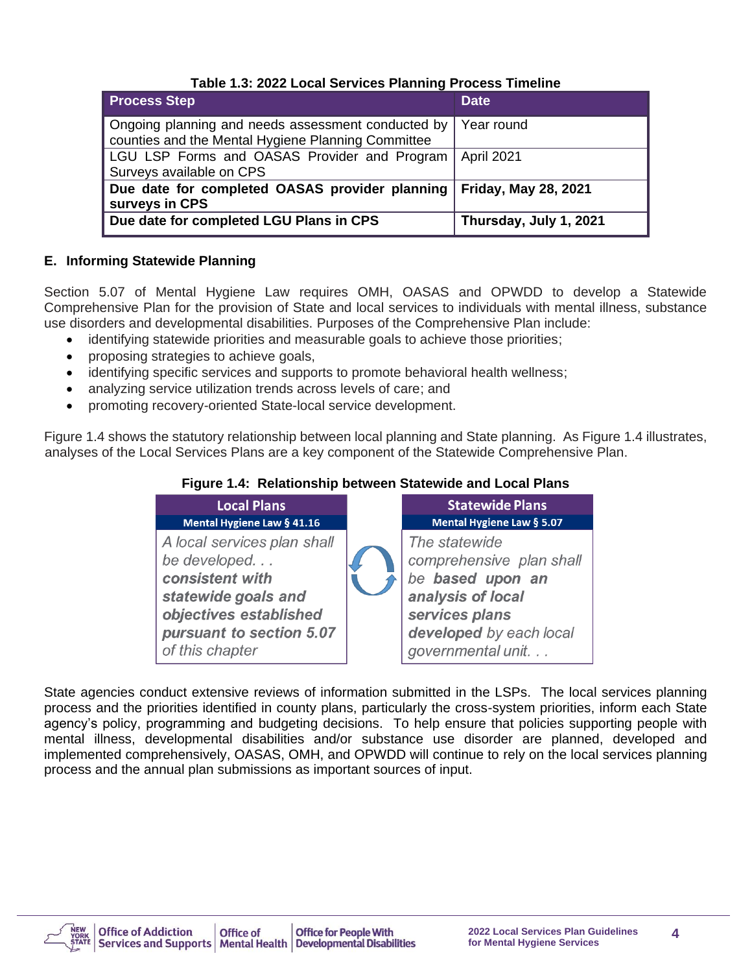| <b>Process Step</b>                                                                                      | <b>Date</b>                 |
|----------------------------------------------------------------------------------------------------------|-----------------------------|
| Ongoing planning and needs assessment conducted by<br>counties and the Mental Hygiene Planning Committee | Year round                  |
| LGU LSP Forms and OASAS Provider and Program<br>Surveys available on CPS                                 | April 2021                  |
| Due date for completed OASAS provider planning<br>surveys in CPS                                         | <b>Friday, May 28, 2021</b> |
| Due date for completed LGU Plans in CPS                                                                  | Thursday, July 1, 2021      |

#### **E. Informing Statewide Planning**

Section 5.07 of Mental Hygiene Law requires OMH, OASAS and OPWDD to develop a Statewide Comprehensive Plan for the provision of State and local services to individuals with mental illness, substance use disorders and developmental disabilities. Purposes of the Comprehensive Plan include:

- identifying statewide priorities and measurable goals to achieve those priorities;
- proposing strategies to achieve goals,
- identifying specific services and supports to promote behavioral health wellness;
- analyzing service utilization trends across levels of care; and
- promoting recovery-oriented State-local service development.

Figure 1.4 shows the statutory relationship between local planning and State planning. As Figure 1.4 illustrates, analyses of the Local Services Plans are a key component of the Statewide Comprehensive Plan.



#### **Figure 1.4: Relationship between Statewide and Local Plans**

State agencies conduct extensive reviews of information submitted in the LSPs. The local services planning process and the priorities identified in county plans, particularly the cross-system priorities, inform each State agency's policy, programming and budgeting decisions. To help ensure that policies supporting people with mental illness, developmental disabilities and/or substance use disorder are planned, developed and implemented comprehensively, OASAS, OMH, and OPWDD will continue to rely on the local services planning process and the annual plan submissions as important sources of input.

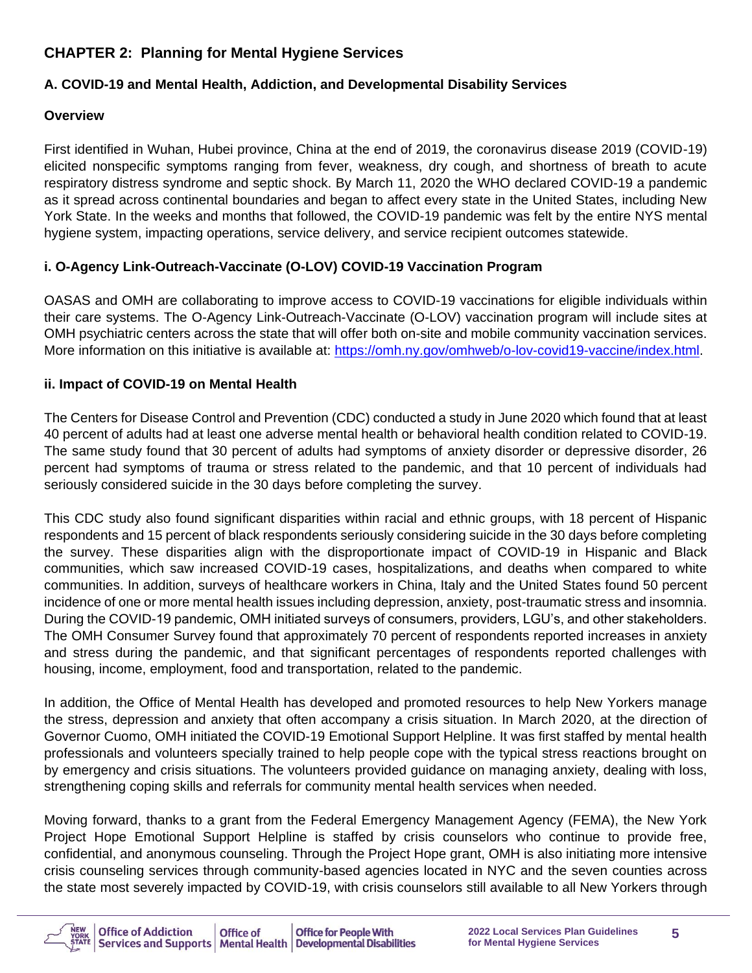## **CHAPTER 2: Planning for Mental Hygiene Services**

## **A. COVID-19 and Mental Health, Addiction, and Developmental Disability Services**

## **Overview**

First identified in Wuhan, Hubei province, China at the end of 2019, the coronavirus disease 2019 (COVID-19) elicited nonspecific symptoms ranging from fever, weakness, dry cough, and shortness of breath to acute respiratory distress syndrome and septic shock. By March 11, 2020 the WHO declared COVID-19 a pandemic as it spread across continental boundaries and began to affect every state in the United States, including New York State. In the weeks and months that followed, the COVID-19 pandemic was felt by the entire NYS mental hygiene system, impacting operations, service delivery, and service recipient outcomes statewide.

## **i. O-Agency Link-Outreach-Vaccinate (O-LOV) COVID-19 Vaccination Program**

OASAS and OMH are collaborating to improve access to COVID-19 vaccinations for eligible individuals within their care systems. The O-Agency Link-Outreach-Vaccinate (O-LOV) vaccination program will include sites at OMH psychiatric centers across the state that will offer both on-site and mobile community vaccination services. More information on this initiative is available at: [https://omh.ny.gov/omhweb/o-lov-covid19-vaccine/index.html.](https://omh.ny.gov/omhweb/o-lov-covid19-vaccine/index.html)

## **ii. Impact of COVID-19 on Mental Health**

The Centers for Disease Control and Prevention (CDC) conducted a study in June 2020 which found that at least 40 percent of adults had at least one adverse mental health or behavioral health condition related to COVID-19. The same study found that 30 percent of adults had symptoms of anxiety disorder or depressive disorder, 26 percent had symptoms of trauma or stress related to the pandemic, and that 10 percent of individuals had seriously considered suicide in the 30 days before completing the survey.

This CDC study also found significant disparities within racial and ethnic groups, with 18 percent of Hispanic respondents and 15 percent of black respondents seriously considering suicide in the 30 days before completing the survey. These disparities align with the disproportionate impact of COVID-19 in Hispanic and Black communities, which saw increased COVID-19 cases, hospitalizations, and deaths when compared to white communities. In addition, surveys of healthcare workers in China, Italy and the United States found 50 percent incidence of one or more mental health issues including depression, anxiety, post-traumatic stress and insomnia. During the COVID-19 pandemic, OMH initiated surveys of consumers, providers, LGU's, and other stakeholders. The OMH Consumer Survey found that approximately 70 percent of respondents reported increases in anxiety and stress during the pandemic, and that significant percentages of respondents reported challenges with housing, income, employment, food and transportation, related to the pandemic.

In addition, the Office of Mental Health has developed and promoted resources to help New Yorkers manage the stress, depression and anxiety that often accompany a crisis situation. In March 2020, at the direction of Governor Cuomo, OMH initiated the COVID-19 Emotional Support Helpline. It was first staffed by mental health professionals and volunteers specially trained to help people cope with the typical stress reactions brought on by emergency and crisis situations. The volunteers provided guidance on managing anxiety, dealing with loss, strengthening coping skills and referrals for community mental health services when needed.

Moving forward, thanks to a grant from the Federal Emergency Management Agency (FEMA), the New York Project Hope Emotional Support Helpline is staffed by crisis counselors who continue to provide free, confidential, and anonymous counseling. Through the Project Hope grant, OMH is also initiating more intensive crisis counseling services through community-based agencies located in NYC and the seven counties across the state most severely impacted by COVID-19, with crisis counselors still available to all New Yorkers through

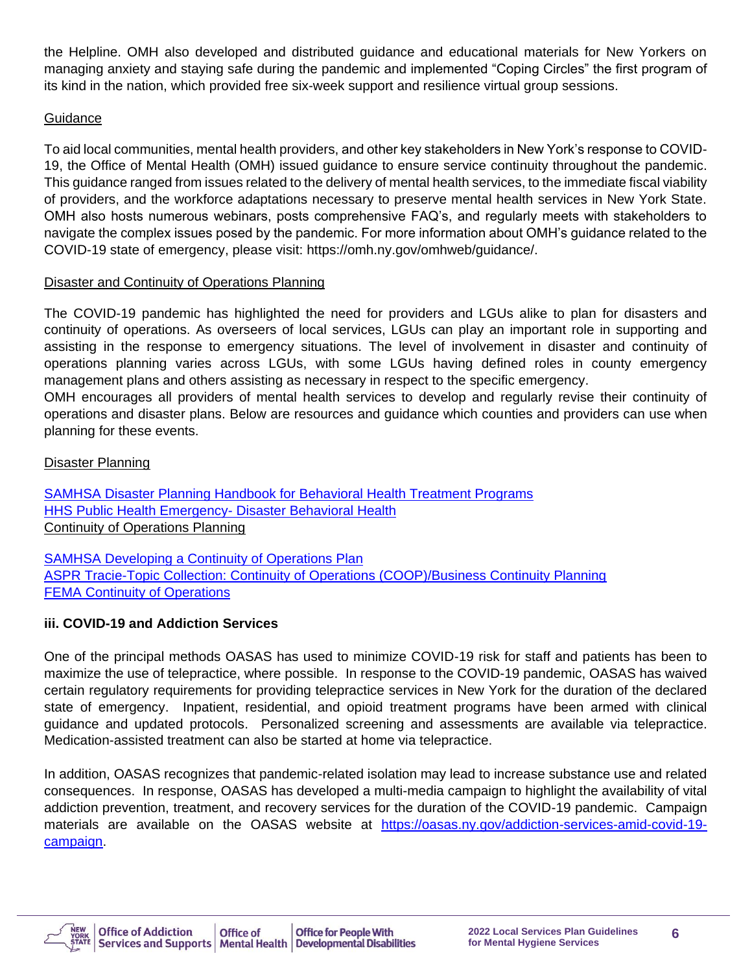the Helpline. OMH also developed and distributed guidance and educational materials for New Yorkers on managing anxiety and staying safe during the pandemic and implemented "Coping Circles" the first program of its kind in the nation, which provided free six-week support and resilience virtual group sessions.

## **Guidance**

To aid local communities, mental health providers, and other key stakeholders in New York's response to COVID-19, the Office of Mental Health (OMH) issued guidance to ensure service continuity throughout the pandemic. This guidance ranged from issues related to the delivery of mental health services, to the immediate fiscal viability of providers, and the workforce adaptations necessary to preserve mental health services in New York State. OMH also hosts numerous webinars, posts comprehensive FAQ's, and regularly meets with stakeholders to navigate the complex issues posed by the pandemic. For more information about OMH's guidance related to the COVID-19 state of emergency, please visit: https://omh.ny.gov/omhweb/guidance/.

## Disaster and Continuity of Operations Planning

The COVID-19 pandemic has highlighted the need for providers and LGUs alike to plan for disasters and continuity of operations. As overseers of local services, LGUs can play an important role in supporting and assisting in the response to emergency situations. The level of involvement in disaster and continuity of operations planning varies across LGUs, with some LGUs having defined roles in county emergency management plans and others assisting as necessary in respect to the specific emergency.

OMH encourages all providers of mental health services to develop and regularly revise their continuity of operations and disaster plans. Below are resources and guidance which counties and providers can use when planning for these events.

## Disaster Planning

[SAMHSA Disaster Planning Handbook for Behavioral Health Treatment Programs](https://store.samhsa.gov/sites/default/files/d7/priv/sma13-4779.pdf) [HHS Public Health Emergency-](https://www.phe.gov/Preparedness/planning/abc/Pages/disaster-behavioral.aspx) Disaster Behavioral Health Continuity of Operations Planning

[SAMHSA Developing a Continuity of Operations Plan](https://www.samhsa.gov/section-223/governance-oversight/continuity-operations-plan) [ASPR Tracie-Topic Collection: Continuity of Operations \(COOP\)/Business Continuity Planning](https://asprtracie.hhs.gov/technical-resources/17/continuity-of-operations-coop-business-continuity-planning/110) **[FEMA Continuity of Operations](https://www.fema.gov/about/offices/continuity)** 

## **iii. COVID-19 and Addiction Services**

One of the principal methods OASAS has used to minimize COVID-19 risk for staff and patients has been to maximize the use of telepractice, where possible. In response to the COVID-19 pandemic, OASAS has waived certain regulatory requirements for providing telepractice services in New York for the duration of the declared state of emergency. Inpatient, residential, and opioid treatment programs have been armed with clinical guidance and updated protocols. Personalized screening and assessments are available via telepractice. Medication-assisted treatment can also be started at home via telepractice.

In addition, OASAS recognizes that pandemic-related isolation may lead to increase substance use and related consequences. In response, OASAS has developed a multi-media campaign to highlight the availability of vital addiction prevention, treatment, and recovery services for the duration of the COVID-19 pandemic. Campaign materials are available on the OASAS website at [https://oasas.ny.gov/addiction-services-amid-covid-19](https://oasas.ny.gov/addiction-services-amid-covid-19-campaign) [campaign.](https://oasas.ny.gov/addiction-services-amid-covid-19-campaign)

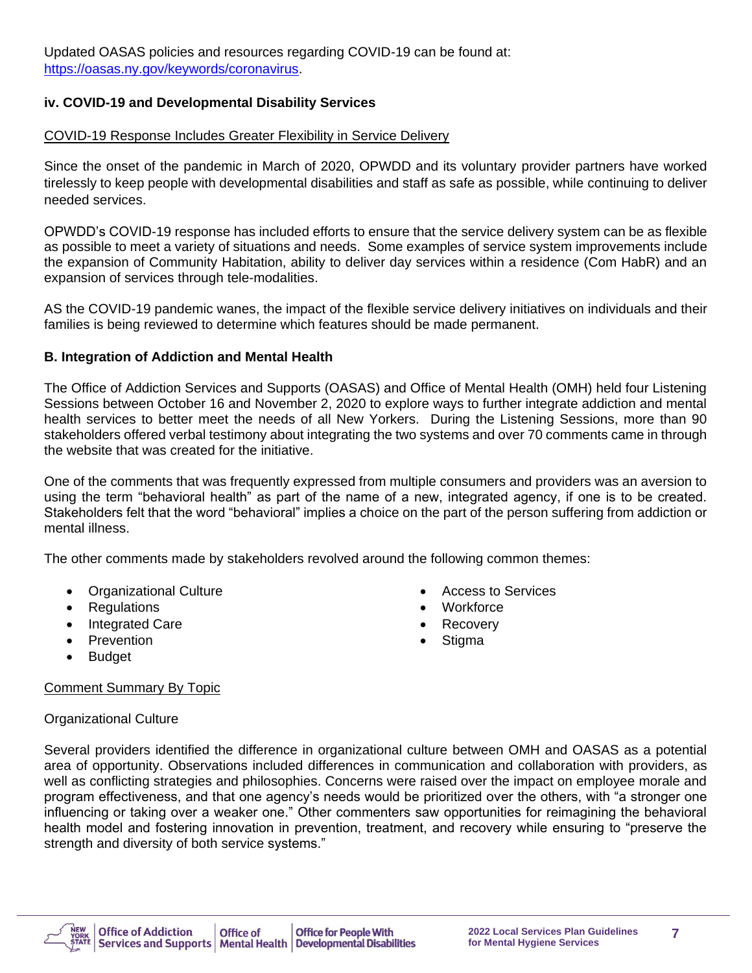## **iv. COVID-19 and Developmental Disability Services**

#### COVID-19 Response Includes Greater Flexibility in Service Delivery

Since the onset of the pandemic in March of 2020, OPWDD and its voluntary provider partners have worked tirelessly to keep people with developmental disabilities and staff as safe as possible, while continuing to deliver needed services.

OPWDD's COVID-19 response has included efforts to ensure that the service delivery system can be as flexible as possible to meet a variety of situations and needs. Some examples of service system improvements include the expansion of Community Habitation, ability to deliver day services within a residence (Com HabR) and an expansion of services through tele-modalities.

AS the COVID-19 pandemic wanes, the impact of the flexible service delivery initiatives on individuals and their families is being reviewed to determine which features should be made permanent.

#### **B. Integration of Addiction and Mental Health**

The Office of Addiction Services and Supports (OASAS) and Office of Mental Health (OMH) held four Listening Sessions between October 16 and November 2, 2020 to explore ways to further integrate addiction and mental health services to better meet the needs of all New Yorkers. During the Listening Sessions, more than 90 stakeholders offered verbal testimony about integrating the two systems and over 70 comments came in through the website that was created for the initiative.

One of the comments that was frequently expressed from multiple consumers and providers was an aversion to using the term "behavioral health" as part of the name of a new, integrated agency, if one is to be created. Stakeholders felt that the word "behavioral" implies a choice on the part of the person suffering from addiction or mental illness.

The other comments made by stakeholders revolved around the following common themes:

- Organizational Culture
- **Regulations**
- Integrated Care
- Prevention

• Workforce

• Access to Services

- **Recovery**
- **Stigma**

**Budget** 

#### Comment Summary By Topic

#### Organizational Culture

Several providers identified the difference in organizational culture between OMH and OASAS as a potential area of opportunity. Observations included differences in communication and collaboration with providers, as well as conflicting strategies and philosophies. Concerns were raised over the impact on employee morale and program effectiveness, and that one agency's needs would be prioritized over the others, with "a stronger one influencing or taking over a weaker one." Other commenters saw opportunities for reimagining the behavioral health model and fostering innovation in prevention, treatment, and recovery while ensuring to "preserve the strength and diversity of both service systems."

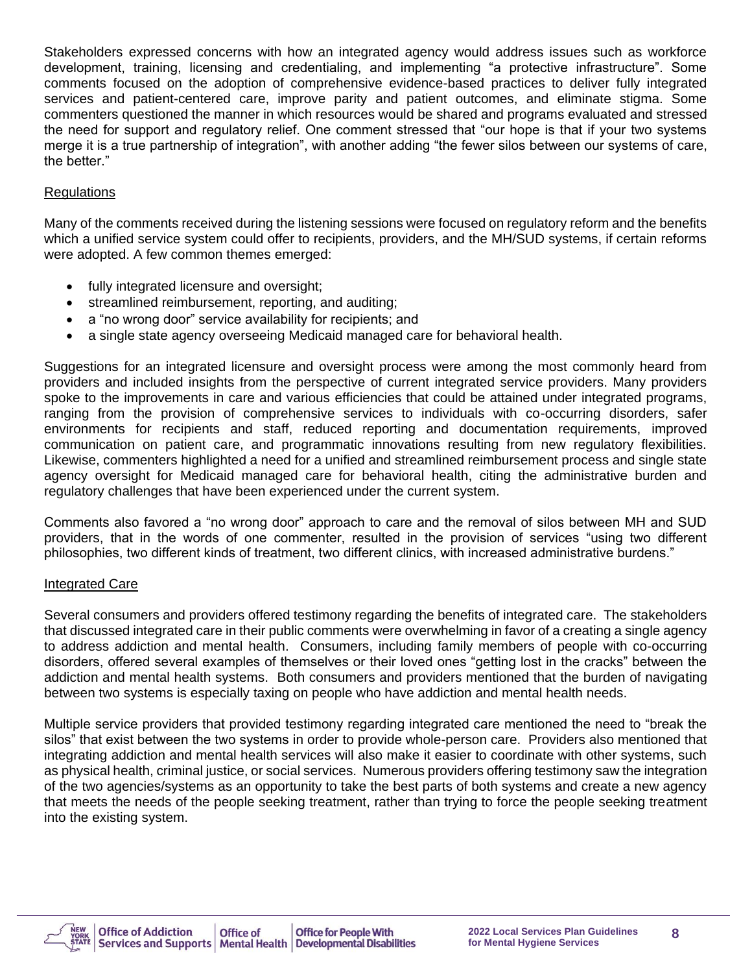Stakeholders expressed concerns with how an integrated agency would address issues such as workforce development, training, licensing and credentialing, and implementing "a protective infrastructure". Some comments focused on the adoption of comprehensive evidence-based practices to deliver fully integrated services and patient-centered care, improve parity and patient outcomes, and eliminate stigma. Some commenters questioned the manner in which resources would be shared and programs evaluated and stressed the need for support and regulatory relief. One comment stressed that "our hope is that if your two systems merge it is a true partnership of integration", with another adding "the fewer silos between our systems of care, the better."

#### Regulations

Many of the comments received during the listening sessions were focused on regulatory reform and the benefits which a unified service system could offer to recipients, providers, and the MH/SUD systems, if certain reforms were adopted. A few common themes emerged:

- fully integrated licensure and oversight;
- streamlined reimbursement, reporting, and auditing;
- a "no wrong door" service availability for recipients; and
- a single state agency overseeing Medicaid managed care for behavioral health.

Suggestions for an integrated licensure and oversight process were among the most commonly heard from providers and included insights from the perspective of current integrated service providers. Many providers spoke to the improvements in care and various efficiencies that could be attained under integrated programs, ranging from the provision of comprehensive services to individuals with co-occurring disorders, safer environments for recipients and staff, reduced reporting and documentation requirements, improved communication on patient care, and programmatic innovations resulting from new regulatory flexibilities. Likewise, commenters highlighted a need for a unified and streamlined reimbursement process and single state agency oversight for Medicaid managed care for behavioral health, citing the administrative burden and regulatory challenges that have been experienced under the current system.

Comments also favored a "no wrong door" approach to care and the removal of silos between MH and SUD providers, that in the words of one commenter, resulted in the provision of services "using two different philosophies, two different kinds of treatment, two different clinics, with increased administrative burdens."

#### Integrated Care

Several consumers and providers offered testimony regarding the benefits of integrated care. The stakeholders that discussed integrated care in their public comments were overwhelming in favor of a creating a single agency to address addiction and mental health. Consumers, including family members of people with co-occurring disorders, offered several examples of themselves or their loved ones "getting lost in the cracks" between the addiction and mental health systems. Both consumers and providers mentioned that the burden of navigating between two systems is especially taxing on people who have addiction and mental health needs.

Multiple service providers that provided testimony regarding integrated care mentioned the need to "break the silos" that exist between the two systems in order to provide whole-person care. Providers also mentioned that integrating addiction and mental health services will also make it easier to coordinate with other systems, such as physical health, criminal justice, or social services. Numerous providers offering testimony saw the integration of the two agencies/systems as an opportunity to take the best parts of both systems and create a new agency that meets the needs of the people seeking treatment, rather than trying to force the people seeking treatment into the existing system.

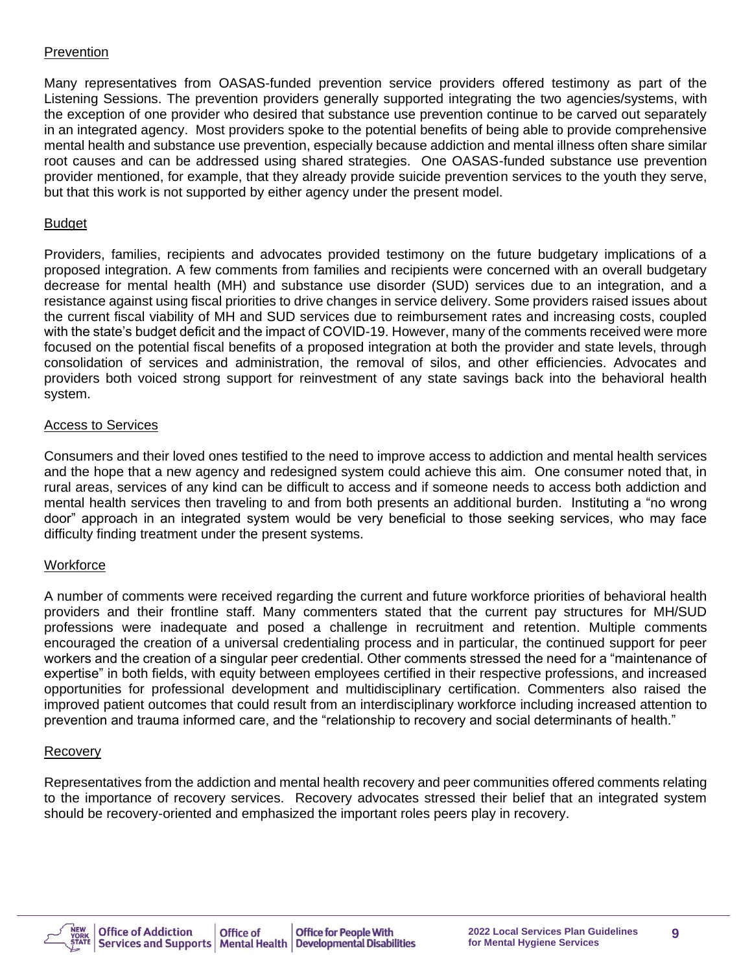#### **Prevention**

Many representatives from OASAS-funded prevention service providers offered testimony as part of the Listening Sessions. The prevention providers generally supported integrating the two agencies/systems, with the exception of one provider who desired that substance use prevention continue to be carved out separately in an integrated agency. Most providers spoke to the potential benefits of being able to provide comprehensive mental health and substance use prevention, especially because addiction and mental illness often share similar root causes and can be addressed using shared strategies. One OASAS-funded substance use prevention provider mentioned, for example, that they already provide suicide prevention services to the youth they serve, but that this work is not supported by either agency under the present model.

#### Budget

Providers, families, recipients and advocates provided testimony on the future budgetary implications of a proposed integration. A few comments from families and recipients were concerned with an overall budgetary decrease for mental health (MH) and substance use disorder (SUD) services due to an integration, and a resistance against using fiscal priorities to drive changes in service delivery. Some providers raised issues about the current fiscal viability of MH and SUD services due to reimbursement rates and increasing costs, coupled with the state's budget deficit and the impact of COVID-19. However, many of the comments received were more focused on the potential fiscal benefits of a proposed integration at both the provider and state levels, through consolidation of services and administration, the removal of silos, and other efficiencies. Advocates and providers both voiced strong support for reinvestment of any state savings back into the behavioral health system.

#### Access to Services

Consumers and their loved ones testified to the need to improve access to addiction and mental health services and the hope that a new agency and redesigned system could achieve this aim. One consumer noted that, in rural areas, services of any kind can be difficult to access and if someone needs to access both addiction and mental health services then traveling to and from both presents an additional burden. Instituting a "no wrong door" approach in an integrated system would be very beneficial to those seeking services, who may face difficulty finding treatment under the present systems.

#### **Workforce**

A number of comments were received regarding the current and future workforce priorities of behavioral health providers and their frontline staff. Many commenters stated that the current pay structures for MH/SUD professions were inadequate and posed a challenge in recruitment and retention. Multiple comments encouraged the creation of a universal credentialing process and in particular, the continued support for peer workers and the creation of a singular peer credential. Other comments stressed the need for a "maintenance of expertise" in both fields, with equity between employees certified in their respective professions, and increased opportunities for professional development and multidisciplinary certification. Commenters also raised the improved patient outcomes that could result from an interdisciplinary workforce including increased attention to prevention and trauma informed care, and the "relationship to recovery and social determinants of health."

#### Recovery

Representatives from the addiction and mental health recovery and peer communities offered comments relating to the importance of recovery services. Recovery advocates stressed their belief that an integrated system should be recovery-oriented and emphasized the important roles peers play in recovery.

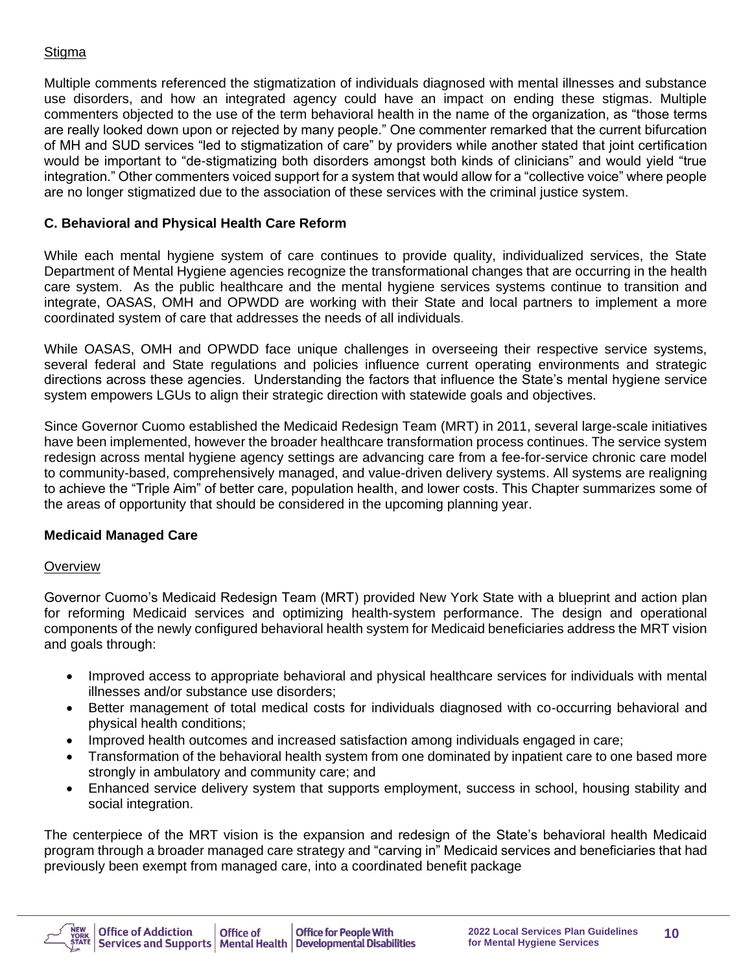#### Stigma

Multiple comments referenced the stigmatization of individuals diagnosed with mental illnesses and substance use disorders, and how an integrated agency could have an impact on ending these stigmas. Multiple commenters objected to the use of the term behavioral health in the name of the organization, as "those terms are really looked down upon or rejected by many people." One commenter remarked that the current bifurcation of MH and SUD services "led to stigmatization of care" by providers while another stated that joint certification would be important to "de-stigmatizing both disorders amongst both kinds of clinicians" and would yield "true integration." Other commenters voiced support for a system that would allow for a "collective voice" where people are no longer stigmatized due to the association of these services with the criminal justice system.

#### **C. Behavioral and Physical Health Care Reform**

While each mental hygiene system of care continues to provide quality, individualized services, the State Department of Mental Hygiene agencies recognize the transformational changes that are occurring in the health care system. As the public healthcare and the mental hygiene services systems continue to transition and integrate, OASAS, OMH and OPWDD are working with their State and local partners to implement a more coordinated system of care that addresses the needs of all individuals*.*

While OASAS, OMH and OPWDD face unique challenges in overseeing their respective service systems, several federal and State regulations and policies influence current operating environments and strategic directions across these agencies. Understanding the factors that influence the State's mental hygiene service system empowers LGUs to align their strategic direction with statewide goals and objectives.

Since Governor Cuomo established the Medicaid Redesign Team (MRT) in 2011, several large-scale initiatives have been implemented, however the broader healthcare transformation process continues. The service system redesign across mental hygiene agency settings are advancing care from a fee-for-service chronic care model to community-based, comprehensively managed, and value-driven delivery systems. All systems are realigning to achieve the "Triple Aim" of better care, population health, and lower costs. This Chapter summarizes some of the areas of opportunity that should be considered in the upcoming planning year.

#### **Medicaid Managed Care**

#### **Overview**

Governor Cuomo's Medicaid Redesign Team (MRT) provided New York State with a blueprint and action plan for reforming Medicaid services and optimizing health-system performance. The design and operational components of the newly configured behavioral health system for Medicaid beneficiaries address the MRT vision and goals through:

- Improved access to appropriate behavioral and physical healthcare services for individuals with mental illnesses and/or substance use disorders;
- Better management of total medical costs for individuals diagnosed with co-occurring behavioral and physical health conditions;
- Improved health outcomes and increased satisfaction among individuals engaged in care;
- Transformation of the behavioral health system from one dominated by inpatient care to one based more strongly in ambulatory and community care; and
- Enhanced service delivery system that supports employment, success in school, housing stability and social integration.

The centerpiece of the MRT vision is the expansion and redesign of the State's behavioral health Medicaid program through a broader managed care strategy and "carving in" Medicaid services and beneficiaries that had previously been exempt from managed care, into a coordinated benefit package

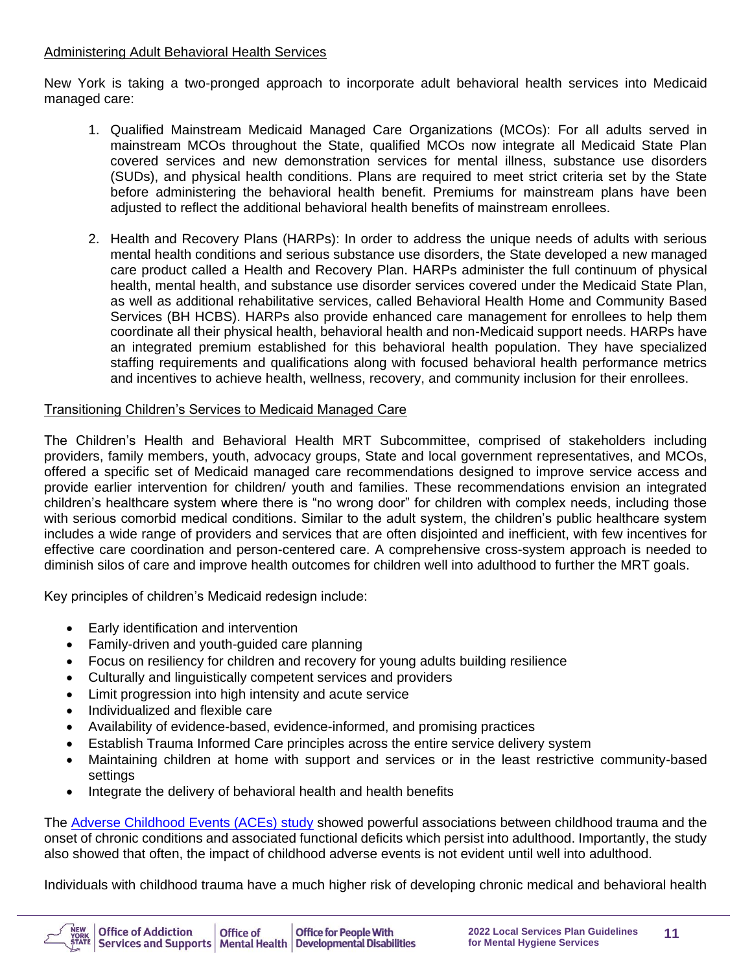#### Administering Adult Behavioral Health Services

New York is taking a two-pronged approach to incorporate adult behavioral health services into Medicaid managed care:

- 1. Qualified Mainstream Medicaid Managed Care Organizations (MCOs): For all adults served in mainstream MCOs throughout the State, qualified MCOs now integrate all Medicaid State Plan covered services and new demonstration services for mental illness, substance use disorders (SUDs), and physical health conditions. Plans are required to meet strict criteria set by the State before administering the behavioral health benefit. Premiums for mainstream plans have been adjusted to reflect the additional behavioral health benefits of mainstream enrollees.
- 2. Health and Recovery Plans (HARPs): In order to address the unique needs of adults with serious mental health conditions and serious substance use disorders, the State developed a new managed care product called a Health and Recovery Plan. HARPs administer the full continuum of physical health, mental health, and substance use disorder services covered under the Medicaid State Plan, as well as additional rehabilitative services, called Behavioral Health Home and Community Based Services (BH HCBS). HARPs also provide enhanced care management for enrollees to help them coordinate all their physical health, behavioral health and non-Medicaid support needs. HARPs have an integrated premium established for this behavioral health population. They have specialized staffing requirements and qualifications along with focused behavioral health performance metrics and incentives to achieve health, wellness, recovery, and community inclusion for their enrollees.

## Transitioning Children's Services to Medicaid Managed Care

The Children's Health and Behavioral Health MRT Subcommittee, comprised of stakeholders including providers, family members, youth, advocacy groups, State and local government representatives, and MCOs, offered a specific set of Medicaid managed care recommendations designed to improve service access and provide earlier intervention for children/ youth and families. These recommendations envision an integrated children's healthcare system where there is "no wrong door" for children with complex needs, including those with serious comorbid medical conditions. Similar to the adult system, the children's public healthcare system includes a wide range of providers and services that are often disjointed and inefficient, with few incentives for effective care coordination and person-centered care. A comprehensive cross-system approach is needed to diminish silos of care and improve health outcomes for children well into adulthood to further the MRT goals.

Key principles of children's Medicaid redesign include:

- Early identification and intervention
- Family-driven and youth-guided care planning
- Focus on resiliency for children and recovery for young adults building resilience
- Culturally and linguistically competent services and providers
- Limit progression into high intensity and acute service
- Individualized and flexible care
- Availability of evidence-based, evidence-informed, and promising practices
- Establish Trauma Informed Care principles across the entire service delivery system
- Maintaining children at home with support and services or in the least restrictive community-based settings
- Integrate the delivery of behavioral health and health benefits

The [Adverse Childhood Events \(ACEs\) study](https://www.ncbi.nlm.nih.gov/pubmed/9635069) showed powerful associations between childhood trauma and the onset of chronic conditions and associated functional deficits which persist into adulthood. Importantly, the study also showed that often, the impact of childhood adverse events is not evident until well into adulthood.

Individuals with childhood trauma have a much higher risk of developing chronic medical and behavioral health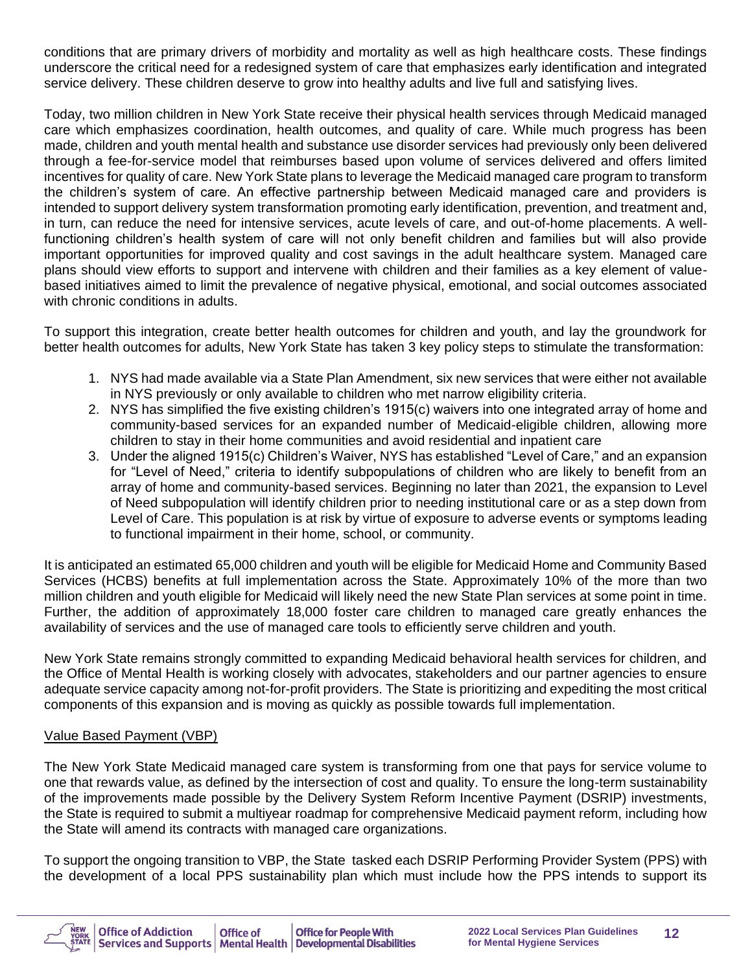conditions that are primary drivers of morbidity and mortality as well as high healthcare costs. These findings underscore the critical need for a redesigned system of care that emphasizes early identification and integrated service delivery. These children deserve to grow into healthy adults and live full and satisfying lives.

Today, two million children in New York State receive their physical health services through Medicaid managed care which emphasizes coordination, health outcomes, and quality of care. While much progress has been made, children and youth mental health and substance use disorder services had previously only been delivered through a fee-for-service model that reimburses based upon volume of services delivered and offers limited incentives for quality of care. New York State plans to leverage the Medicaid managed care program to transform the children's system of care. An effective partnership between Medicaid managed care and providers is intended to support delivery system transformation promoting early identification, prevention, and treatment and, in turn, can reduce the need for intensive services, acute levels of care, and out-of-home placements. A wellfunctioning children's health system of care will not only benefit children and families but will also provide important opportunities for improved quality and cost savings in the adult healthcare system. Managed care plans should view efforts to support and intervene with children and their families as a key element of valuebased initiatives aimed to limit the prevalence of negative physical, emotional, and social outcomes associated with chronic conditions in adults.

To support this integration, create better health outcomes for children and youth, and lay the groundwork for better health outcomes for adults, New York State has taken 3 key policy steps to stimulate the transformation:

- 1. NYS had made available via a State Plan Amendment, six new services that were either not available in NYS previously or only available to children who met narrow eligibility criteria.
- 2. NYS has simplified the five existing children's 1915(c) waivers into one integrated array of home and community-based services for an expanded number of Medicaid-eligible children, allowing more children to stay in their home communities and avoid residential and inpatient care
- 3. Under the aligned 1915(c) Children's Waiver, NYS has established "Level of Care," and an expansion for "Level of Need," criteria to identify subpopulations of children who are likely to benefit from an array of home and community-based services. Beginning no later than 2021, the expansion to Level of Need subpopulation will identify children prior to needing institutional care or as a step down from Level of Care. This population is at risk by virtue of exposure to adverse events or symptoms leading to functional impairment in their home, school, or community.

It is anticipated an estimated 65,000 children and youth will be eligible for Medicaid Home and Community Based Services (HCBS) benefits at full implementation across the State. Approximately 10% of the more than two million children and youth eligible for Medicaid will likely need the new State Plan services at some point in time. Further, the addition of approximately 18,000 foster care children to managed care greatly enhances the availability of services and the use of managed care tools to efficiently serve children and youth.

New York State remains strongly committed to expanding Medicaid behavioral health services for children, and the Office of Mental Health is working closely with advocates, stakeholders and our partner agencies to ensure adequate service capacity among not-for-profit providers. The State is prioritizing and expediting the most critical components of this expansion and is moving as quickly as possible towards full implementation.

#### Value Based Payment (VBP)

The New York State Medicaid managed care system is transforming from one that pays for service volume to one that rewards value, as defined by the intersection of cost and quality. To ensure the long-term sustainability of the improvements made possible by the Delivery System Reform Incentive Payment (DSRIP) investments, the State is required to submit a multiyear roadmap for comprehensive Medicaid payment reform, including how the State will amend its contracts with managed care organizations.

To support the ongoing transition to VBP, the State tasked each DSRIP Performing Provider System (PPS) with the development of a local PPS sustainability plan which must include how the PPS intends to support its

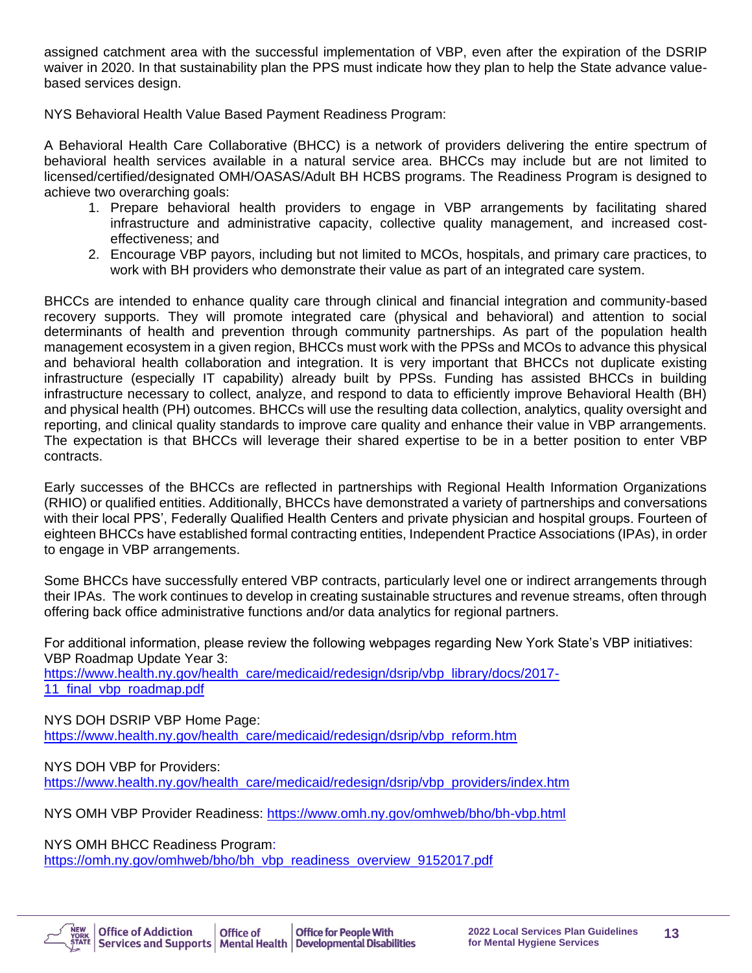assigned catchment area with the successful implementation of VBP, even after the expiration of the DSRIP waiver in 2020. In that sustainability plan the PPS must indicate how they plan to help the State advance valuebased services design.

NYS Behavioral Health Value Based Payment Readiness Program:

A Behavioral Health Care Collaborative (BHCC) is a network of providers delivering the entire spectrum of behavioral health services available in a natural service area. BHCCs may include but are not limited to licensed/certified/designated OMH/OASAS/Adult BH HCBS programs. The Readiness Program is designed to achieve two overarching goals:

- 1. Prepare behavioral health providers to engage in VBP arrangements by facilitating shared infrastructure and administrative capacity, collective quality management, and increased costeffectiveness; and
- 2. Encourage VBP payors, including but not limited to MCOs, hospitals, and primary care practices, to work with BH providers who demonstrate their value as part of an integrated care system.

BHCCs are intended to enhance quality care through clinical and financial integration and community-based recovery supports. They will promote integrated care (physical and behavioral) and attention to social determinants of health and prevention through community partnerships. As part of the population health management ecosystem in a given region, BHCCs must work with the PPSs and MCOs to advance this physical and behavioral health collaboration and integration. It is very important that BHCCs not duplicate existing infrastructure (especially IT capability) already built by PPSs. Funding has assisted BHCCs in building infrastructure necessary to collect, analyze, and respond to data to efficiently improve Behavioral Health (BH) and physical health (PH) outcomes. BHCCs will use the resulting data collection, analytics, quality oversight and reporting, and clinical quality standards to improve care quality and enhance their value in VBP arrangements. The expectation is that BHCCs will leverage their shared expertise to be in a better position to enter VBP contracts.

Early successes of the BHCCs are reflected in partnerships with Regional Health Information Organizations (RHIO) or qualified entities. Additionally, BHCCs have demonstrated a variety of partnerships and conversations with their local PPS', Federally Qualified Health Centers and private physician and hospital groups. Fourteen of eighteen BHCCs have established formal contracting entities, Independent Practice Associations (IPAs), in order to engage in VBP arrangements.

Some BHCCs have successfully entered VBP contracts, particularly level one or indirect arrangements through their IPAs. The work continues to develop in creating sustainable structures and revenue streams, often through offering back office administrative functions and/or data analytics for regional partners.

For additional information, please review the following webpages regarding New York State's VBP initiatives: VBP Roadmap Update Year 3: [https://www.health.ny.gov/health\\_care/medicaid/redesign/dsrip/vbp\\_library/docs/2017-](https://www.health.ny.gov/health_care/medicaid/redesign/dsrip/vbp_library/docs/2017-11_final_vbp_roadmap.pdf) 11 final vbp roadmap.pdf

NYS DOH DSRIP VBP Home Page: [https://www.health.ny.gov/health\\_care/medicaid/redesign/dsrip/vbp\\_reform.htm](https://www.health.ny.gov/health_care/medicaid/redesign/dsrip/vbp_reform.htm) 

NYS DOH VBP for Providers: [https://www.health.ny.gov/health\\_care/medicaid/redesign/dsrip/vbp\\_providers/index.htm](https://www.health.ny.gov/health_care/medicaid/redesign/dsrip/vbp_providers/index.htm)

NYS OMH VBP Provider Readiness:<https://www.omh.ny.gov/omhweb/bho/bh-vbp.html>

NYS OMH BHCC Readiness Program:

[https://omh.ny.gov/omhweb/bho/bh\\_vbp\\_readiness\\_overview\\_9152017.pdf](https://omh.ny.gov/omhweb/bho/bh_vbp_readiness_overview_9152017.pdf) 

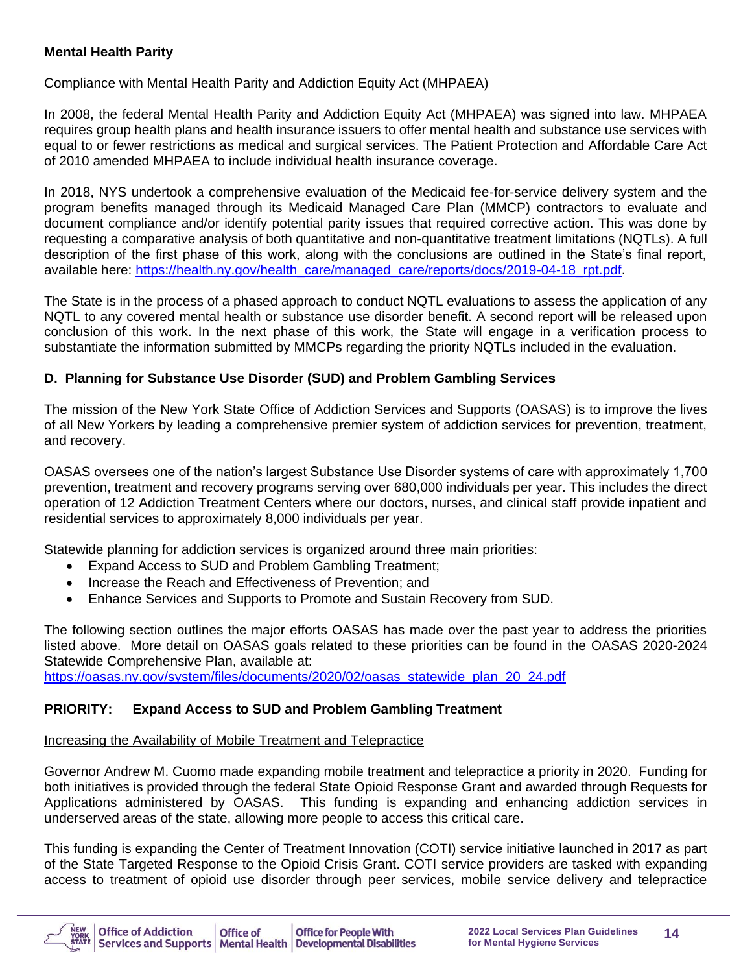#### **Mental Health Parity**

#### Compliance with Mental Health Parity and Addiction Equity Act (MHPAEA)

In 2008, the federal Mental Health Parity and Addiction Equity Act (MHPAEA) was signed into law. MHPAEA requires group health plans and health insurance issuers to offer mental health and substance use services with equal to or fewer restrictions as medical and surgical services. The Patient Protection and Affordable Care Act of 2010 amended MHPAEA to include individual health insurance coverage.

In 2018, NYS undertook a comprehensive evaluation of the Medicaid fee-for-service delivery system and the program benefits managed through its Medicaid Managed Care Plan (MMCP) contractors to evaluate and document compliance and/or identify potential parity issues that required corrective action. This was done by requesting a comparative analysis of both quantitative and non-quantitative treatment limitations (NQTLs). A full description of the first phase of this work, along with the conclusions are outlined in the State's final report, available here: [https://health.ny.gov/health\\_care/managed\\_care/reports/docs/2019-04-18\\_rpt.pdf.](https://health.ny.gov/health_care/managed_care/reports/docs/2019-04-18_rpt.pdf)

The State is in the process of a phased approach to conduct NQTL evaluations to assess the application of any NQTL to any covered mental health or substance use disorder benefit. A second report will be released upon conclusion of this work. In the next phase of this work, the State will engage in a verification process to substantiate the information submitted by MMCPs regarding the priority NQTLs included in the evaluation.

#### **D. Planning for Substance Use Disorder (SUD) and Problem Gambling Services**

The mission of the New York State Office of Addiction Services and Supports (OASAS) is to improve the lives of all New Yorkers by leading a comprehensive premier system of addiction services for prevention, treatment, and recovery.

OASAS oversees one of the nation's largest Substance Use Disorder systems of care with approximately 1,700 prevention, treatment and recovery programs serving over 680,000 individuals per year. This includes the direct operation of 12 Addiction Treatment Centers where our doctors, nurses, and clinical staff provide inpatient and residential services to approximately 8,000 individuals per year.

Statewide planning for addiction services is organized around three main priorities:

- Expand Access to SUD and Problem Gambling Treatment;
- Increase the Reach and Effectiveness of Prevention; and
- Enhance Services and Supports to Promote and Sustain Recovery from SUD.

The following section outlines the major efforts OASAS has made over the past year to address the priorities listed above. More detail on OASAS goals related to these priorities can be found in the OASAS 2020-2024 Statewide Comprehensive Plan, available at:

[https://oasas.ny.gov/system/files/documents/2020/02/oasas\\_statewide\\_plan\\_20\\_24.pdf](https://oasas.ny.gov/system/files/documents/2020/02/oasas_statewide_plan_20_24.pdf)

## **PRIORITY: Expand Access to SUD and Problem Gambling Treatment**

#### Increasing the Availability of Mobile Treatment and Telepractice

Governor Andrew M. Cuomo made expanding mobile treatment and telepractice a priority in 2020. Funding for both initiatives is provided through the federal State Opioid Response Grant and awarded through Requests for Applications administered by OASAS. This funding is expanding and enhancing addiction services in underserved areas of the state, allowing more people to access this critical care.

This funding is expanding the Center of Treatment Innovation (COTI) service initiative launched in 2017 as part of the State Targeted Response to the Opioid Crisis Grant. COTI service providers are tasked with expanding access to treatment of opioid use disorder through peer services, mobile service delivery and telepractice

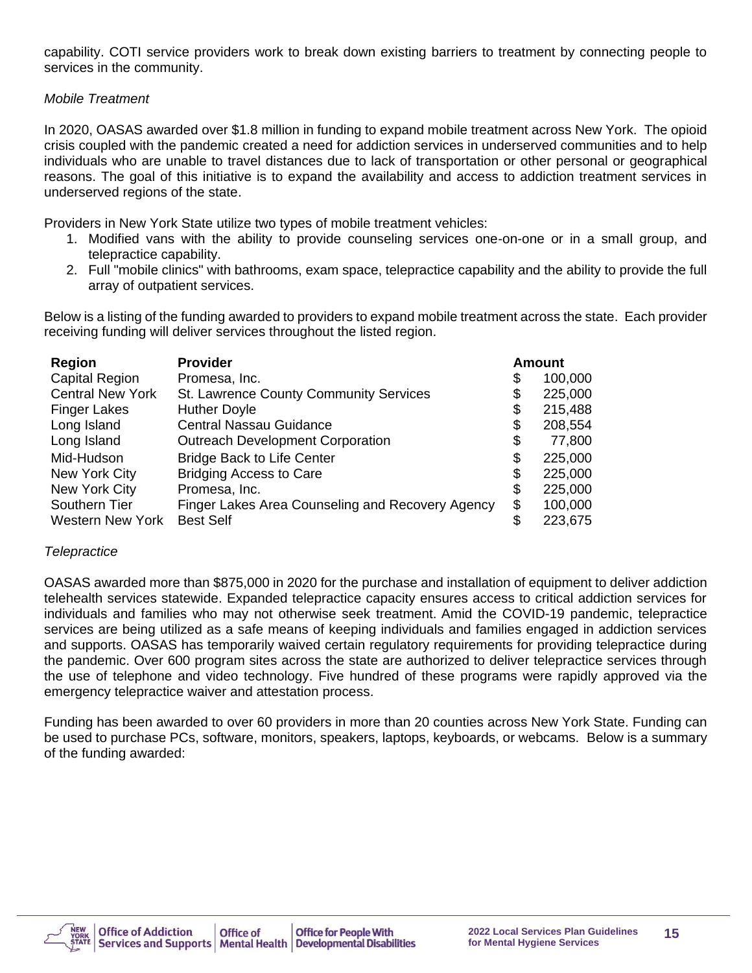capability. COTI service providers work to break down existing barriers to treatment by connecting people to services in the community.

#### *Mobile Treatment*

In 2020, OASAS awarded over \$1.8 million in funding to expand mobile treatment across New York. The opioid crisis coupled with the pandemic created a need for addiction services in underserved communities and to help individuals who are unable to travel distances due to lack of transportation or other personal or geographical reasons. The goal of this initiative is to expand the availability and access to addiction treatment services in underserved regions of the state.

Providers in New York State utilize two types of mobile treatment vehicles:

- 1. Modified vans with the ability to provide counseling services one-on-one or in a small group, and telepractice capability.
- 2. Full "mobile clinics" with bathrooms, exam space, telepractice capability and the ability to provide the full array of outpatient services.

Below is a listing of the funding awarded to providers to expand mobile treatment across the state. Each provider receiving funding will deliver services throughout the listed region.

| <b>Region</b>           | <b>Provider</b>                                  | <b>Amount</b> |
|-------------------------|--------------------------------------------------|---------------|
| <b>Capital Region</b>   | Promesa, Inc.                                    | \$<br>100,000 |
| <b>Central New York</b> | St. Lawrence County Community Services           | \$<br>225,000 |
| <b>Finger Lakes</b>     | <b>Huther Doyle</b>                              | \$<br>215,488 |
| Long Island             | <b>Central Nassau Guidance</b>                   | \$<br>208,554 |
| Long Island             | <b>Outreach Development Corporation</b>          | \$<br>77,800  |
| Mid-Hudson              | <b>Bridge Back to Life Center</b>                | \$<br>225,000 |
| New York City           | <b>Bridging Access to Care</b>                   | \$<br>225,000 |
| New York City           | Promesa, Inc.                                    | \$<br>225,000 |
| Southern Tier           | Finger Lakes Area Counseling and Recovery Agency | \$<br>100,000 |
| <b>Western New York</b> | <b>Best Self</b>                                 | \$<br>223,675 |

#### *Telepractice*

OASAS awarded more than \$875,000 in 2020 for the purchase and installation of equipment to deliver addiction telehealth services statewide. Expanded telepractice capacity ensures access to critical addiction services for individuals and families who may not otherwise seek treatment. Amid the COVID-19 pandemic, telepractice services are being utilized as a safe means of keeping individuals and families engaged in addiction services and supports. OASAS has temporarily waived certain regulatory requirements for providing telepractice during the pandemic. Over 600 program sites across the state are authorized to deliver telepractice services through the use of telephone and video technology. Five hundred of these programs were rapidly approved via the emergency telepractice waiver and attestation process.

Funding has been awarded to over 60 providers in more than 20 counties across New York State. Funding can be used to purchase PCs, software, monitors, speakers, laptops, keyboards, or webcams. Below is a summary of the funding awarded:

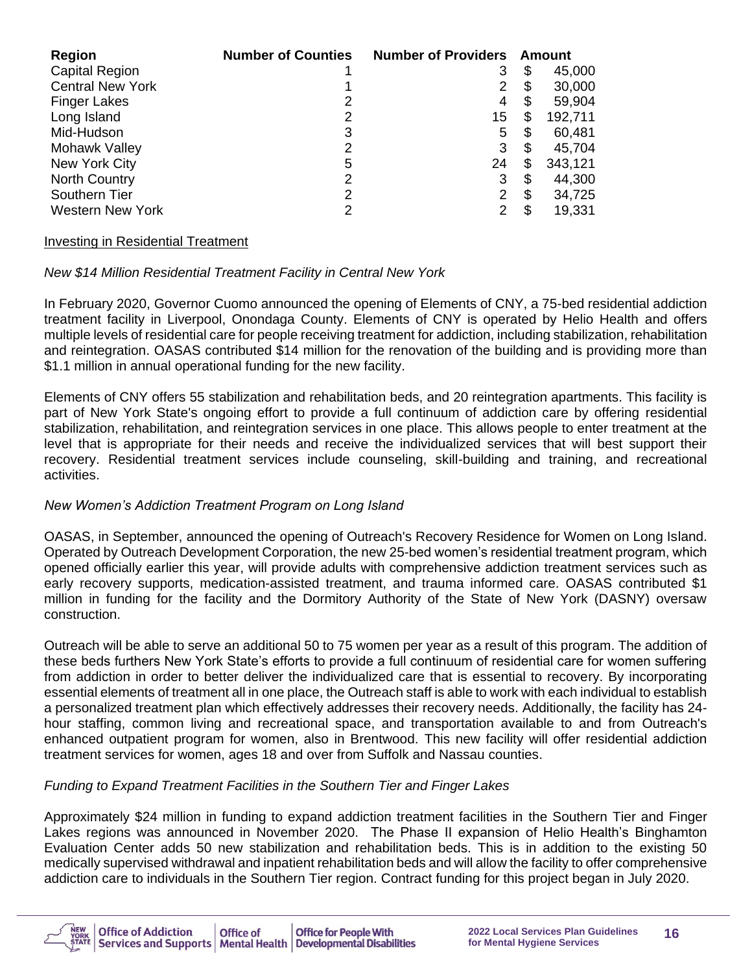| <b>Region</b>           | <b>Number of Counties</b> | <b>Number of Providers</b> |    | Amount  |
|-------------------------|---------------------------|----------------------------|----|---------|
| <b>Capital Region</b>   |                           | 3                          | \$ | 45,000  |
| <b>Central New York</b> |                           | 2                          | S  | 30,000  |
| <b>Finger Lakes</b>     | 2                         | 4                          | \$ | 59,904  |
| Long Island             | 2                         | 15                         | \$ | 192,711 |
| Mid-Hudson              | 3                         | 5                          | S  | 60,481  |
| Mohawk Valley           | 2                         | 3                          | S  | 45,704  |
| New York City           | 5                         | 24                         | \$ | 343,121 |
| <b>North Country</b>    | 2                         | 3                          | S  | 44,300  |
| Southern Tier           | 2                         | 2                          | S  | 34,725  |
| <b>Western New York</b> | 2                         | 2                          |    | 19,331  |

#### Investing in Residential Treatment

#### *New \$14 Million Residential Treatment Facility in Central New York*

In February 2020, Governor Cuomo announced the opening of Elements of CNY, a 75-bed residential addiction treatment facility in Liverpool, Onondaga County. Elements of CNY is operated by Helio Health and offers multiple levels of residential care for people receiving treatment for addiction, including stabilization, rehabilitation and reintegration. OASAS contributed \$14 million for the renovation of the building and is providing more than \$1.1 million in annual operational funding for the new facility.

Elements of CNY offers 55 stabilization and rehabilitation beds, and 20 reintegration apartments. This facility is part of New York State's ongoing effort to provide a full continuum of addiction care by offering residential stabilization, rehabilitation, and reintegration services in one place. This allows people to enter treatment at the level that is appropriate for their needs and receive the individualized services that will best support their recovery. Residential treatment services include counseling, skill-building and training, and recreational activities.

#### *New Women's Addiction Treatment Program on Long Island*

OASAS, in September, announced the opening of Outreach's Recovery Residence for Women on Long Island. Operated by Outreach Development Corporation, the new 25-bed women's residential treatment program, which opened officially earlier this year, will provide adults with comprehensive addiction treatment services such as early recovery supports, medication-assisted treatment, and trauma informed care. OASAS contributed \$1 million in funding for the facility and the Dormitory Authority of the State of New York (DASNY) oversaw construction.

Outreach will be able to serve an additional 50 to 75 women per year as a result of this program. The addition of these beds furthers New York State's efforts to provide a full continuum of residential care for women suffering from addiction in order to better deliver the individualized care that is essential to recovery. By incorporating essential elements of treatment all in one place, the Outreach staff is able to work with each individual to establish a personalized treatment plan which effectively addresses their recovery needs. Additionally, the facility has 24 hour staffing, common living and recreational space, and transportation available to and from Outreach's enhanced outpatient program for women, also in Brentwood. This new facility will offer residential addiction treatment services for women, ages 18 and over from Suffolk and Nassau counties.

#### *Funding to Expand Treatment Facilities in the Southern Tier and Finger Lakes*

Approximately \$24 million in funding to expand addiction treatment facilities in the Southern Tier and Finger Lakes regions was announced in November 2020. The Phase II expansion of Helio Health's Binghamton Evaluation Center adds 50 new stabilization and rehabilitation beds. This is in addition to the existing 50 medically supervised withdrawal and inpatient rehabilitation beds and will allow the facility to offer comprehensive addiction care to individuals in the Southern Tier region. Contract funding for this project began in July 2020.

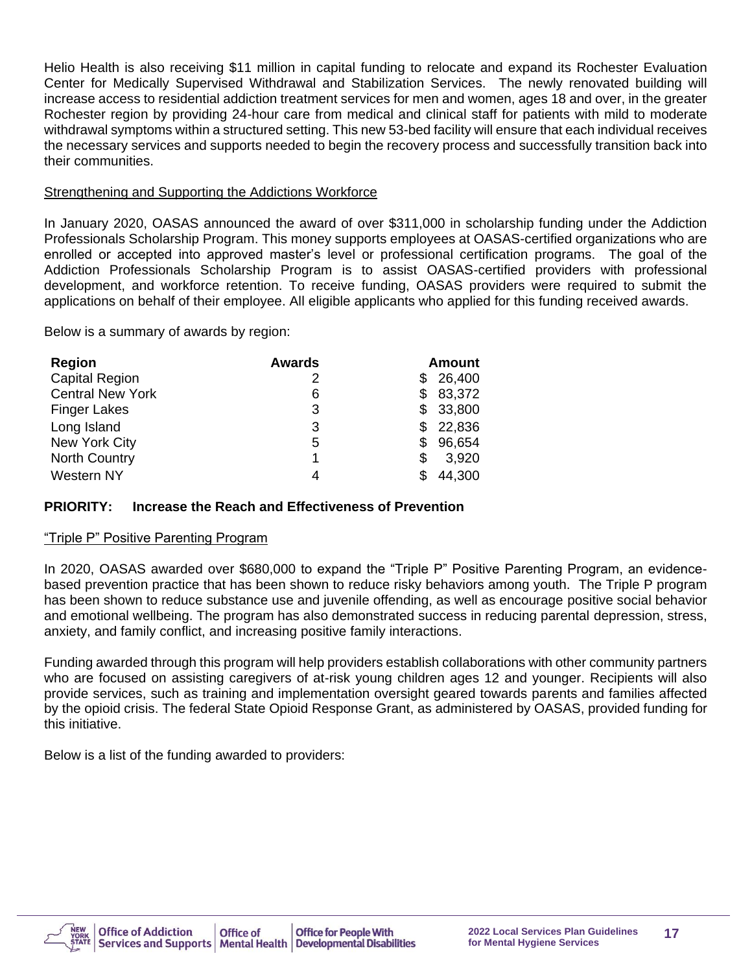Helio Health is also receiving \$11 million in capital funding to relocate and expand its Rochester Evaluation Center for Medically Supervised Withdrawal and Stabilization Services. The newly renovated building will increase access to residential addiction treatment services for men and women, ages 18 and over, in the greater Rochester region by providing 24-hour care from medical and clinical staff for patients with mild to moderate withdrawal symptoms within a structured setting. This new 53-bed facility will ensure that each individual receives the necessary services and supports needed to begin the recovery process and successfully transition back into their communities.

#### Strengthening and Supporting the Addictions Workforce

In January 2020, OASAS announced the award of over \$311,000 in scholarship funding under the Addiction Professionals Scholarship Program. This money supports employees at OASAS-certified organizations who are enrolled or accepted into approved master's level or professional certification programs. The goal of the Addiction Professionals Scholarship Program is to assist OASAS-certified providers with professional development, and workforce retention. To receive funding, OASAS providers were required to submit the applications on behalf of their employee. All eligible applicants who applied for this funding received awards.

Below is a summary of awards by region:

| <b>Region</b>           | <b>Awards</b> | Amount        |
|-------------------------|---------------|---------------|
| <b>Capital Region</b>   | 2             | 26,400<br>S   |
| <b>Central New York</b> | 6             | 83,372<br>S.  |
| <b>Finger Lakes</b>     | 3             | 33,800<br>\$. |
| Long Island             | 3             | 22,836<br>S   |
| New York City           | 5             | 96,654<br>S   |
| <b>North Country</b>    | 1             | 3,920<br>S    |
| Western NY              | 4             | 44,300        |

## **PRIORITY: Increase the Reach and Effectiveness of Prevention**

#### "Triple P" Positive Parenting Program

In 2020, OASAS awarded over \$680,000 to expand the "Triple P" Positive Parenting Program, an evidencebased prevention practice that has been shown to reduce risky behaviors among youth. The Triple P program has been shown to reduce substance use and juvenile offending, as well as encourage positive social behavior and emotional wellbeing. The program has also demonstrated success in reducing parental depression, stress, anxiety, and family conflict, and increasing positive family interactions.

Funding awarded through this program will help providers establish collaborations with other community partners who are focused on assisting caregivers of at-risk young children ages 12 and younger. Recipients will also provide services, such as training and implementation oversight geared towards parents and families affected by the opioid crisis. The federal State Opioid Response Grant, as administered by OASAS, provided funding for this initiative.

Below is a list of the funding awarded to providers:

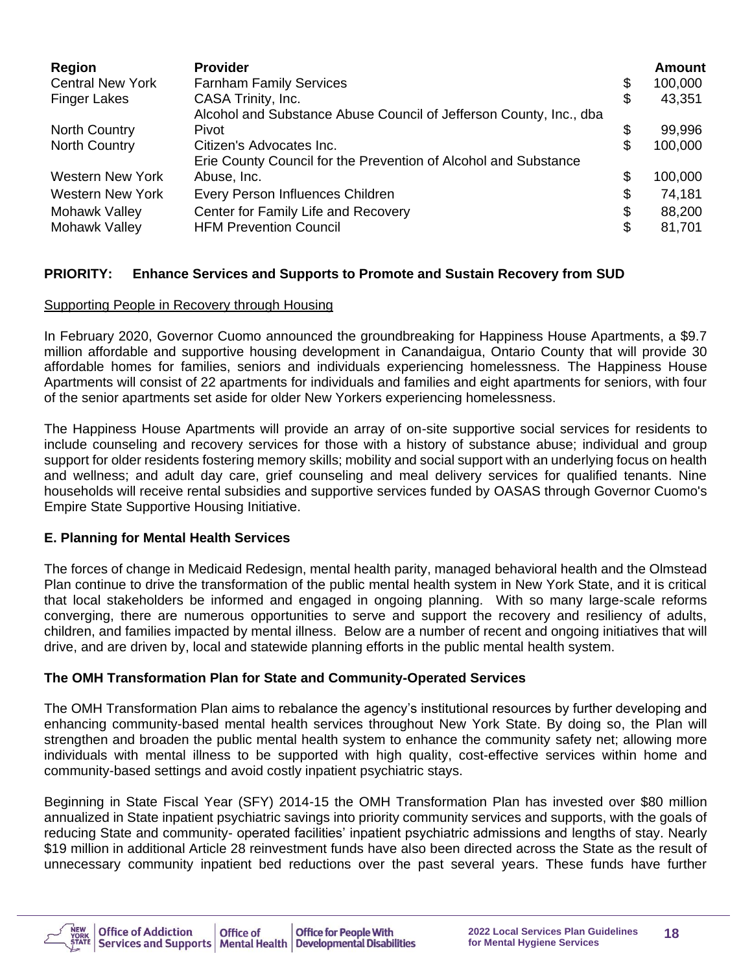| <b>Region</b>           | <b>Provider</b>                                                    | <b>Amount</b> |
|-------------------------|--------------------------------------------------------------------|---------------|
| <b>Central New York</b> | <b>Farnham Family Services</b>                                     | \$<br>100,000 |
| <b>Finger Lakes</b>     | CASA Trinity, Inc.                                                 | \$<br>43,351  |
|                         | Alcohol and Substance Abuse Council of Jefferson County, Inc., dba |               |
| <b>North Country</b>    | Pivot                                                              | \$<br>99,996  |
| <b>North Country</b>    | Citizen's Advocates Inc.                                           | \$<br>100,000 |
|                         | Erie County Council for the Prevention of Alcohol and Substance    |               |
| Western New York        | Abuse, Inc.                                                        | \$<br>100,000 |
| <b>Western New York</b> | Every Person Influences Children                                   | \$<br>74,181  |
| Mohawk Valley           | Center for Family Life and Recovery                                | \$<br>88,200  |
| Mohawk Valley           | <b>HFM Prevention Council</b>                                      | \$<br>81,701  |

#### **PRIORITY: Enhance Services and Supports to Promote and Sustain Recovery from SUD**

#### Supporting People in Recovery through Housing

In February 2020, Governor Cuomo announced the groundbreaking for Happiness House Apartments, a \$9.7 million affordable and supportive housing development in Canandaigua, Ontario County that will provide 30 affordable homes for families, seniors and individuals experiencing homelessness. The Happiness House Apartments will consist of 22 apartments for individuals and families and eight apartments for seniors, with four of the senior apartments set aside for older New Yorkers experiencing homelessness.

The Happiness House Apartments will provide an array of on-site supportive social services for residents to include counseling and recovery services for those with a history of substance abuse; individual and group support for older residents fostering memory skills; mobility and social support with an underlying focus on health and wellness; and adult day care, grief counseling and meal delivery services for qualified tenants. Nine households will receive rental subsidies and supportive services funded by OASAS through Governor Cuomo's Empire State Supportive Housing Initiative.

#### **E. Planning for Mental Health Services**

The forces of change in Medicaid Redesign, mental health parity, managed behavioral health and the Olmstead Plan continue to drive the transformation of the public mental health system in New York State, and it is critical that local stakeholders be informed and engaged in ongoing planning. With so many large-scale reforms converging, there are numerous opportunities to serve and support the recovery and resiliency of adults, children, and families impacted by mental illness. Below are a number of recent and ongoing initiatives that will drive, and are driven by, local and statewide planning efforts in the public mental health system.

#### **The OMH Transformation Plan for State and Community-Operated Services**

The OMH Transformation Plan aims to rebalance the agency's institutional resources by further developing and enhancing community-based mental health services throughout New York State. By doing so, the Plan will strengthen and broaden the public mental health system to enhance the community safety net; allowing more individuals with mental illness to be supported with high quality, cost-effective services within home and community-based settings and avoid costly inpatient psychiatric stays.

Beginning in State Fiscal Year (SFY) 2014-15 the OMH Transformation Plan has invested over \$80 million annualized in State inpatient psychiatric savings into priority community services and supports, with the goals of reducing State and community- operated facilities' inpatient psychiatric admissions and lengths of stay. Nearly \$19 million in additional Article 28 reinvestment funds have also been directed across the State as the result of unnecessary community inpatient bed reductions over the past several years. These funds have further

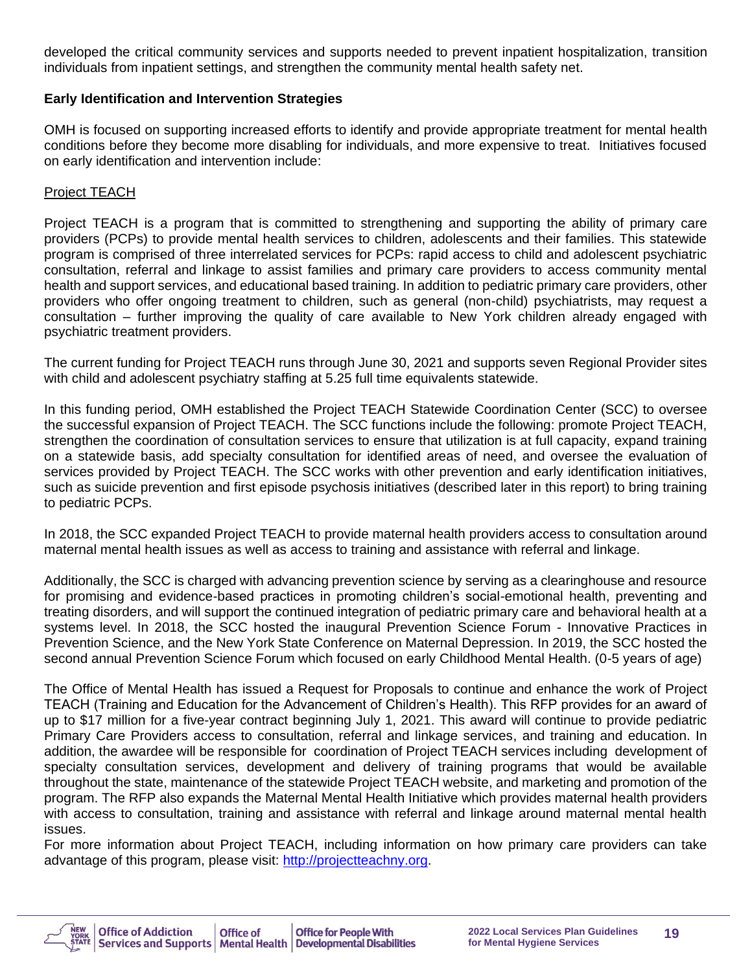developed the critical community services and supports needed to prevent inpatient hospitalization, transition individuals from inpatient settings, and strengthen the community mental health safety net.

#### **Early Identification and Intervention Strategies**

OMH is focused on supporting increased efforts to identify and provide appropriate treatment for mental health conditions before they become more disabling for individuals, and more expensive to treat. Initiatives focused on early identification and intervention include:

#### Project TEACH

Project TEACH is a program that is committed to strengthening and supporting the ability of primary care providers (PCPs) to provide mental health services to children, adolescents and their families. This statewide program is comprised of three interrelated services for PCPs: rapid access to child and adolescent psychiatric consultation, referral and linkage to assist families and primary care providers to access community mental health and support services, and educational based training. In addition to pediatric primary care providers, other providers who offer ongoing treatment to children, such as general (non-child) psychiatrists, may request a consultation – further improving the quality of care available to New York children already engaged with psychiatric treatment providers.

The current funding for Project TEACH runs through June 30, 2021 and supports seven Regional Provider sites with child and adolescent psychiatry staffing at 5.25 full time equivalents statewide.

In this funding period, OMH established the Project TEACH Statewide Coordination Center (SCC) to oversee the successful expansion of Project TEACH. The SCC functions include the following: promote Project TEACH, strengthen the coordination of consultation services to ensure that utilization is at full capacity, expand training on a statewide basis, add specialty consultation for identified areas of need, and oversee the evaluation of services provided by Project TEACH. The SCC works with other prevention and early identification initiatives, such as suicide prevention and first episode psychosis initiatives (described later in this report) to bring training to pediatric PCPs.

In 2018, the SCC expanded Project TEACH to provide maternal health providers access to consultation around maternal mental health issues as well as access to training and assistance with referral and linkage.

Additionally, the SCC is charged with advancing prevention science by serving as a clearinghouse and resource for promising and evidence-based practices in promoting children's social-emotional health, preventing and treating disorders, and will support the continued integration of pediatric primary care and behavioral health at a systems level. In 2018, the SCC hosted the inaugural Prevention Science Forum - Innovative Practices in Prevention Science, and the New York State Conference on Maternal Depression. In 2019, the SCC hosted the second annual Prevention Science Forum which focused on early Childhood Mental Health. (0-5 years of age)

The Office of Mental Health has issued a Request for Proposals to continue and enhance the work of Project TEACH (Training and Education for the Advancement of Children's Health). This RFP provides for an award of up to \$17 million for a five-year contract beginning July 1, 2021. This award will continue to provide pediatric Primary Care Providers access to consultation, referral and linkage services, and training and education. In addition, the awardee will be responsible for coordination of Project TEACH services including development of specialty consultation services, development and delivery of training programs that would be available throughout the state, maintenance of the statewide Project TEACH website, and marketing and promotion of the program. The RFP also expands the Maternal Mental Health Initiative which provides maternal health providers with access to consultation, training and assistance with referral and linkage around maternal mental health issues.

For more information about Project TEACH, including information on how primary care providers can take advantage of this program, please visit: [http://projectteachny.org.](http://projectteachny.org/)

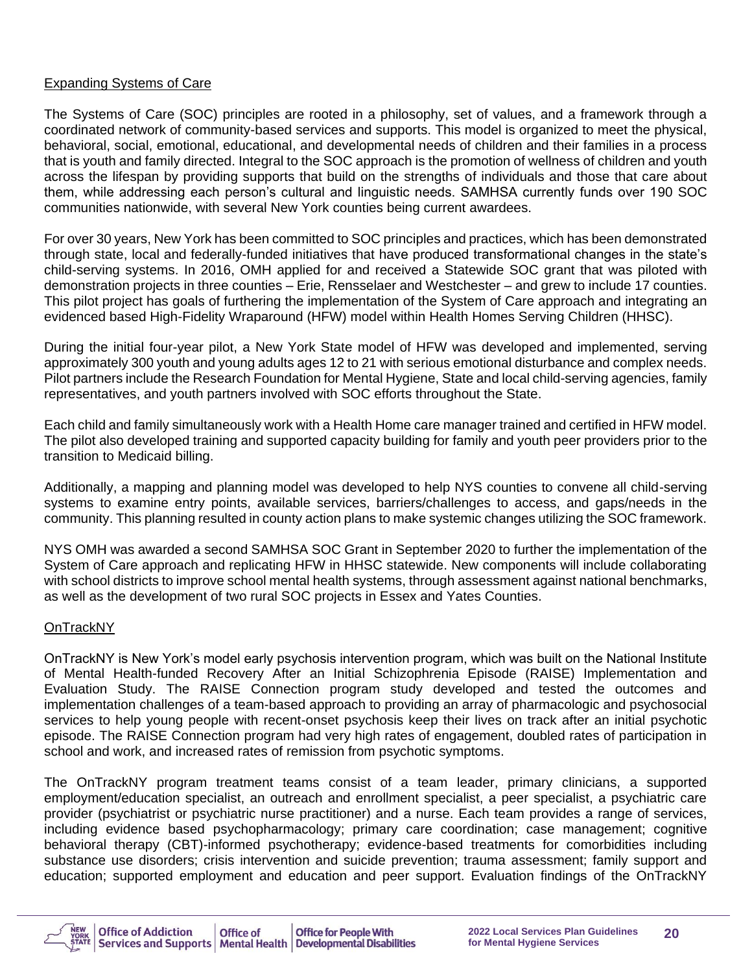#### Expanding Systems of Care

The Systems of Care (SOC) principles are rooted in a philosophy, set of values, and a framework through a coordinated network of community-based services and supports. This model is organized to meet the physical, behavioral, social, emotional, educational, and developmental needs of children and their families in a process that is youth and family directed. Integral to the SOC approach is the promotion of wellness of children and youth across the lifespan by providing supports that build on the strengths of individuals and those that care about them, while addressing each person's cultural and linguistic needs. SAMHSA currently funds over 190 SOC communities nationwide, with several New York counties being current awardees.

For over 30 years, New York has been committed to SOC principles and practices, which has been demonstrated through state, local and federally-funded initiatives that have produced transformational changes in the state's child-serving systems. In 2016, OMH applied for and received a Statewide SOC grant that was piloted with demonstration projects in three counties – Erie, Rensselaer and Westchester – and grew to include 17 counties. This pilot project has goals of furthering the implementation of the System of Care approach and integrating an evidenced based High-Fidelity Wraparound (HFW) model within Health Homes Serving Children (HHSC).

During the initial four-year pilot, a New York State model of HFW was developed and implemented, serving approximately 300 youth and young adults ages 12 to 21 with serious emotional disturbance and complex needs. Pilot partners include the Research Foundation for Mental Hygiene, State and local child-serving agencies, family representatives, and youth partners involved with SOC efforts throughout the State.

Each child and family simultaneously work with a Health Home care manager trained and certified in HFW model. The pilot also developed training and supported capacity building for family and youth peer providers prior to the transition to Medicaid billing.

Additionally, a mapping and planning model was developed to help NYS counties to convene all child-serving systems to examine entry points, available services, barriers/challenges to access, and gaps/needs in the community. This planning resulted in county action plans to make systemic changes utilizing the SOC framework.

NYS OMH was awarded a second SAMHSA SOC Grant in September 2020 to further the implementation of the System of Care approach and replicating HFW in HHSC statewide. New components will include collaborating with school districts to improve school mental health systems, through assessment against national benchmarks, as well as the development of two rural SOC projects in Essex and Yates Counties.

## OnTrackNY

OnTrackNY is New York's model early psychosis intervention program, which was built on the National Institute of Mental Health-funded Recovery After an Initial Schizophrenia Episode (RAISE) Implementation and Evaluation Study. The RAISE Connection program study developed and tested the outcomes and implementation challenges of a team-based approach to providing an array of pharmacologic and psychosocial services to help young people with recent-onset psychosis keep their lives on track after an initial psychotic episode. The RAISE Connection program had very high rates of engagement, doubled rates of participation in school and work, and increased rates of remission from psychotic symptoms.

The OnTrackNY program treatment teams consist of a team leader, primary clinicians, a supported employment/education specialist, an outreach and enrollment specialist, a peer specialist, a psychiatric care provider (psychiatrist or psychiatric nurse practitioner) and a nurse. Each team provides a range of services, including evidence based psychopharmacology; primary care coordination; case management; cognitive behavioral therapy (CBT)-informed psychotherapy; evidence-based treatments for comorbidities including substance use disorders; crisis intervention and suicide prevention; trauma assessment; family support and education; supported employment and education and peer support. Evaluation findings of the OnTrackNY

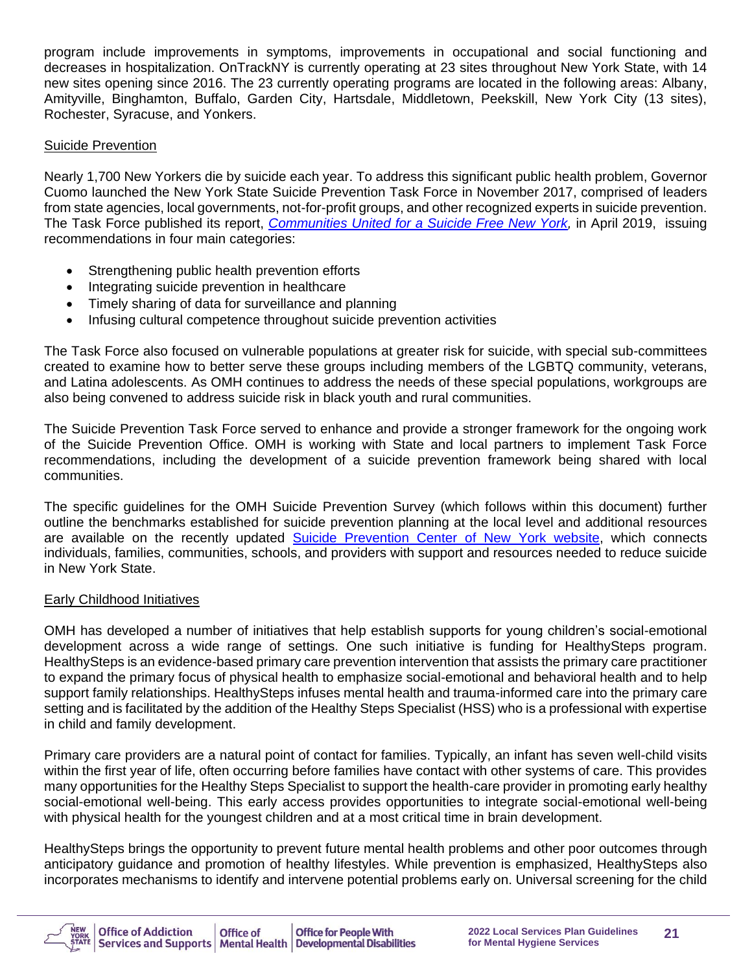program include improvements in symptoms, improvements in occupational and social functioning and decreases in hospitalization. OnTrackNY is currently operating at 23 sites throughout New York State, with 14 new sites opening since 2016. The 23 currently operating programs are located in the following areas: Albany, Amityville, Binghamton, Buffalo, Garden City, Hartsdale, Middletown, Peekskill, New York City (13 sites), Rochester, Syracuse, and Yonkers.

#### Suicide Prevention

Nearly 1,700 New Yorkers die by suicide each year. To address this significant public health problem, Governor Cuomo launched the New York State Suicide Prevention Task Force in November 2017, comprised of leaders from state agencies, local governments, not-for-profit groups, and other recognized experts in suicide prevention. The Task Force published its report, *[Communities United for a Suicide Free New York,](https://omh.ny.gov/omhweb/resources/publications/suicide-prevention-task-force-report.pdf)* in April 2019, issuing recommendations in four main categories:

- Strengthening public health prevention efforts
- Integrating suicide prevention in healthcare
- Timely sharing of data for surveillance and planning
- Infusing cultural competence throughout suicide prevention activities

The Task Force also focused on vulnerable populations at greater risk for suicide, with special sub-committees created to examine how to better serve these groups including members of the LGBTQ community, veterans, and Latina adolescents. As OMH continues to address the needs of these special populations, workgroups are also being convened to address suicide risk in black youth and rural communities.

The Suicide Prevention Task Force served to enhance and provide a stronger framework for the ongoing work of the Suicide Prevention Office. OMH is working with State and local partners to implement Task Force recommendations, including the development of a suicide prevention framework being shared with local communities.

The specific guidelines for the OMH Suicide Prevention Survey (which follows within this document) further outline the benchmarks established for suicide prevention planning at the local level and additional resources are available on the recently updated [Suicide Prevention Center of New York website,](https://www.preventsuicideny.org/) which connects individuals, families, communities, schools, and providers with support and resources needed to reduce suicide in New York State.

#### Early Childhood Initiatives

OMH has developed a number of initiatives that help establish supports for young children's social-emotional development across a wide range of settings. One such initiative is funding for HealthySteps program. HealthySteps is an evidence-based primary care prevention intervention that assists the primary care practitioner to expand the primary focus of physical health to emphasize social-emotional and behavioral health and to help support family relationships. HealthySteps infuses mental health and trauma-informed care into the primary care setting and is facilitated by the addition of the Healthy Steps Specialist (HSS) who is a professional with expertise in child and family development.

Primary care providers are a natural point of contact for families. Typically, an infant has seven well-child visits within the first year of life, often occurring before families have contact with other systems of care. This provides many opportunities for the Healthy Steps Specialist to support the health-care provider in promoting early healthy social-emotional well-being. This early access provides opportunities to integrate social-emotional well-being with physical health for the youngest children and at a most critical time in brain development.

HealthySteps brings the opportunity to prevent future mental health problems and other poor outcomes through anticipatory guidance and promotion of healthy lifestyles. While prevention is emphasized, HealthySteps also incorporates mechanisms to identify and intervene potential problems early on. Universal screening for the child

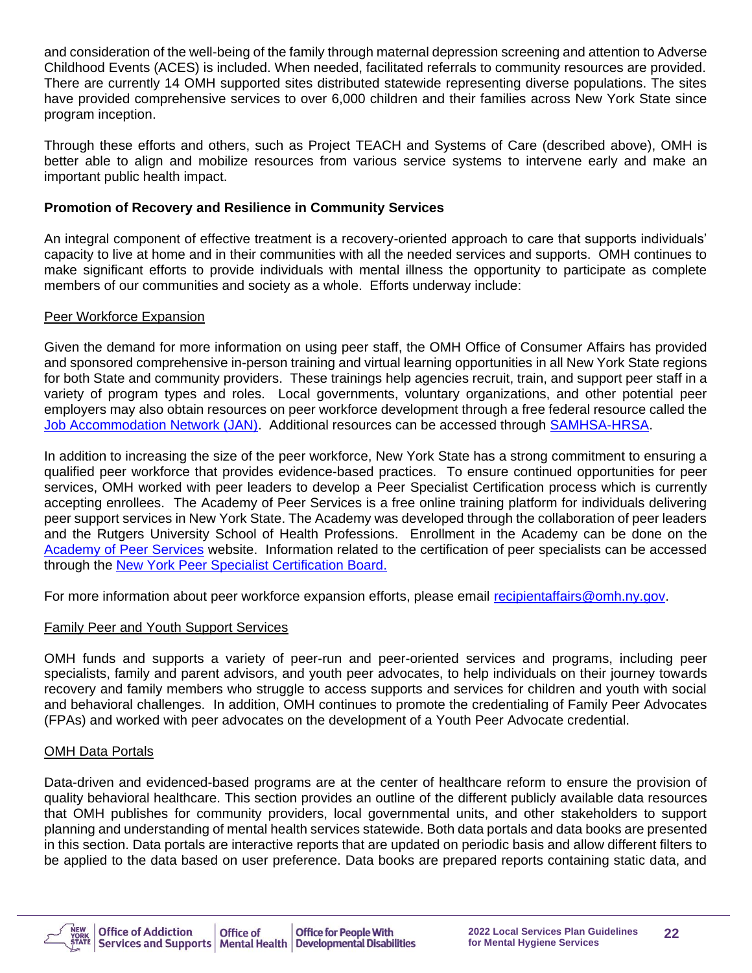and consideration of the well-being of the family through maternal depression screening and attention to Adverse Childhood Events (ACES) is included. When needed, facilitated referrals to community resources are provided. There are currently 14 OMH supported sites distributed statewide representing diverse populations. The sites have provided comprehensive services to over 6,000 children and their families across New York State since program inception.

Through these efforts and others, such as Project TEACH and Systems of Care (described above), OMH is better able to align and mobilize resources from various service systems to intervene early and make an important public health impact.

#### **Promotion of Recovery and Resilience in Community Services**

An integral component of effective treatment is a recovery-oriented approach to care that supports individuals' capacity to live at home and in their communities with all the needed services and supports. OMH continues to make significant efforts to provide individuals with mental illness the opportunity to participate as complete members of our communities and society as a whole. Efforts underway include:

#### Peer Workforce Expansion

Given the demand for more information on using peer staff, the OMH Office of Consumer Affairs has provided and sponsored comprehensive in-person training and virtual learning opportunities in all New York State regions for both State and community providers. These trainings help agencies recruit, train, and support peer staff in a variety of program types and roles. Local governments, voluntary organizations, and other potential peer employers may also obtain resources on peer workforce development through a free federal resource called the [Job Accommodation Network \(JAN\).](https://askjan.org/) Additional resources can be accessed through [SAMHSA-HRSA.](https://www.integration.samhsa.gov/workforce/team-members/peer-providers)

In addition to increasing the size of the peer workforce, New York State has a strong commitment to ensuring a qualified peer workforce that provides evidence-based practices. To ensure continued opportunities for peer services, OMH worked with peer leaders to develop a Peer Specialist Certification process which is currently accepting enrollees. The Academy of Peer Services is a free online training platform for individuals delivering peer support services in New York State. The Academy was developed through the collaboration of peer leaders and the Rutgers University School of Health Professions. Enrollment in the Academy can be done on the [Academy of Peer Services](http://www.academyofpeerservices.org/) website. Information related to the certification of peer specialists can be accessed through the [New York Peer Specialist Certification Board.](http://nypeerspecialist.org/)

For more information about peer workforce expansion efforts, please email [recipientaffairs@omh.ny.gov.](mailto:recipientaffairs@omh.ny.gov/)

#### Family Peer and Youth Support Services

OMH funds and supports a variety of peer-run and peer-oriented services and programs, including peer specialists, family and parent advisors, and youth peer advocates, to help individuals on their journey towards recovery and family members who struggle to access supports and services for children and youth with social and behavioral challenges. In addition, OMH continues to promote the credentialing of Family Peer Advocates (FPAs) and worked with peer advocates on the development of a Youth Peer Advocate credential.

#### OMH Data Portals

Data-driven and evidenced-based programs are at the center of healthcare reform to ensure the provision of quality behavioral healthcare. This section provides an outline of the different publicly available data resources that OMH publishes for community providers, local governmental units, and other stakeholders to support planning and understanding of mental health services statewide. Both data portals and data books are presented in this section. Data portals are interactive reports that are updated on periodic basis and allow different filters to be applied to the data based on user preference. Data books are prepared reports containing static data, and

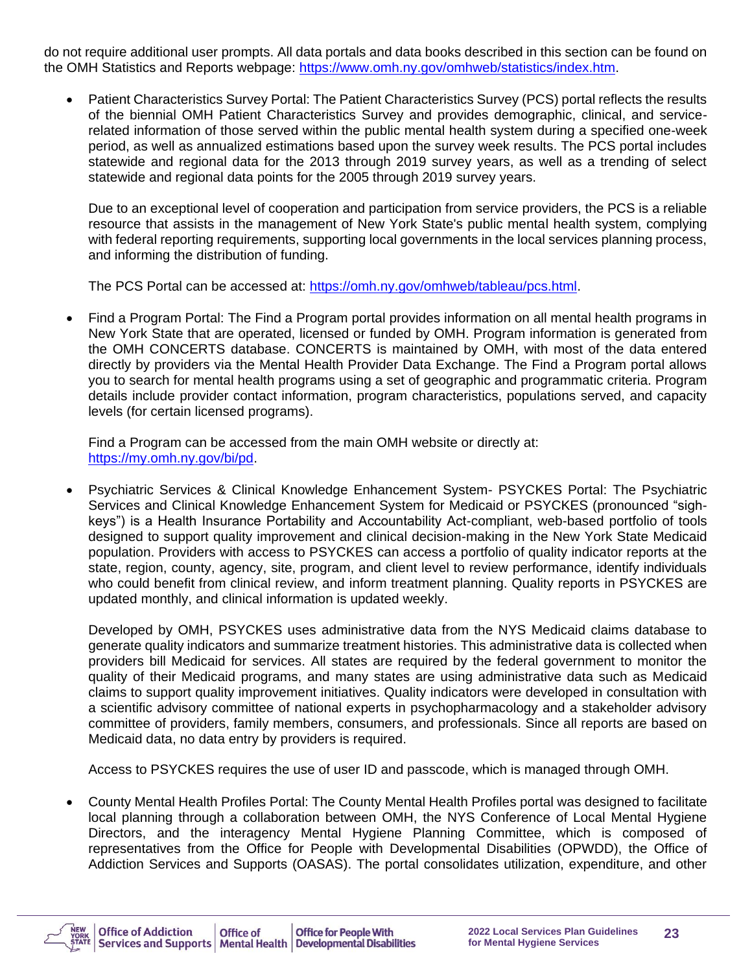do not require additional user prompts. All data portals and data books described in this section can be found on the OMH Statistics and Reports webpage: [https://www.omh.ny.gov/omhweb/statistics/index.htm.](https://www.omh.ny.gov/omhweb/statistics/index.htm)

• Patient Characteristics Survey Portal: The Patient Characteristics Survey (PCS) portal reflects the results of the biennial OMH Patient Characteristics Survey and provides demographic, clinical, and servicerelated information of those served within the public mental health system during a specified one-week period, as well as annualized estimations based upon the survey week results. The PCS portal includes statewide and regional data for the 2013 through 2019 survey years, as well as a trending of select statewide and regional data points for the 2005 through 2019 survey years.

Due to an exceptional level of cooperation and participation from service providers, the PCS is a reliable resource that assists in the management of New York State's public mental health system, complying with federal reporting requirements, supporting local governments in the local services planning process, and informing the distribution of funding.

The PCS Portal can be accessed at: [https://omh.ny.gov/omhweb/tableau/pcs.html.](https://omh.ny.gov/omhweb/tableau/pcs.html)

• Find a Program Portal: The Find a Program portal provides information on all mental health programs in New York State that are operated, licensed or funded by OMH. Program information is generated from the OMH CONCERTS database. CONCERTS is maintained by OMH, with most of the data entered directly by providers via the Mental Health Provider Data Exchange. The Find a Program portal allows you to search for mental health programs using a set of geographic and programmatic criteria. Program details include provider contact information, program characteristics, populations served, and capacity levels (for certain licensed programs).

Find a Program can be accessed from the main OMH website or directly at: [https://my.omh.ny.gov/bi/pd.](https://my.omh.ny.gov/bi/pd)

• Psychiatric Services & Clinical Knowledge Enhancement System- PSYCKES Portal: The Psychiatric Services and Clinical Knowledge Enhancement System for Medicaid or PSYCKES (pronounced "sighkeys") is a Health Insurance Portability and Accountability Act-compliant, web-based portfolio of tools designed to support quality improvement and clinical decision-making in the New York State Medicaid population. Providers with access to PSYCKES can access a portfolio of quality indicator reports at the state, region, county, agency, site, program, and client level to review performance, identify individuals who could benefit from clinical review, and inform treatment planning. Quality reports in PSYCKES are updated monthly, and clinical information is updated weekly.

Developed by OMH, PSYCKES uses administrative data from the NYS Medicaid claims database to generate quality indicators and summarize treatment histories. This administrative data is collected when providers bill Medicaid for services. All states are required by the federal government to monitor the quality of their Medicaid programs, and many states are using administrative data such as Medicaid claims to support quality improvement initiatives. Quality indicators were developed in consultation with a scientific advisory committee of national experts in psychopharmacology and a stakeholder advisory committee of providers, family members, consumers, and professionals. Since all reports are based on Medicaid data, no data entry by providers is required.

Access to PSYCKES requires the use of user ID and passcode, which is managed through OMH.

• County Mental Health Profiles Portal: The County Mental Health Profiles portal was designed to facilitate local planning through a collaboration between OMH, the NYS Conference of Local Mental Hygiene Directors, and the interagency Mental Hygiene Planning Committee, which is composed of representatives from the Office for People with Developmental Disabilities (OPWDD), the Office of Addiction Services and Supports (OASAS). The portal consolidates utilization, expenditure, and other

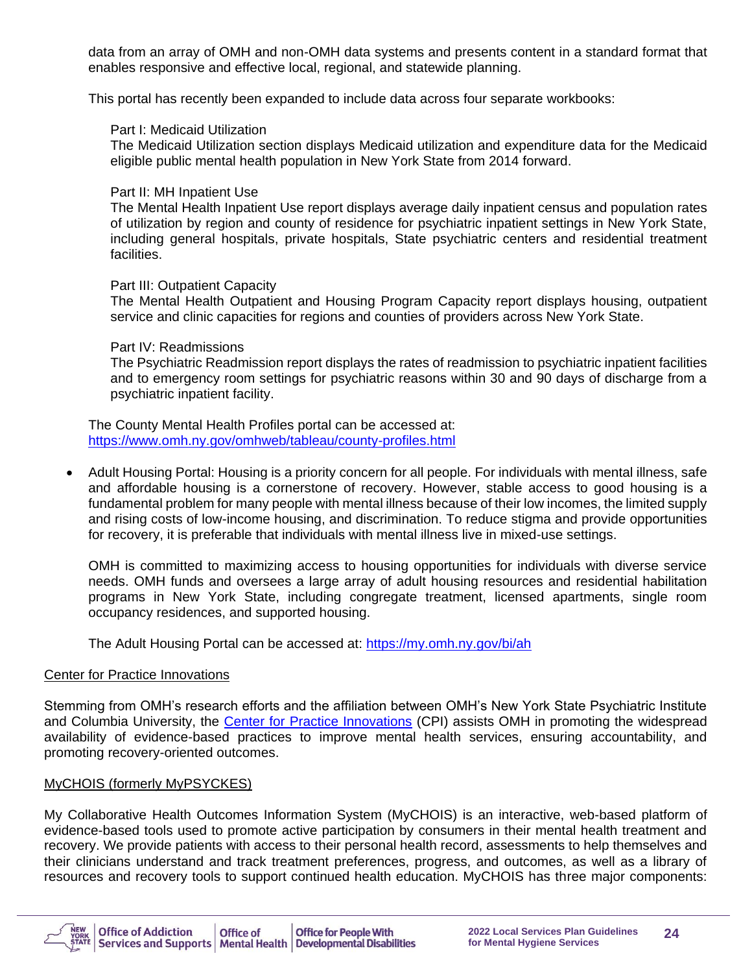data from an array of OMH and non-OMH data systems and presents content in a standard format that enables responsive and effective local, regional, and statewide planning.

This portal has recently been expanded to include data across four separate workbooks:

#### Part I: Medicaid Utilization

The Medicaid Utilization section displays Medicaid utilization and expenditure data for the Medicaid eligible public mental health population in New York State from 2014 forward.

#### Part II: MH Inpatient Use

The Mental Health Inpatient Use report displays average daily inpatient census and population rates of utilization by region and county of residence for psychiatric inpatient settings in New York State, including general hospitals, private hospitals, State psychiatric centers and residential treatment facilities.

#### Part III: Outpatient Capacity

The Mental Health Outpatient and Housing Program Capacity report displays housing, outpatient service and clinic capacities for regions and counties of providers across New York State.

#### Part IV: Readmissions

The Psychiatric Readmission report displays the rates of readmission to psychiatric inpatient facilities and to emergency room settings for psychiatric reasons within 30 and 90 days of discharge from a psychiatric inpatient facility.

The County Mental Health Profiles portal can be accessed at: <https://www.omh.ny.gov/omhweb/tableau/county-profiles.html>

• Adult Housing Portal: Housing is a priority concern for all people. For individuals with mental illness, safe and affordable housing is a cornerstone of recovery. However, stable access to good housing is a fundamental problem for many people with mental illness because of their low incomes, the limited supply and rising costs of low-income housing, and discrimination. To reduce stigma and provide opportunities for recovery, it is preferable that individuals with mental illness live in mixed-use settings.

OMH is committed to maximizing access to housing opportunities for individuals with diverse service needs. OMH funds and oversees a large array of adult housing resources and residential habilitation programs in New York State, including congregate treatment, licensed apartments, single room occupancy residences, and supported housing.

The Adult Housing Portal can be accessed at:<https://my.omh.ny.gov/bi/ah>

#### Center for Practice Innovations

Stemming from OMH's research efforts and the affiliation between OMH's New York State Psychiatric Institute and Columbia University, the [Center for Practice Innovations](http://www.practiceinnovations.org/) (CPI) assists OMH in promoting the widespread availability of evidence-based practices to improve mental health services, ensuring accountability, and promoting recovery-oriented outcomes.

#### MyCHOIS (formerly MyPSYCKES)

My Collaborative Health Outcomes Information System (MyCHOIS) is an interactive, web-based platform of evidence-based tools used to promote active participation by consumers in their mental health treatment and recovery. We provide patients with access to their personal health record, assessments to help themselves and their clinicians understand and track treatment preferences, progress, and outcomes, as well as a library of resources and recovery tools to support continued health education. MyCHOIS has three major components:

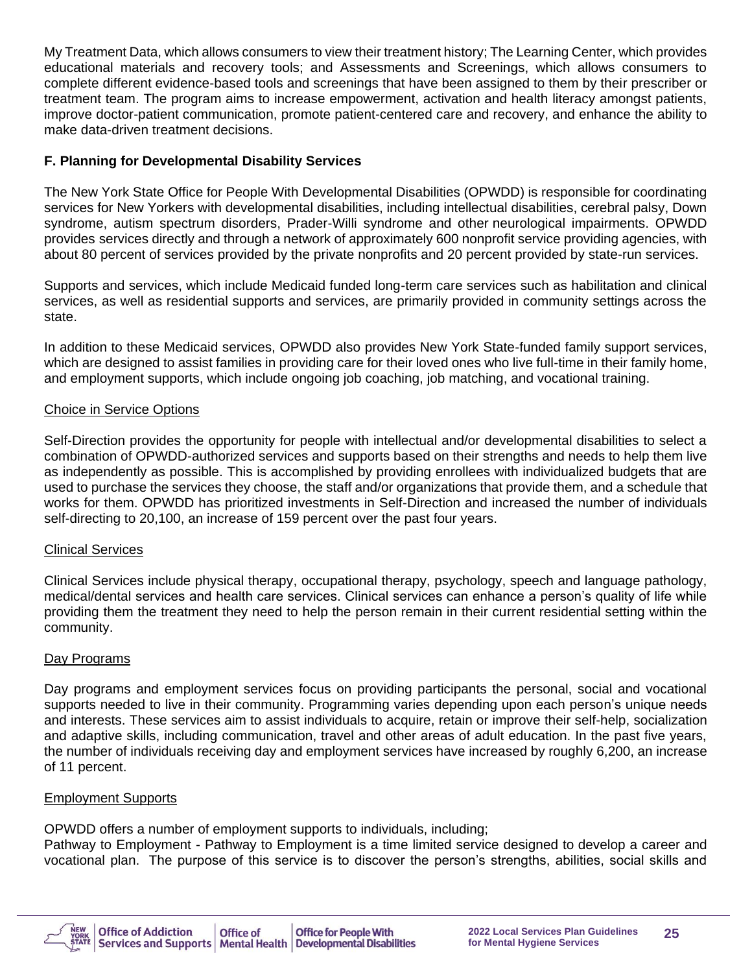My Treatment Data, which allows consumers to view their treatment history; The Learning Center, which provides educational materials and recovery tools; and Assessments and Screenings, which allows consumers to complete different evidence-based tools and screenings that have been assigned to them by their prescriber or treatment team. The program aims to increase empowerment, activation and health literacy amongst patients, improve doctor-patient communication, promote patient-centered care and recovery, and enhance the ability to make data-driven treatment decisions.

#### **F. Planning for Developmental Disability Services**

The New York State Office for People With Developmental Disabilities (OPWDD) is responsible for coordinating services for New Yorkers with developmental disabilities, including intellectual disabilities, cerebral palsy, Down syndrome, autism spectrum disorders, Prader-Willi syndrome and other neurological impairments. OPWDD provides services directly and through a network of approximately 600 nonprofit service providing agencies, with about 80 percent of services provided by the private nonprofits and 20 percent provided by state-run services.

Supports and services, which include Medicaid funded long-term care services such as habilitation and clinical services, as well as residential supports and services, are primarily provided in community settings across the state.

In addition to these Medicaid services, OPWDD also provides New York State-funded family support services, which are designed to assist families in providing care for their loved ones who live full-time in their family home, and employment supports, which include ongoing job coaching, job matching, and vocational training.

#### Choice in Service Options

Self-Direction provides the opportunity for people with intellectual and/or developmental disabilities to select a combination of OPWDD-authorized services and supports based on their strengths and needs to help them live as independently as possible. This is accomplished by providing enrollees with individualized budgets that are used to purchase the services they choose, the staff and/or organizations that provide them, and a schedule that works for them. OPWDD has prioritized investments in Self-Direction and increased the number of individuals self-directing to 20,100, an increase of 159 percent over the past four years.

#### Clinical Services

Clinical Services include physical therapy, occupational therapy, psychology, speech and language pathology, medical/dental services and health care services. Clinical services can enhance a person's quality of life while providing them the treatment they need to help the person remain in their current residential setting within the community.

#### Day Programs

Day programs and employment services focus on providing participants the personal, social and vocational supports needed to live in their community. Programming varies depending upon each person's unique needs and interests. These services aim to assist individuals to acquire, retain or improve their self-help, socialization and adaptive skills, including communication, travel and other areas of adult education. In the past five years, the number of individuals receiving day and employment services have increased by roughly 6,200, an increase of 11 percent.

#### Employment Supports

OPWDD offers a number of employment supports to individuals, including;

Pathway to Employment - Pathway to Employment is a time limited service designed to develop a career and vocational plan. The purpose of this service is to discover the person's strengths, abilities, social skills and

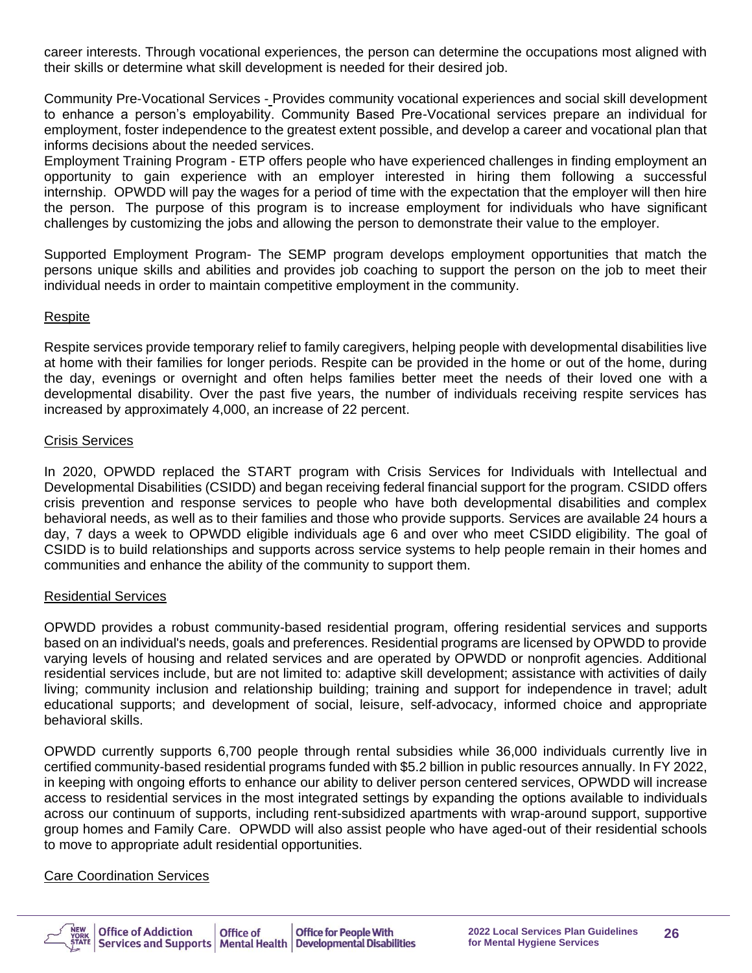career interests. Through vocational experiences, the person can determine the occupations most aligned with their skills or determine what skill development is needed for their desired job.

Community Pre-Vocational Services - Provides community vocational experiences and social skill development to enhance a person's employability. Community Based Pre-Vocational services prepare an individual for employment, foster independence to the greatest extent possible, and develop a career and vocational plan that informs decisions about the needed services.

Employment Training Program - ETP offers people who have experienced challenges in finding employment an opportunity to gain experience with an employer interested in hiring them following a successful internship. OPWDD will pay the wages for a period of time with the expectation that the employer will then hire the person. The purpose of this program is to increase employment for individuals who have significant challenges by customizing the jobs and allowing the person to demonstrate their value to the employer.

Supported Employment Program- The SEMP program develops employment opportunities that match the persons unique skills and abilities and provides job coaching to support the person on the job to meet their individual needs in order to maintain competitive employment in the community.

#### Respite

Respite services provide temporary relief to family caregivers, helping people with developmental disabilities live at home with their families for longer periods. Respite can be provided in the home or out of the home, during the day, evenings or overnight and often helps families better meet the needs of their loved one with a developmental disability. Over the past five years, the number of individuals receiving respite services has increased by approximately 4,000, an increase of 22 percent.

#### Crisis Services

In 2020, OPWDD replaced the START program with Crisis Services for Individuals with Intellectual and Developmental Disabilities (CSIDD) and began receiving federal financial support for the program. CSIDD offers crisis prevention and response services to people who have both developmental disabilities and complex behavioral needs, as well as to their families and those who provide supports. Services are available 24 hours a day, 7 days a week to OPWDD eligible individuals age 6 and over who meet CSIDD eligibility. The goal of CSIDD is to build relationships and supports across service systems to help people remain in their homes and communities and enhance the ability of the community to support them.

#### Residential Services

OPWDD provides a robust community-based residential program, offering residential services and supports based on an individual's needs, goals and preferences. Residential programs are licensed by OPWDD to provide varying levels of housing and related services and are operated by OPWDD or nonprofit agencies. Additional residential services include, but are not limited to: adaptive skill development; assistance with activities of daily living; community inclusion and relationship building; training and support for independence in travel; adult educational supports; and development of social, leisure, self-advocacy, informed choice and appropriate behavioral skills.

OPWDD currently supports 6,700 people through rental subsidies while 36,000 individuals currently live in certified community-based residential programs funded with \$5.2 billion in public resources annually. In FY 2022, in keeping with ongoing efforts to enhance our ability to deliver person centered services, OPWDD will increase access to residential services in the most integrated settings by expanding the options available to individuals across our continuum of supports, including rent-subsidized apartments with wrap-around support, supportive group homes and Family Care. OPWDD will also assist people who have aged-out of their residential schools to move to appropriate adult residential opportunities.

#### Care Coordination Services

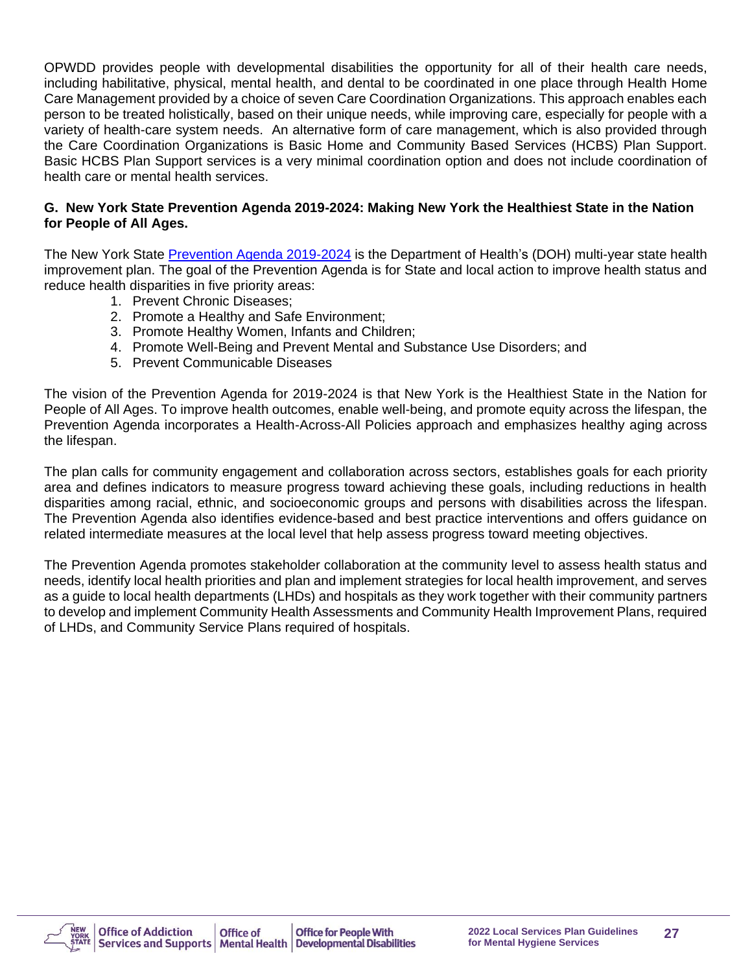OPWDD provides people with developmental disabilities the opportunity for all of their health care needs, including habilitative, physical, mental health, and dental to be coordinated in one place through Health Home Care Management provided by a choice of seven Care Coordination Organizations. This approach enables each person to be treated holistically, based on their unique needs, while improving care, especially for people with a variety of health-care system needs. An alternative form of care management, which is also provided through the Care Coordination Organizations is Basic Home and Community Based Services (HCBS) Plan Support. Basic HCBS Plan Support services is a very minimal coordination option and does not include coordination of health care or mental health services.

#### **G. New York State Prevention Agenda 2019-2024: Making New York the Healthiest State in the Nation for People of All Ages.**

The New York State [Prevention Agenda 2019-2024](https://www.health.ny.gov/facilities/public_health_and_health_planning_council/meetings/2018-12-13/docs/prevention_agenda_2019-2024.pdf) is the Department of Health's (DOH) multi-year state health improvement plan. The goal of the Prevention Agenda is for State and local action to improve health status and reduce health disparities in five priority areas:

- 1. Prevent Chronic Diseases;
- 2. Promote a Healthy and Safe Environment;
- 3. Promote Healthy Women, Infants and Children;
- 4. Promote Well-Being and Prevent Mental and Substance Use Disorders; and
- 5. Prevent Communicable Diseases

The vision of the Prevention Agenda for 2019-2024 is that New York is the Healthiest State in the Nation for People of All Ages. To improve health outcomes, enable well-being, and promote equity across the lifespan, the Prevention Agenda incorporates a Health-Across-All Policies approach and emphasizes healthy aging across the lifespan.

The plan calls for community engagement and collaboration across sectors, establishes goals for each priority area and defines indicators to measure progress toward achieving these goals, including reductions in health disparities among racial, ethnic, and socioeconomic groups and persons with disabilities across the lifespan. The Prevention Agenda also identifies evidence-based and best practice interventions and offers guidance on related intermediate measures at the local level that help assess progress toward meeting objectives.

The Prevention Agenda promotes stakeholder collaboration at the community level to assess health status and needs, identify local health priorities and plan and implement strategies for local health improvement, and serves as a guide to local health departments (LHDs) and hospitals as they work together with their community partners to develop and implement Community Health Assessments and Community Health Improvement Plans, required of LHDs, and Community Service Plans required of hospitals.

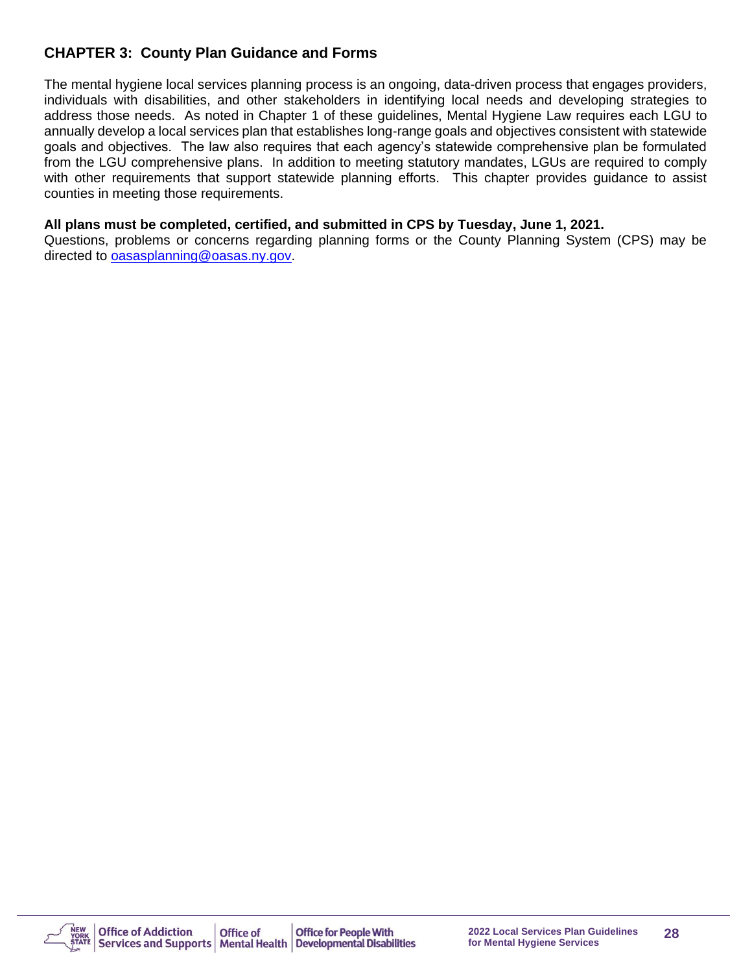## **CHAPTER 3: County Plan Guidance and Forms**

The mental hygiene local services planning process is an ongoing, data-driven process that engages providers, individuals with disabilities, and other stakeholders in identifying local needs and developing strategies to address those needs. As noted in Chapter 1 of these guidelines, Mental Hygiene Law requires each LGU to annually develop a local services plan that establishes long-range goals and objectives consistent with statewide goals and objectives. The law also requires that each agency's statewide comprehensive plan be formulated from the LGU comprehensive plans. In addition to meeting statutory mandates, LGUs are required to comply with other requirements that support statewide planning efforts. This chapter provides guidance to assist counties in meeting those requirements.

#### **All plans must be completed, certified, and submitted in CPS by Tuesday, June 1, 2021.**

Questions, problems or concerns regarding planning forms or the County Planning System (CPS) may be directed to [oasasplanning@oasas.ny.gov.](mailto:oasasplanning@oasas.ny.gov)

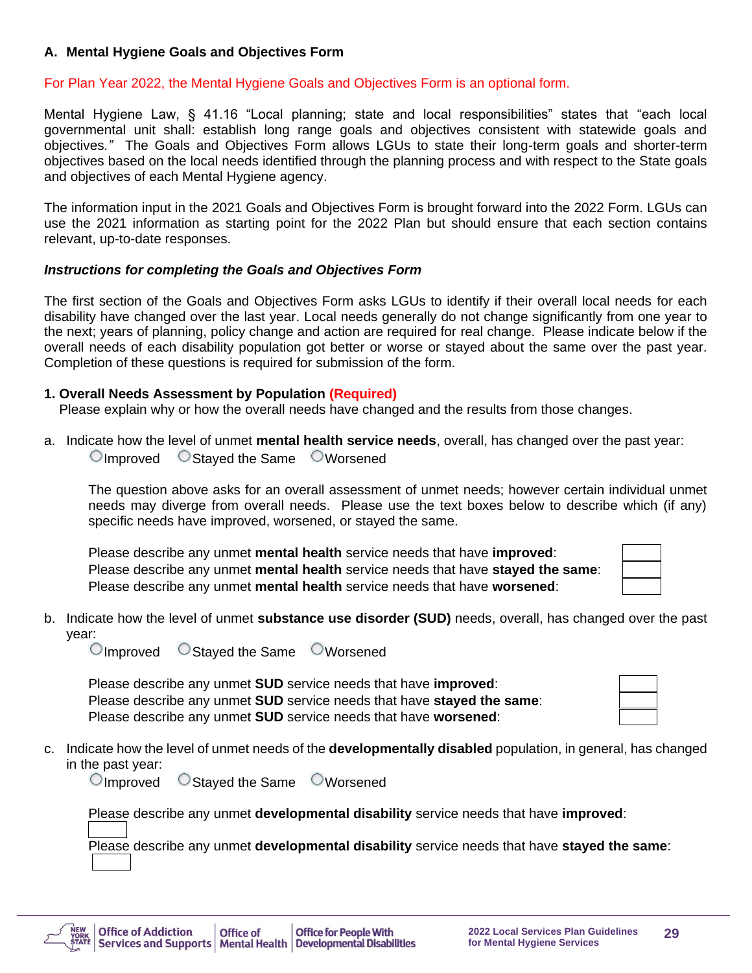#### **A. Mental Hygiene Goals and Objectives Form**

#### For Plan Year 2022, the Mental Hygiene Goals and Objectives Form is an optional form.

Mental Hygiene Law, § 41.16 "Local planning; state and local responsibilities" states that "each local governmental unit shall: establish long range goals and objectives consistent with statewide goals and objectives*."* The Goals and Objectives Form allows LGUs to state their long-term goals and shorter-term objectives based on the local needs identified through the planning process and with respect to the State goals and objectives of each Mental Hygiene agency.

The information input in the 2021 Goals and Objectives Form is brought forward into the 2022 Form. LGUs can use the 2021 information as starting point for the 2022 Plan but should ensure that each section contains relevant, up-to-date responses.

#### *Instructions for completing the Goals and Objectives Form*

The first section of the Goals and Objectives Form asks LGUs to identify if their overall local needs for each disability have changed over the last year. Local needs generally do not change significantly from one year to the next; years of planning, policy change and action are required for real change. Please indicate below if the overall needs of each disability population got better or worse or stayed about the same over the past year. Completion of these questions is required for submission of the form.

#### **1. Overall Needs Assessment by Population (Required)**

Please explain why or how the overall needs have changed and the results from those changes.

a. Indicate how the level of unmet **mental health service needs**, overall, has changed over the past year: Improved Stayed the Same Worsened

The question above asks for an overall assessment of unmet needs; however certain individual unmet needs may diverge from overall needs. Please use the text boxes below to describe which (if any) specific needs have improved, worsened, or stayed the same.

Please describe any unmet **mental health** service needs that have **improved**: Please describe any unmet **mental health** service needs that have **stayed the same**: Please describe any unmet **mental health** service needs that have **worsened**:

b. Indicate how the level of unmet **substance use disorder (SUD)** needs, overall, has changed over the past year:

 $\bigcirc$  Improved  $\bigcirc$  Stayed the Same  $\bigcirc$  Worsened

Please describe any unmet **SUD** service needs that have **improved**: Please describe any unmet **SUD** service needs that have **stayed the same**: Please describe any unmet **SUD** service needs that have **worsened**:

c. Indicate how the level of unmet needs of the **developmentally disabled** population, in general, has changed in the past year:

 $\Box$ Improved  $\Box$ Stayed the Same  $\Box$ Worsened

Please describe any unmet **developmental disability** service needs that have **improved**:

Please describe any unmet **developmental disability** service needs that have **stayed the same**:

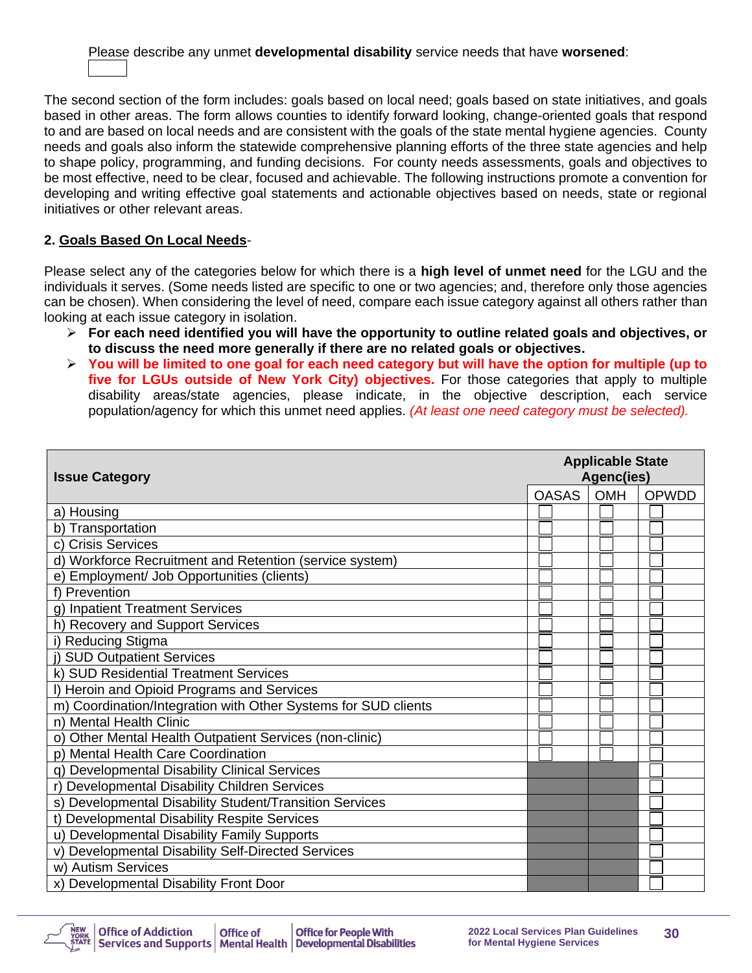## Please describe any unmet **developmental disability** service needs that have **worsened**:

The second section of the form includes: goals based on local need; goals based on state initiatives, and goals based in other areas. The form allows counties to identify forward looking, change-oriented goals that respond to and are based on local needs and are consistent with the goals of the state mental hygiene agencies. County needs and goals also inform the statewide comprehensive planning efforts of the three state agencies and help to shape policy, programming, and funding decisions. For county needs assessments, goals and objectives to be most effective, need to be clear, focused and achievable. The following instructions promote a convention for developing and writing effective goal statements and actionable objectives based on needs, state or regional initiatives or other relevant areas.

## **2. Goals Based On Local Needs**-

Please select any of the categories below for which there is a **high level of unmet need** for the LGU and the individuals it serves. (Some needs listed are specific to one or two agencies; and, therefore only those agencies can be chosen). When considering the level of need, compare each issue category against all others rather than looking at each issue category in isolation.

- ➢ **For each need identified you will have the opportunity to outline related goals and objectives, or to discuss the need more generally if there are no related goals or objectives.**
- ➢ **You will be limited to one goal for each need category but will have the option for multiple (up to five for LGUs outside of New York City) objectives.** For those categories that apply to multiple disability areas/state agencies, please indicate, in the objective description, each service population/agency for which this unmet need applies. *(At least one need category must be selected).*

| <b>Issue Category</b>                                          |              | <b>Applicable State</b><br>Agenc(ies) |       |  |
|----------------------------------------------------------------|--------------|---------------------------------------|-------|--|
|                                                                | <b>OASAS</b> | <b>OMH</b>                            | OPWDD |  |
| a) Housing                                                     |              |                                       |       |  |
| b) Transportation                                              |              |                                       |       |  |
| c) Crisis Services                                             |              |                                       |       |  |
| d) Workforce Recruitment and Retention (service system)        |              |                                       |       |  |
| e) Employment/ Job Opportunities (clients)                     |              |                                       |       |  |
| f) Prevention                                                  |              |                                       |       |  |
| g) Inpatient Treatment Services                                |              |                                       |       |  |
| h) Recovery and Support Services                               |              |                                       |       |  |
| i) Reducing Stigma                                             |              |                                       |       |  |
| j) SUD Outpatient Services                                     |              |                                       |       |  |
| k) SUD Residential Treatment Services                          |              |                                       |       |  |
| I) Heroin and Opioid Programs and Services                     |              |                                       |       |  |
| m) Coordination/Integration with Other Systems for SUD clients |              |                                       |       |  |
| n) Mental Health Clinic                                        |              |                                       |       |  |
| o) Other Mental Health Outpatient Services (non-clinic)        |              |                                       |       |  |
| p) Mental Health Care Coordination                             |              |                                       |       |  |
| q) Developmental Disability Clinical Services                  |              |                                       |       |  |
| r) Developmental Disability Children Services                  |              |                                       |       |  |
| s) Developmental Disability Student/Transition Services        |              |                                       |       |  |
| t) Developmental Disability Respite Services                   |              |                                       |       |  |
| u) Developmental Disability Family Supports                    |              |                                       |       |  |
| v) Developmental Disability Self-Directed Services             |              |                                       |       |  |
| w) Autism Services                                             |              |                                       |       |  |
| x) Developmental Disability Front Door                         |              |                                       |       |  |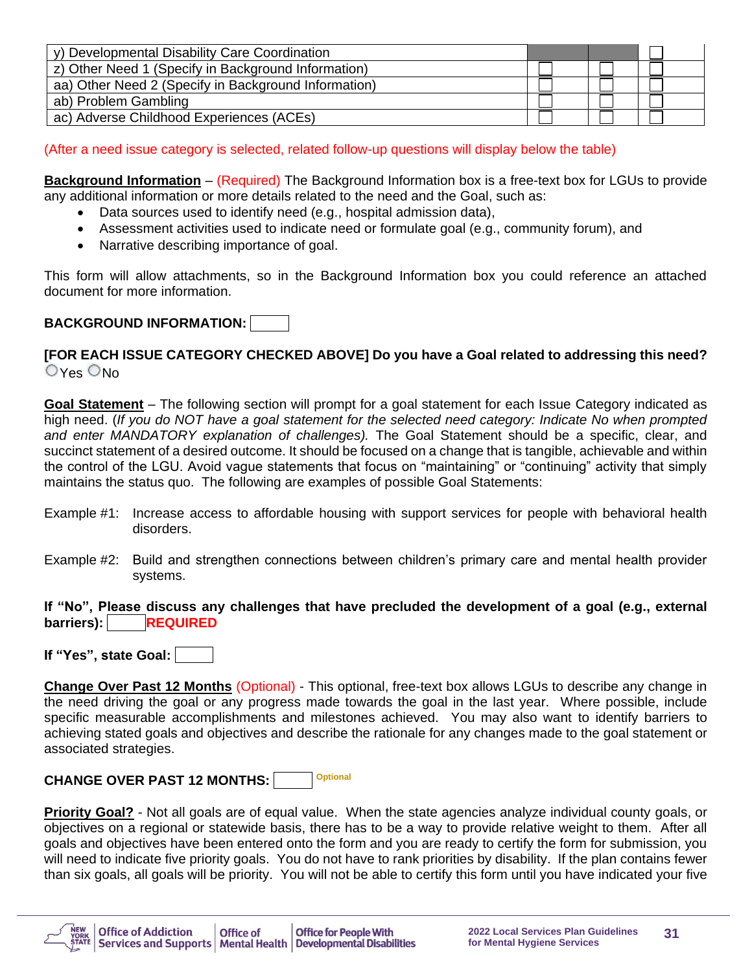| y) Developmental Disability Care Coordination        |  |  |
|------------------------------------------------------|--|--|
| z) Other Need 1 (Specify in Background Information)  |  |  |
| aa) Other Need 2 (Specify in Background Information) |  |  |
| ab) Problem Gambling                                 |  |  |
| ac) Adverse Childhood Experiences (ACEs)             |  |  |

(After a need issue category is selected, related follow-up questions will display below the table)

**Background Information** – (Required) The Background Information box is a free-text box for LGUs to provide any additional information or more details related to the need and the Goal, such as:

- Data sources used to identify need (e.g., hospital admission data),
- Assessment activities used to indicate need or formulate goal (e.g., community forum), and
- Narrative describing importance of goal.

This form will allow attachments, so in the Background Information box you could reference an attached document for more information.

#### **BACKGROUND INFORMATION:**

#### **[FOR EACH ISSUE CATEGORY CHECKED ABOVE] Do you have a Goal related to addressing this need?**  $O$ Yes  $O$ No

**Goal Statement** – The following section will prompt for a goal statement for each Issue Category indicated as high need. (*If you do NOT have a goal statement for the selected need category: Indicate No when prompted and enter MANDATORY explanation of challenges).* The Goal Statement should be a specific, clear, and succinct statement of a desired outcome. It should be focused on a change that is tangible, achievable and within the control of the LGU. Avoid vague statements that focus on "maintaining" or "continuing" activity that simply maintains the status quo. The following are examples of possible Goal Statements:

- Example #1: Increase access to affordable housing with support services for people with behavioral health disorders.
- Example #2: Build and strengthen connections between children's primary care and mental health provider systems.

#### **If "No", Please discuss any challenges that have precluded the development of a goal (e.g., external barriers): REQUIRED**

**If "Yes", state Goal:** 

**Change Over Past 12 Months** (Optional) - This optional, free-text box allows LGUs to describe any change in the need driving the goal or any progress made towards the goal in the last year. Where possible, include specific measurable accomplishments and milestones achieved. You may also want to identify barriers to achieving stated goals and objectives and describe the rationale for any changes made to the goal statement or associated strategies.

**CHANGE OVER PAST 12 MONTHS: Optional**

**Priority Goal?** - Not all goals are of equal value. When the state agencies analyze individual county goals, or objectives on a regional or statewide basis, there has to be a way to provide relative weight to them. After all goals and objectives have been entered onto the form and you are ready to certify the form for submission, you will need to indicate five priority goals. You do not have to rank priorities by disability. If the plan contains fewer than six goals, all goals will be priority. You will not be able to certify this form until you have indicated your five

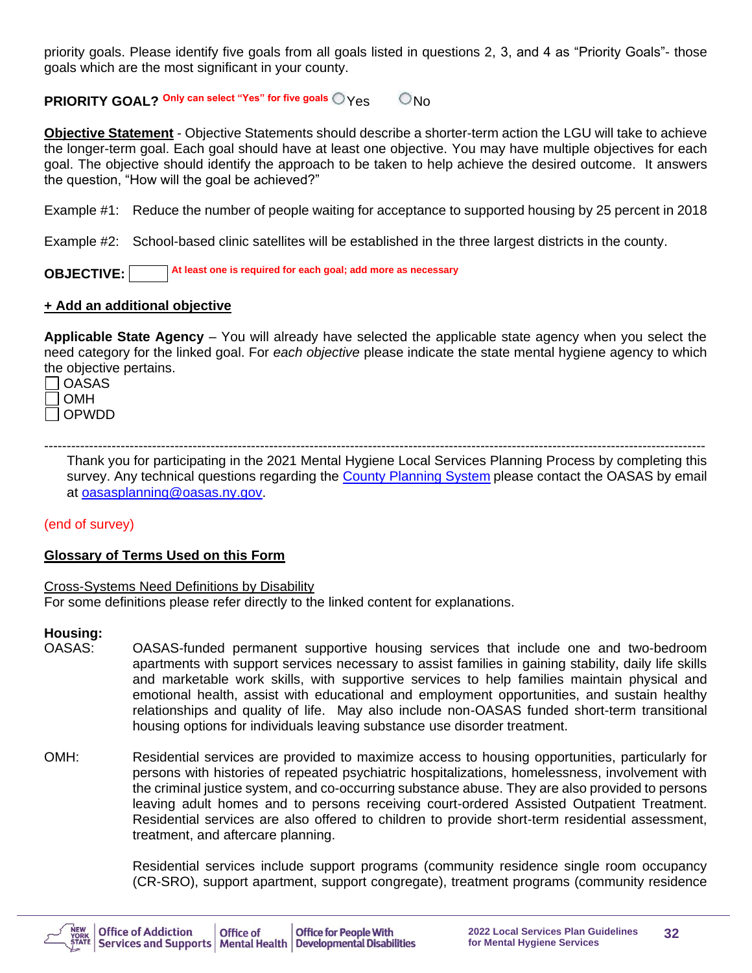priority goals. Please identify five goals from all goals listed in questions 2, 3, and 4 as "Priority Goals"- those goals which are the most significant in your county.

**PRIORITY GOAL? <sup>Only</sup> can select "Yes" for five goals**  $\bigcirc$  **Yes**  $\bigcirc$  **No** 

**Objective Statement** - Objective Statements should describe a shorter-term action the LGU will take to achieve the longer-term goal. Each goal should have at least one objective. You may have multiple objectives for each goal. The objective should identify the approach to be taken to help achieve the desired outcome. It answers the question, "How will the goal be achieved?"

Example #1: Reduce the number of people waiting for acceptance to supported housing by 25 percent in 2018

Example #2: School-based clinic satellites will be established in the three largest districts in the county.

**OBJECTIVE: At least one is required for each goal; add more as necessary**

#### **+ Add an additional objective**

**Applicable State Agency** – You will already have selected the applicable state agency when you select the need category for the linked goal. For *each objective* please indicate the state mental hygiene agency to which the objective pertains.

| <b>OASAS</b> |
|--------------|
| <b>OMH</b>   |
| OPWDD        |

--------------------------------------------------------------------------------------------------------------------------------------------------- Thank you for participating in the 2021 Mental Hygiene Local Services Planning Process by completing this survey. Any technical questions regarding the [County Planning System](https://cps.oasas.ny.gov/cps/) please contact the OASAS by email at [oasasplanning@oasas.ny.gov](mailto:oasasplanning@oasas.ny.gov).

#### (end of survey)

#### **Glossary of Terms Used on this Form**

#### Cross-Systems Need Definitions by Disability

For some definitions please refer directly to the linked content for explanations.

#### **Housing:**

- OASAS: OASAS-funded permanent supportive housing services that include one and two-bedroom apartments with support services necessary to assist families in gaining stability, daily life skills and marketable work skills, with supportive services to help families maintain physical and emotional health, assist with educational and employment opportunities, and sustain healthy relationships and quality of life. May also include non-OASAS funded short-term transitional housing options for individuals leaving substance use disorder treatment.
- OMH: Residential services are provided to maximize access to housing opportunities, particularly for persons with histories of repeated psychiatric hospitalizations, homelessness, involvement with the criminal justice system, and co-occurring substance abuse. They are also provided to persons leaving adult homes and to persons receiving court-ordered Assisted Outpatient Treatment. Residential services are also offered to children to provide short-term residential assessment, treatment, and aftercare planning.

Residential services include support programs (community residence single room occupancy (CR-SRO), support apartment, support congregate), treatment programs (community residence

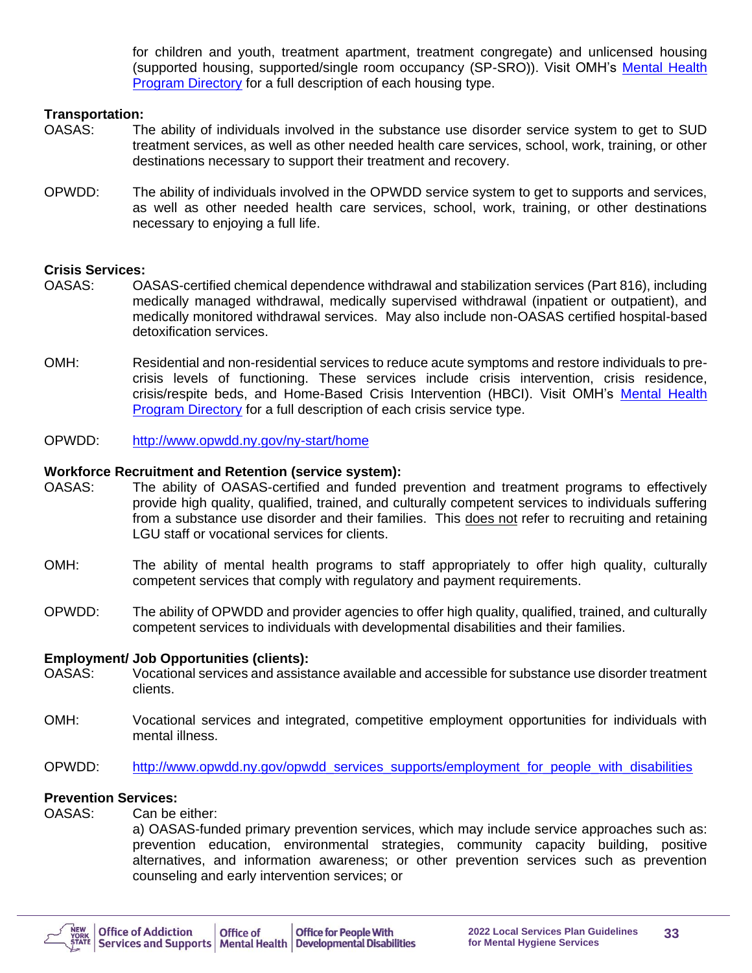for children and youth, treatment apartment, treatment congregate) and unlicensed housing (supported housing, supported/single room occupancy (SP-SRO)). Visit OMH's [Mental Health](https://my.omh.ny.gov/analytics/saw.dll?PortalPages&PortalPath=%2Fshared%2FMental%20Health%20Program%20Directory%2F_portal%2FMental%20Health%20Program%20Directory&nquser=BI_Guest&nqpassword=Public123#22)  [Program Directory](https://my.omh.ny.gov/analytics/saw.dll?PortalPages&PortalPath=%2Fshared%2FMental%20Health%20Program%20Directory%2F_portal%2FMental%20Health%20Program%20Directory&nquser=BI_Guest&nqpassword=Public123#22) for a full description of each housing type.

#### **Transportation:**

- OASAS: The ability of individuals involved in the substance use disorder service system to get to SUD treatment services, as well as other needed health care services, school, work, training, or other destinations necessary to support their treatment and recovery.
- OPWDD: The ability of individuals involved in the OPWDD service system to get to supports and services, as well as other needed health care services, school, work, training, or other destinations necessary to enjoying a full life.

#### **Crisis Services:**

- OASAS: OASAS-certified chemical dependence withdrawal and stabilization services (Part 816), including medically managed withdrawal, medically supervised withdrawal (inpatient or outpatient), and medically monitored withdrawal services. May also include non-OASAS certified hospital-based detoxification services.
- OMH: Residential and non-residential services to reduce acute symptoms and restore individuals to precrisis levels of functioning. These services include crisis intervention, crisis residence, crisis/respite beds, and Home-Based Crisis Intervention (HBCI). Visit OMH's [Mental Health](https://my.omh.ny.gov/analytics/saw.dll?PortalPages&PortalPath=%2Fshared%2FMental%20Health%20Program%20Directory%2F_portal%2FMental%20Health%20Program%20Directory&nquser=BI_Guest&nqpassword=Public123#22)  [Program Directory](https://my.omh.ny.gov/analytics/saw.dll?PortalPages&PortalPath=%2Fshared%2FMental%20Health%20Program%20Directory%2F_portal%2FMental%20Health%20Program%20Directory&nquser=BI_Guest&nqpassword=Public123#22) for a full description of each crisis service type.
- OPWDD: <http://www.opwdd.ny.gov/ny-start/home>

#### **Workforce Recruitment and Retention (service system):**

- OASAS: The ability of OASAS-certified and funded prevention and treatment programs to effectively provide high quality, qualified, trained, and culturally competent services to individuals suffering from a substance use disorder and their families. This does not refer to recruiting and retaining LGU staff or vocational services for clients.
- OMH: The ability of mental health programs to staff appropriately to offer high quality, culturally competent services that comply with regulatory and payment requirements.
- OPWDD: The ability of OPWDD and provider agencies to offer high quality, qualified, trained, and culturally competent services to individuals with developmental disabilities and their families.

#### **Employment/ Job Opportunities (clients):**

- OASAS: Vocational services and assistance available and accessible for substance use disorder treatment clients.
- OMH: Vocational services and integrated, competitive employment opportunities for individuals with mental illness.
- OPWDD: [http://www.opwdd.ny.gov/opwdd\\_services\\_supports/employment\\_for\\_people\\_with\\_disabilities](http://www.opwdd.ny.gov/opwdd_services_supports/employment_for_people_with_disabilities)

## **Prevention Services:**<br>OASAS: Can be

Can be either:

a) OASAS-funded primary prevention services, which may include service approaches such as: prevention education, environmental strategies, community capacity building, positive alternatives, and information awareness; or other prevention services such as prevention counseling and early intervention services; or

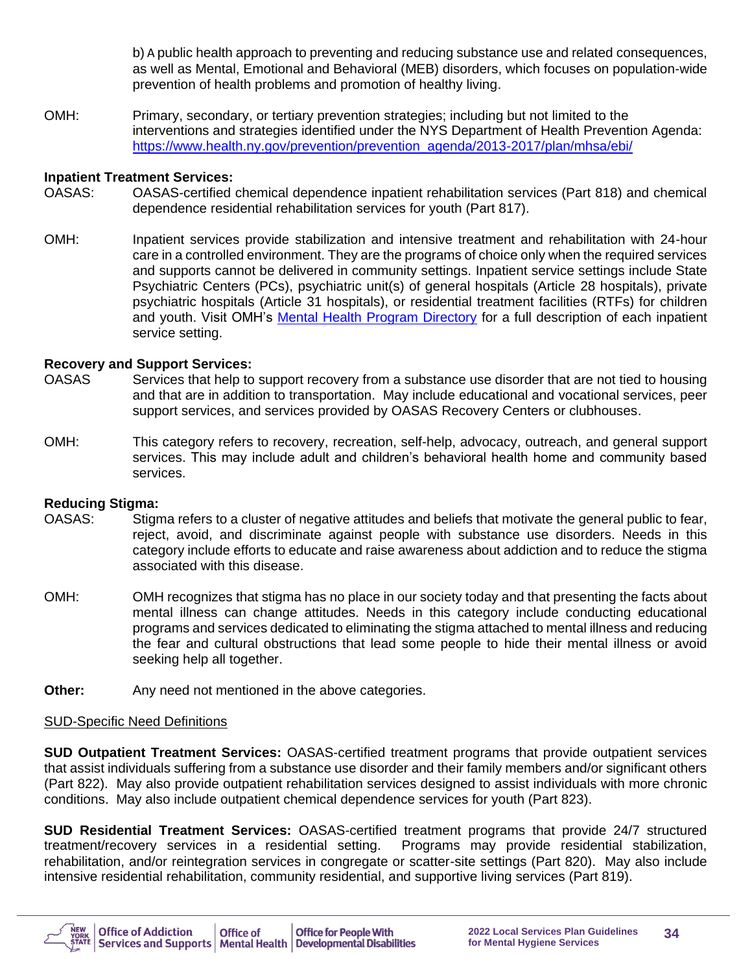b) A public health approach to preventing and reducing substance use and related consequences, as well as Mental, Emotional and Behavioral (MEB) disorders, which focuses on population-wide prevention of health problems and promotion of healthy living.

OMH: Primary, secondary, or tertiary prevention strategies; including but not limited to the interventions and strategies identified under the NYS Department of Health Prevention Agenda: [https://www.health.ny.gov/prevention/prevention\\_agenda/2013-2017/plan/mhsa/ebi/](https://www.health.ny.gov/prevention/prevention_agenda/2013-2017/plan/mhsa/ebi/)

#### **Inpatient Treatment Services:**

- OASAS: OASAS-certified chemical dependence inpatient rehabilitation services (Part 818) and chemical dependence residential rehabilitation services for youth (Part 817).
- OMH: Inpatient services provide stabilization and intensive treatment and rehabilitation with 24-hour care in a controlled environment. They are the programs of choice only when the required services and supports cannot be delivered in community settings. Inpatient service settings include State Psychiatric Centers (PCs), psychiatric unit(s) of general hospitals (Article 28 hospitals), private psychiatric hospitals (Article 31 hospitals), or residential treatment facilities (RTFs) for children and youth. Visit OMH's [Mental Health Program Directory](https://my.omh.ny.gov/analytics/saw.dll?PortalPages&PortalPath=%2Fshared%2FMental%20Health%20Program%20Directory%2F_portal%2FMental%20Health%20Program%20Directory&nquser=BI_Guest&nqpassword=Public123#22) for a full description of each inpatient service setting.

#### **Recovery and Support Services:**

- OASAS Services that help to support recovery from a substance use disorder that are not tied to housing and that are in addition to transportation. May include educational and vocational services, peer support services, and services provided by OASAS Recovery Centers or clubhouses.
- OMH: This category refers to recovery, recreation, self-help, advocacy, outreach, and general support services. This may include adult and children's behavioral health home and community based services.

#### **Reducing Stigma:**

- OASAS: Stigma refers to a cluster of negative attitudes and beliefs that motivate the general public to fear, reject, avoid, and discriminate against people with substance use disorders. Needs in this category include efforts to educate and raise awareness about addiction and to reduce the stigma associated with this disease.
- OMH: OMH recognizes that stigma has no place in our society today and that presenting the facts about mental illness can change attitudes. Needs in this category include conducting educational programs and services dedicated to eliminating the stigma attached to mental illness and reducing the fear and cultural obstructions that lead some people to hide their mental illness or avoid seeking help all together.
- **Other:** Any need not mentioned in the above categories.

#### SUD-Specific Need Definitions

**SUD Outpatient Treatment Services:** OASAS-certified treatment programs that provide outpatient services that assist individuals suffering from a substance use disorder and their family members and/or significant others (Part 822). May also provide outpatient rehabilitation services designed to assist individuals with more chronic conditions. May also include outpatient chemical dependence services for youth (Part 823).

**SUD Residential Treatment Services:** OASAS-certified treatment programs that provide 24/7 structured treatment/recovery services in a residential setting. Programs may provide residential stabilization, rehabilitation, and/or reintegration services in congregate or scatter-site settings (Part 820). May also include intensive residential rehabilitation, community residential, and supportive living services (Part 819).

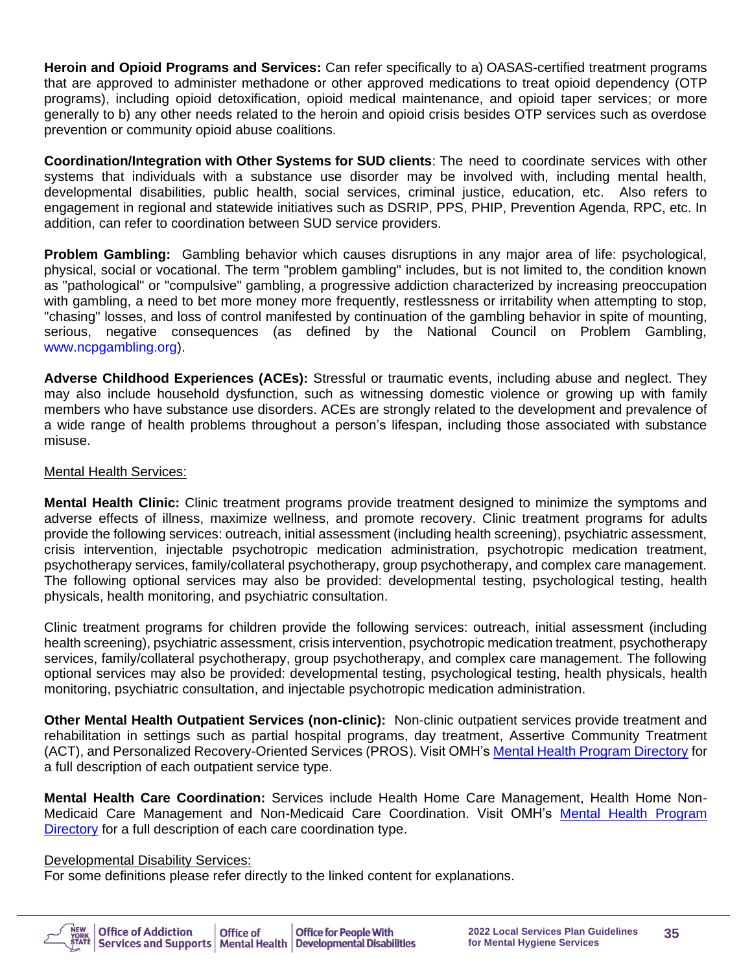**Heroin and Opioid Programs and Services:** Can refer specifically to a) OASAS-certified treatment programs that are approved to administer methadone or other approved medications to treat opioid dependency (OTP programs), including opioid detoxification, opioid medical maintenance, and opioid taper services; or more generally to b) any other needs related to the heroin and opioid crisis besides OTP services such as overdose prevention or community opioid abuse coalitions.

**Coordination/Integration with Other Systems for SUD clients**: The need to coordinate services with other systems that individuals with a substance use disorder may be involved with, including mental health, developmental disabilities, public health, social services, criminal justice, education, etc. Also refers to engagement in regional and statewide initiatives such as DSRIP, PPS, PHIP, Prevention Agenda, RPC, etc. In addition, can refer to coordination between SUD service providers.

**Problem Gambling:** Gambling behavior which causes disruptions in any major area of life: psychological, physical, social or vocational. The term "problem gambling" includes, but is not limited to, the condition known as "pathological" or "compulsive" gambling, a progressive addiction characterized by increasing preoccupation with gambling, a need to bet more money more frequently, restlessness or irritability when attempting to stop, "chasing" losses, and loss of control manifested by continuation of the gambling behavior in spite of mounting, serious, negative consequences (as defined by the National Council on Problem Gambling, [www.ncpgambling.org\)](http://www.ncpgambling.org/).

**Adverse Childhood Experiences (ACEs):** Stressful or traumatic events, including abuse and neglect. They may also include household dysfunction, such as witnessing domestic violence or growing up with family members who have substance use disorders. ACEs are strongly related to the development and prevalence of a wide range of health problems throughout a person's lifespan, including those associated with substance misuse.

#### Mental Health Services:

**Mental Health Clinic:** Clinic treatment programs provide treatment designed to minimize the symptoms and adverse effects of illness, maximize wellness, and promote recovery. Clinic treatment programs for adults provide the following services: outreach, initial assessment (including health screening), psychiatric assessment, crisis intervention, injectable psychotropic medication administration, psychotropic medication treatment, psychotherapy services, family/collateral psychotherapy, group psychotherapy, and complex care management. The following optional services may also be provided: developmental testing, psychological testing, health physicals, health monitoring, and psychiatric consultation.

Clinic treatment programs for children provide the following services: outreach, initial assessment (including health screening), psychiatric assessment, crisis intervention, psychotropic medication treatment, psychotherapy services, family/collateral psychotherapy, group psychotherapy, and complex care management. The following optional services may also be provided: developmental testing, psychological testing, health physicals, health monitoring, psychiatric consultation, and injectable psychotropic medication administration.

**Other Mental Health Outpatient Services (non-clinic):** Non-clinic outpatient services provide treatment and rehabilitation in settings such as partial hospital programs, day treatment, Assertive Community Treatment (ACT), and Personalized Recovery-Oriented Services (PROS). Visit OMH'[s Mental Health Program Directory](https://my.omh.ny.gov/analytics/saw.dll?PortalPages&PortalPath=%2Fshared%2FMental%20Health%20Program%20Directory%2F_portal%2FMental%20Health%20Program%20Directory&nquser=BI_Guest&nqpassword=Public123#22) for a full description of each outpatient service type.

**Mental Health Care Coordination:** Services include Health Home Care Management, Health Home Non-Medicaid Care Management and Non-Medicaid Care Coordination. Visit OMH's [Mental Health Program](https://my.omh.ny.gov/analytics/saw.dll?PortalPages&PortalPath=%2Fshared%2FMental%20Health%20Program%20Directory%2F_portal%2FMental%20Health%20Program%20Directory&nquser=BI_Guest&nqpassword=Public123#22)  [Directory](https://my.omh.ny.gov/analytics/saw.dll?PortalPages&PortalPath=%2Fshared%2FMental%20Health%20Program%20Directory%2F_portal%2FMental%20Health%20Program%20Directory&nquser=BI_Guest&nqpassword=Public123#22) for a full description of each care coordination type.

#### Developmental Disability Services:

For some definitions please refer directly to the linked content for explanations.

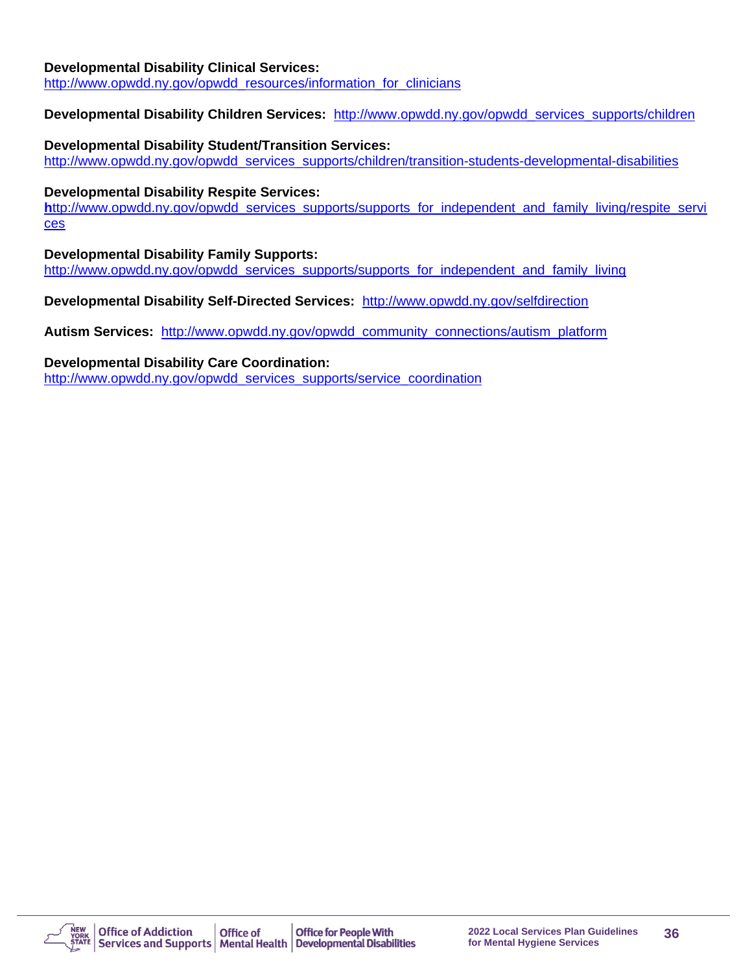#### **Developmental Disability Clinical Services:**

[http://www.opwdd.ny.gov/opwdd\\_resources/information\\_for\\_clinicians](http://www.opwdd.ny.gov/opwdd_resources/information_for_clinicians)

#### **Developmental Disability Children Services:** [http://www.opwdd.ny.gov/opwdd\\_services\\_supports/children](http://www.opwdd.ny.gov/opwdd_services_supports/children)

#### **Developmental Disability Student/Transition Services:**

[http://www.opwdd.ny.gov/opwdd\\_services\\_supports/children/transition-students-developmental-disabilities](http://www.opwdd.ny.gov/opwdd_services_supports/children/transition-students-developmental-disabilities)

#### **Developmental Disability Respite Services:**

h[ttp://www.opwdd.ny.gov/opwdd\\_services\\_supports/supports\\_for\\_independent\\_and\\_family\\_living/respite\\_servi](http://www.opwdd.ny.gov/opwdd_services_supports/supports_for_independent_and_family_living/respite_services) [ces](http://www.opwdd.ny.gov/opwdd_services_supports/supports_for_independent_and_family_living/respite_services)

#### **Developmental Disability Family Supports:**

[http://www.opwdd.ny.gov/opwdd\\_services\\_supports/supports\\_for\\_independent\\_and\\_family\\_living](http://www.opwdd.ny.gov/opwdd_services_supports/supports_for_independent_and_family_living)

#### **Developmental Disability Self-Directed Services:** <http://www.opwdd.ny.gov/selfdirection>

**Autism Services:** [http://www.opwdd.ny.gov/opwdd\\_community\\_connections/autism\\_platform](http://www.opwdd.ny.gov/opwdd_community_connections/autism_platform)

#### **Developmental Disability Care Coordination:**

[http://www.opwdd.ny.gov/opwdd\\_services\\_supports/service\\_coordination](http://www.opwdd.ny.gov/opwdd_services_supports/service_coordination)

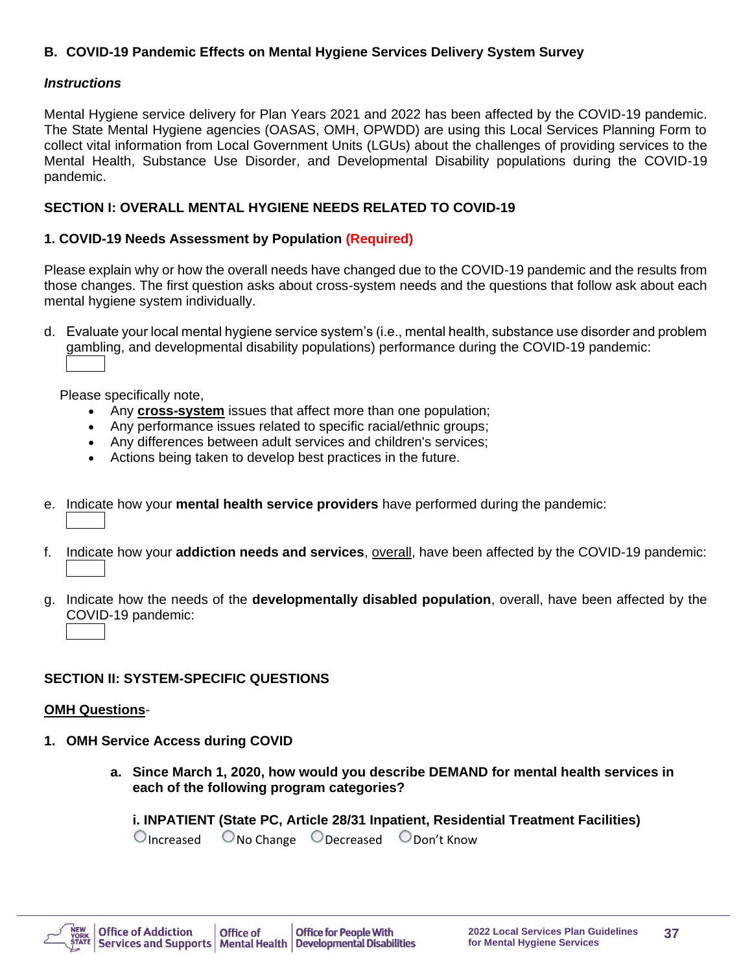## **B. COVID-19 Pandemic Effects on Mental Hygiene Services Delivery System Survey**

#### *Instructions*

Mental Hygiene service delivery for Plan Years 2021 and 2022 has been affected by the COVID-19 pandemic. The State Mental Hygiene agencies (OASAS, OMH, OPWDD) are using this Local Services Planning Form to collect vital information from Local Government Units (LGUs) about the challenges of providing services to the Mental Health, Substance Use Disorder, and Developmental Disability populations during the COVID-19 pandemic.

#### **SECTION I: OVERALL MENTAL HYGIENE NEEDS RELATED TO COVID-19**

#### **1. COVID-19 Needs Assessment by Population (Required)**

Please explain why or how the overall needs have changed due to the COVID-19 pandemic and the results from those changes. The first question asks about cross-system needs and the questions that follow ask about each mental hygiene system individually.

d. Evaluate your local mental hygiene service system's (i.e., mental health, substance use disorder and problem gambling, and developmental disability populations) performance during the COVID-19 pandemic:

Please specifically note,

- Any **cross-system** issues that affect more than one population;
- Any performance issues related to specific racial/ethnic groups;
- Any differences between adult services and children's services;
- Actions being taken to develop best practices in the future.
- e. Indicate how your **mental health service providers** have performed during the pandemic:
- f. Indicate how your **addiction needs and services**, overall, have been affected by the COVID-19 pandemic:
- g. Indicate how the needs of the **developmentally disabled population**, overall, have been affected by the COVID-19 pandemic:

## **SECTION II: SYSTEM-SPECIFIC QUESTIONS**

#### **OMH Questions**-

- **1. OMH Service Access during COVID**
	- **a. Since March 1, 2020, how would you describe DEMAND for mental health services in each of the following program categories?**

**i. INPATIENT (State PC, Article 28/31 Inpatient, Residential Treatment Facilities)**  $\bigcirc$  Increased  $\bigcirc$  No Change  $\bigcirc$  Decreased  $\bigcirc$  Don't Know

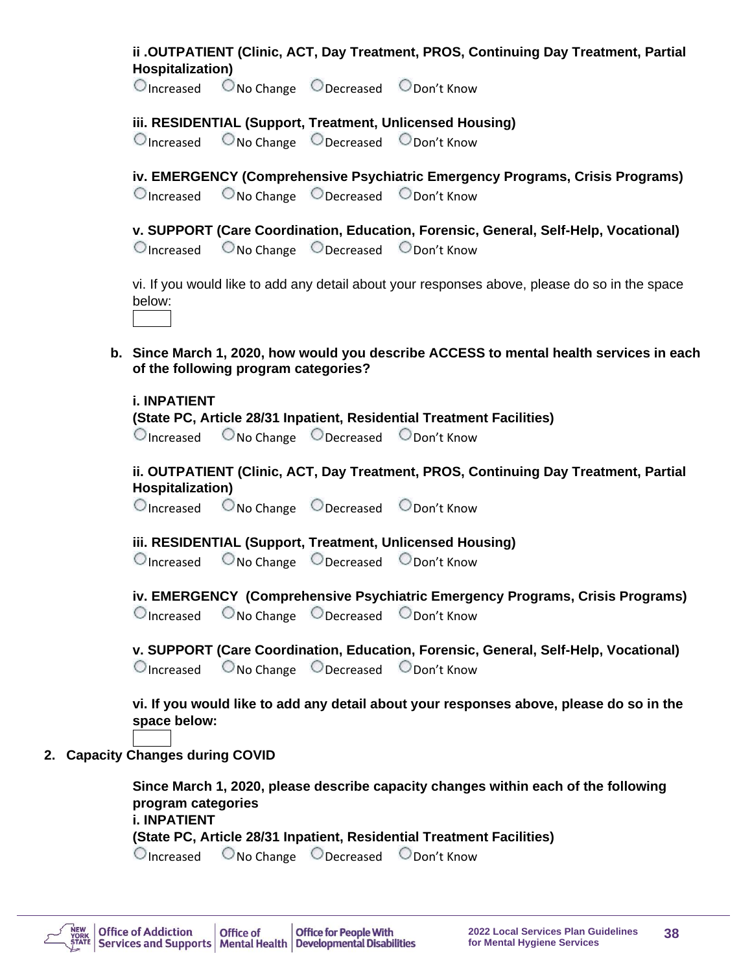|                  | ii .OUTPATIENT (Clinic, ACT, Day Treatment, PROS, Continuing Day Treatment, Partial |  |  |
|------------------|-------------------------------------------------------------------------------------|--|--|
| Hospitalization) |                                                                                     |  |  |

Increased No Change Decreased Don't Know

#### **iii. RESIDENTIAL (Support, Treatment, Unlicensed Housing)**

Increased No Change Decreased Don't Know

**iv. EMERGENCY (Comprehensive Psychiatric Emergency Programs, Crisis Programs)**  Increased No Change Decreased Don't Know

**v. SUPPORT (Care Coordination, Education, Forensic, General, Self-Help, Vocational)** Increased No Change Decreased Don't Know

vi. If you would like to add any detail about your responses above, please do so in the space below:

**b. Since March 1, 2020, how would you describe ACCESS to mental health services in each of the following program categories?**

**i. INPATIENT (State PC, Article 28/31 Inpatient, Residential Treatment Facilities)**  $\bigcirc$  Increased  $\bigcirc$  No Change  $\bigcirc$  Decreased  $\bigcirc$  Don't Know

**ii. OUTPATIENT (Clinic, ACT, Day Treatment, PROS, Continuing Day Treatment, Partial Hospitalization)**

Increased No Change Decreased Don't Know

## **iii. RESIDENTIAL (Support, Treatment, Unlicensed Housing)**

 $\bigcirc$  Increased  $\bigcirc$  No Change  $\bigcirc$  Decreased  $\bigcirc$  Don't Know

|  | iv. EMERGENCY (Comprehensive Psychiatric Emergency Programs, Crisis Programs)        |  |
|--|--------------------------------------------------------------------------------------|--|
|  | $\bigcirc$ Increased $\bigcirc$ No Change $\bigcirc$ Decreased $\bigcirc$ Don't Know |  |

|                                                 |  | v. SUPPORT (Care Coordination, Education, Forensic, General, Self-Help, Vocational) |  |
|-------------------------------------------------|--|-------------------------------------------------------------------------------------|--|
| O Increased ONo Change O Decreased O Don't Know |  |                                                                                     |  |

**vi. If you would like to add any detail about your responses above, please do so in the space below:**

**2. Capacity Changes during COVID**

**Since March 1, 2020, please describe capacity changes within each of the following program categories i. INPATIENT (State PC, Article 28/31 Inpatient, Residential Treatment Facilities)**

Increased No Change Decreased Don't Know

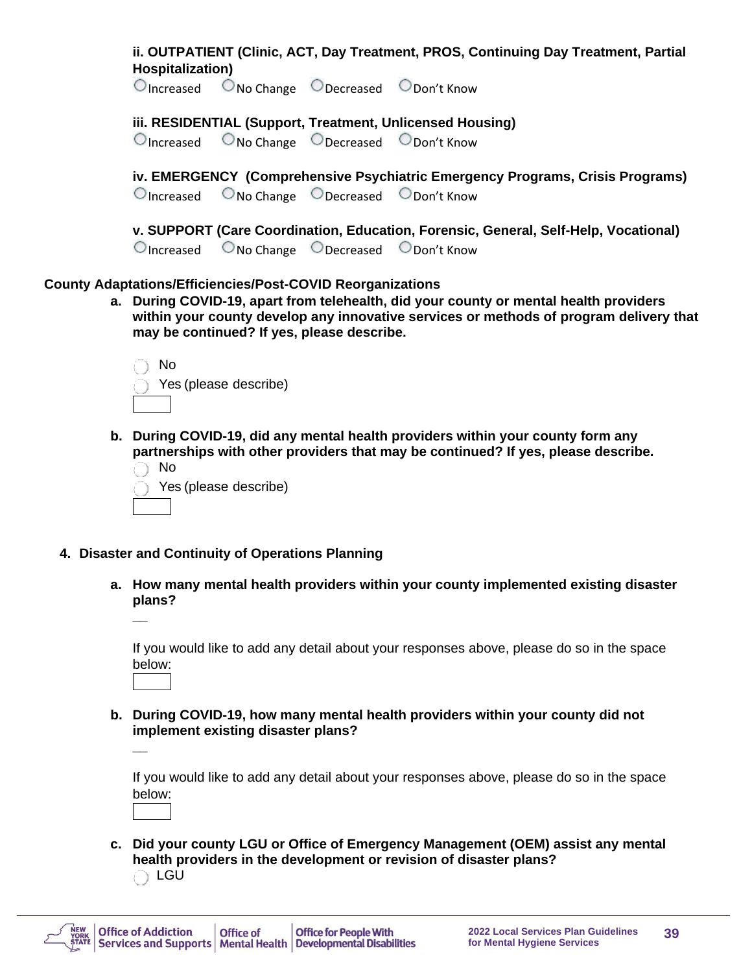| Hospitalization)     |                                                                                                                 | ii. OUTPATIENT (Clinic, ACT, Day Treatment, PROS, Continuing Day Treatment, Partial                                                                                             |
|----------------------|-----------------------------------------------------------------------------------------------------------------|---------------------------------------------------------------------------------------------------------------------------------------------------------------------------------|
| $\bigcirc$ Increased |                                                                                                                 | $\bigcirc$ No Change $\bigcirc$ Decreased $\bigcirc$ Don't Know                                                                                                                 |
| $\bigcirc$ Increased |                                                                                                                 | iii. RESIDENTIAL (Support, Treatment, Unlicensed Housing)<br>$\bigcirc$ No Change $\bigcirc$ Decreased $\bigcirc$ Don't Know                                                    |
| $\bigcirc$ Increased |                                                                                                                 | iv. EMERGENCY (Comprehensive Psychiatric Emergency Programs, Crisis Programs)<br>$\bigcirc$ No Change $\bigcirc$ Decreased $\bigcirc$ Don't Know                                |
| $\bigcirc$ Increased |                                                                                                                 | v. SUPPORT (Care Coordination, Education, Forensic, General, Self-Help, Vocational)<br>ONo Change ODecreased ODon't Know                                                        |
|                      | <b>County Adaptations/Efficiencies/Post-COVID Reorganizations</b><br>may be continued? If yes, please describe. | a. During COVID-19, apart from telehealth, did your county or mental health providers<br>within your county develop any innovative services or methods of program delivery that |
| No                   | Yes (please describe)                                                                                           |                                                                                                                                                                                 |
| No                   | Yes (please describe)                                                                                           | b. During COVID-19, did any mental health providers within your county form any<br>partnerships with other providers that may be continued? If yes, please describe.            |
|                      | 4. Disaster and Continuity of Operations Planning                                                               |                                                                                                                                                                                 |

**a. How many mental health providers within your county implemented existing disaster plans? \_\_**

If you would like to add any detail about your responses above, please do so in the space below:

**b. During COVID-19, how many mental health providers within your county did not implement existing disaster plans? \_\_**

If you would like to add any detail about your responses above, please do so in the space below:

**c. Did your county LGU or Office of Emergency Management (OEM) assist any mental health providers in the development or revision of disaster plans?** O LGU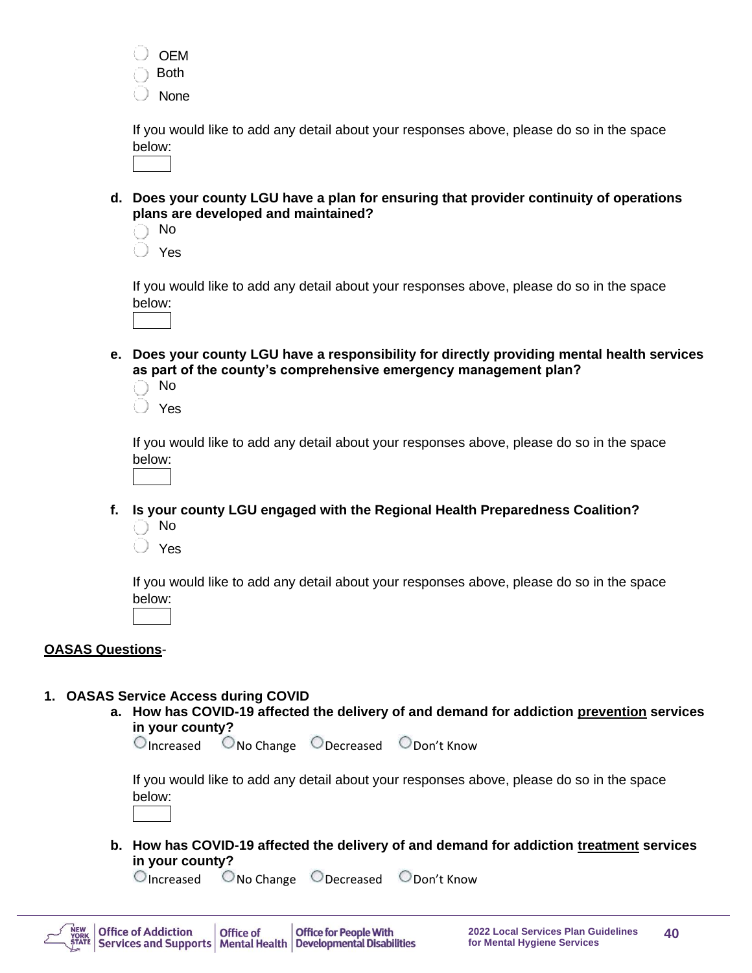

If you would like to add any detail about your responses above, please do so in the space below:

**d. Does your county LGU have a plan for ensuring that provider continuity of operations plans are developed and maintained?**

No

Yes

If you would like to add any detail about your responses above, please do so in the space below:



**e. Does your county LGU have a responsibility for directly providing mental health services as part of the county's comprehensive emergency management plan?**

 No Yes

If you would like to add any detail about your responses above, please do so in the space below:

- **f. Is your county LGU engaged with the Regional Health Preparedness Coalition?**
	- No
	- Yes

If you would like to add any detail about your responses above, please do so in the space below:

#### **OASAS Questions**-

#### **1. OASAS Service Access during COVID**

**a. How has COVID-19 affected the delivery of and demand for addiction prevention services in your county?**

Increased No Change Decreased Don't Know

If you would like to add any detail about your responses above, please do so in the space below:

**b. How has COVID-19 affected the delivery of and demand for addiction treatment services in your county?**

 $\bigcirc$  Increased  $\bigcirc$  No Change  $\bigcirc$  Decreased  $\bigcirc$  Don't Know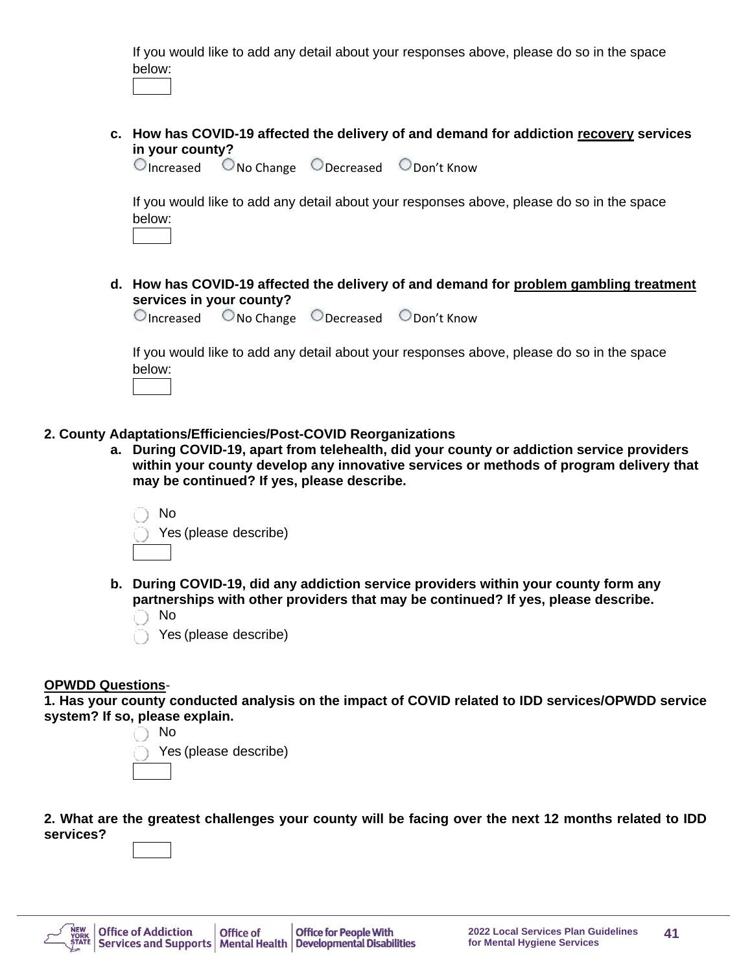If you would like to add any detail about your responses above, please do so in the space below:

**c. How has COVID-19 affected the delivery of and demand for addiction recovery services in your county?**

Increased No Change Decreased Don't Know

If you would like to add any detail about your responses above, please do so in the space below:

- 
- **d. How has COVID-19 affected the delivery of and demand for problem gambling treatment services in your county?**

 $\bigcirc$  Increased  $\bigcirc$  No Change  $\bigcirc$  Decreased  $\bigcirc$  Don't Know

If you would like to add any detail about your responses above, please do so in the space below:

- **2. County Adaptations/Efficiencies/Post-COVID Reorganizations**
	- **a. During COVID-19, apart from telehealth, did your county or addiction service providers within your county develop any innovative services or methods of program delivery that may be continued? If yes, please describe.**



- **b. During COVID-19, did any addiction service providers within your county form any partnerships with other providers that may be continued? If yes, please describe.** 
	- No
	- Yes (please describe)

#### **OPWDD Questions**-

**1. Has your county conducted analysis on the impact of COVID related to IDD services/OPWDD service system? If so, please explain.**



**2. What are the greatest challenges your county will be facing over the next 12 months related to IDD services?** 

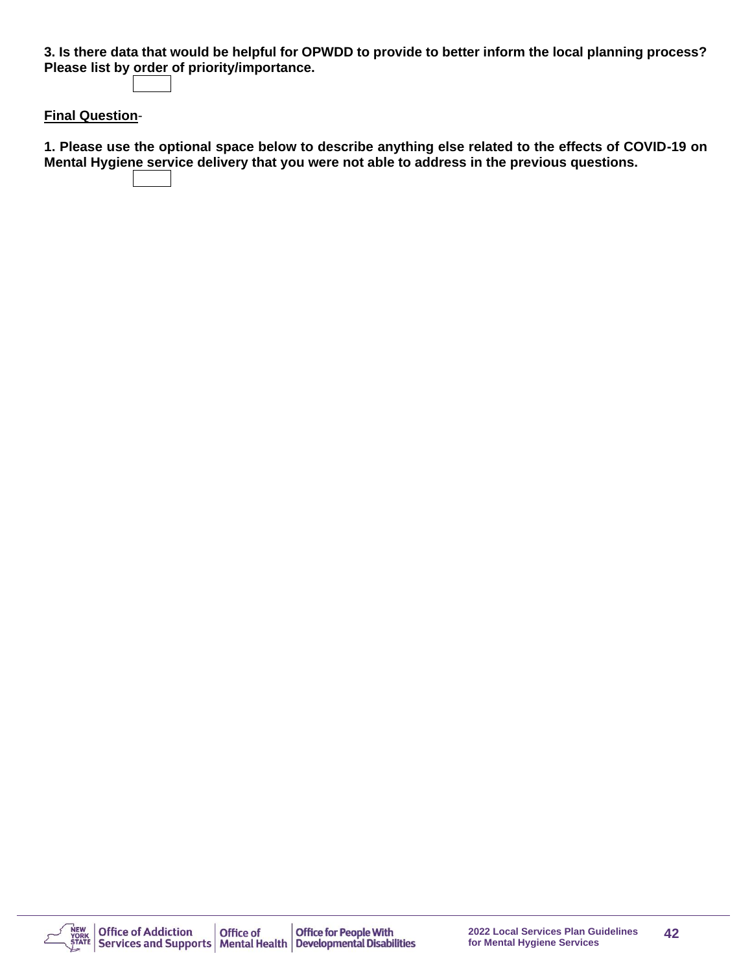**3. Is there data that would be helpful for OPWDD to provide to better inform the local planning process? Please list by order of priority/importance.**

#### **Final Question**-

**1. Please use the optional space below to describe anything else related to the effects of COVID-19 on Mental Hygiene service delivery that you were not able to address in the previous questions.**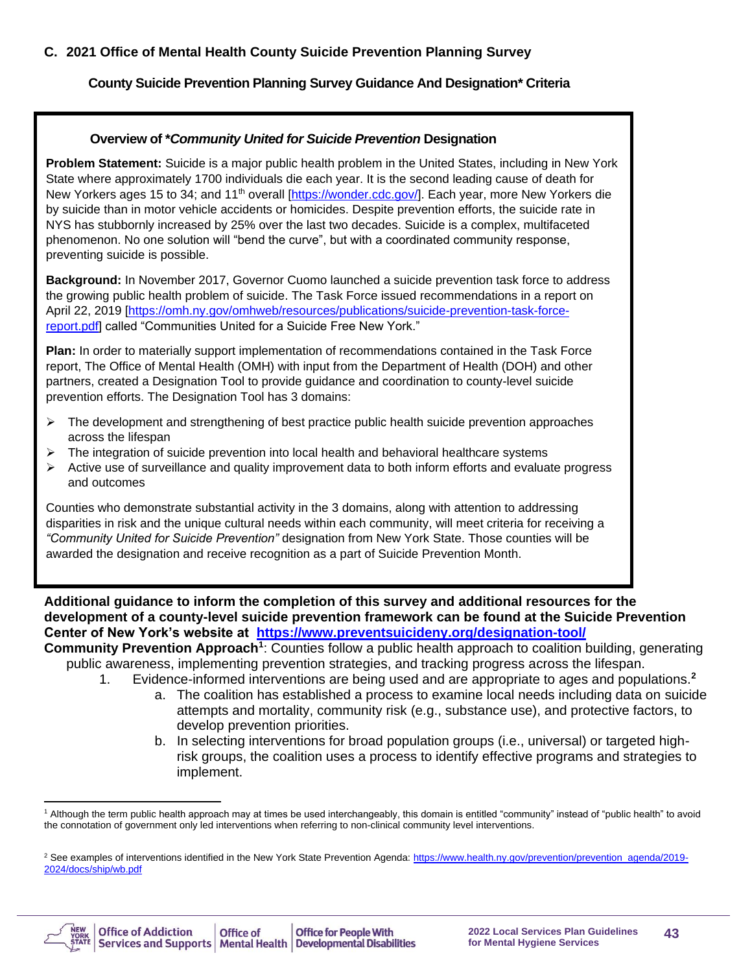#### **C. 2021 Office of Mental Health County Suicide Prevention Planning Survey**

#### **County Suicide Prevention Planning Survey Guidance And Designation\* Criteria**

#### **Overview of \****Community United for Suicide Prevention* **Designation**

**Problem Statement:** Suicide is a major public health problem in the United States, including in New York State where approximately 1700 individuals die each year. It is the second leading cause of death for New Yorkers ages 15 to 34; and 11<sup>th</sup> overall [\[https://wonder.cdc.gov/\]](https://wonder.cdc.gov/). Each year, more New Yorkers die by suicide than in motor vehicle accidents or homicides. Despite prevention efforts, the suicide rate in NYS has stubbornly increased by 25% over the last two decades. Suicide is a complex, multifaceted phenomenon. No one solution will "bend the curve", but with a coordinated community response, preventing suicide is possible.

**Background:** In November 2017, Governor Cuomo launched a suicide prevention task force to address the growing public health problem of suicide. The Task Force issued recommendations in a report on April 22, 2019 [\[https://omh.ny.gov/omhweb/resources/publications/suicide-prevention-task-force](https://omh.ny.gov/omhweb/resources/publications/suicide-prevention-task-force-report.pdf)[report.pdf\]](https://omh.ny.gov/omhweb/resources/publications/suicide-prevention-task-force-report.pdf) called "Communities United for a Suicide Free New York."

**Plan:** In order to materially support implementation of recommendations contained in the Task Force report, The Office of Mental Health (OMH) with input from the Department of Health (DOH) and other partners, created a Designation Tool to provide guidance and coordination to county-level suicide prevention efforts. The Designation Tool has 3 domains:

- $\triangleright$  The development and strengthening of best practice public health suicide prevention approaches across the lifespan
- ➢ The integration of suicide prevention into local health and behavioral healthcare systems
- ➢ Active use of surveillance and quality improvement data to both inform efforts and evaluate progress and outcomes

Counties who demonstrate substantial activity in the 3 domains, along with attention to addressing disparities in risk and the unique cultural needs within each community, will meet criteria for receiving a *"Community United for Suicide Prevention"* designation from New York State. Those counties will be awarded the designation and receive recognition as a part of Suicide Prevention Month.

**Additional guidance to inform the completion of this survey and additional resources for the development of a county-level suicide prevention framework can be found at the Suicide Prevention Center of New York's website at [https://www.preventsuicideny.org/designation-tool/](https://www.preventsuicideny.org/designation-tool-for-communities-united-to-prevent-suicide/)**

Community Prevention Approach<sup>1</sup>: Counties follow a public health approach to coalition building, generating public awareness, implementing prevention strategies, and tracking progress across the lifespan.

- 1. Evidence-informed interventions are being used and are appropriate to ages and populations.**<sup>2</sup>**
	- a. The coalition has established a process to examine local needs including data on suicide attempts and mortality, community risk (e.g., substance use), and protective factors, to develop prevention priorities.
	- b. In selecting interventions for broad population groups (i.e., universal) or targeted highrisk groups, the coalition uses a process to identify effective programs and strategies to implement.

<sup>&</sup>lt;sup>2</sup> See examples of interventions identified in the New York State Prevention Agenda[: https://www.health.ny.gov/prevention/prevention\\_agenda/2019-](https://www.health.ny.gov/prevention/prevention_agenda/2019-2024/docs/ship/wb.pdf) [2024/docs/ship/wb.pdf](https://www.health.ny.gov/prevention/prevention_agenda/2019-2024/docs/ship/wb.pdf)



<sup>&</sup>lt;sup>1</sup> Although the term public health approach may at times be used interchangeably, this domain is entitled "community" instead of "public health" to avoid the connotation of government only led interventions when referring to non-clinical community level interventions.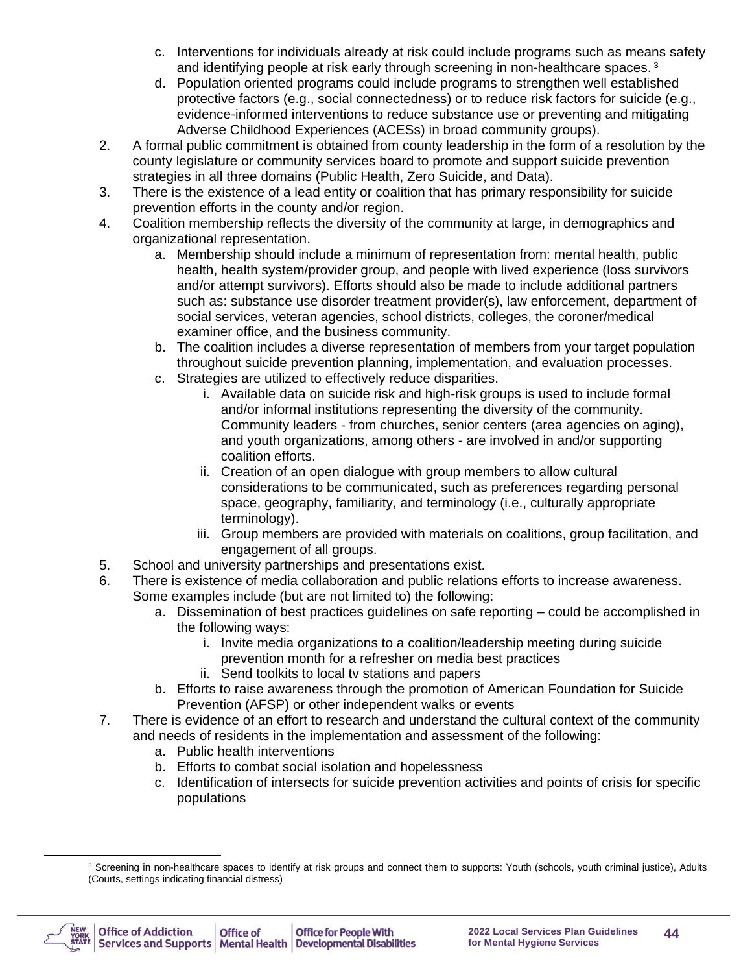- c. Interventions for individuals already at risk could include programs such as means safety and identifying people at risk early through screening in non-healthcare spaces. <sup>3</sup>
- d. Population oriented programs could include programs to strengthen well established protective factors (e.g., social connectedness) or to reduce risk factors for suicide (e.g., evidence-informed interventions to reduce substance use or preventing and mitigating Adverse Childhood Experiences (ACESs) in broad community groups).
- 2. A formal public commitment is obtained from county leadership in the form of a resolution by the county legislature or community services board to promote and support suicide prevention strategies in all three domains (Public Health, Zero Suicide, and Data).
- 3. There is the existence of a lead entity or coalition that has primary responsibility for suicide prevention efforts in the county and/or region.
- 4. Coalition membership reflects the diversity of the community at large, in demographics and organizational representation.
	- a. Membership should include a minimum of representation from: mental health, public health, health system/provider group, and people with lived experience (loss survivors and/or attempt survivors). Efforts should also be made to include additional partners such as: substance use disorder treatment provider(s), law enforcement, department of social services, veteran agencies, school districts, colleges, the coroner/medical examiner office, and the business community.
	- b. The coalition includes a diverse representation of members from your target population throughout suicide prevention planning, implementation, and evaluation processes.
	- c. Strategies are utilized to effectively reduce disparities.
		- i. Available data on suicide risk and high-risk groups is used to include formal and/or informal institutions representing the diversity of the community. Community leaders - from churches, senior centers (area agencies on aging), and youth organizations, among others - are involved in and/or supporting coalition efforts.
		- ii. Creation of an open dialogue with group members to allow cultural considerations to be communicated, such as preferences regarding personal space, geography, familiarity, and terminology (i.e., culturally appropriate terminology).
		- iii. Group members are provided with materials on coalitions, group facilitation, and engagement of all groups.
- 5. School and university partnerships and presentations exist.
- 6. There is existence of media collaboration and public relations efforts to increase awareness. Some examples include (but are not limited to) the following:
	- a. Dissemination of best practices guidelines on safe reporting could be accomplished in the following ways:
		- i. Invite media organizations to a coalition/leadership meeting during suicide
			- prevention month for a refresher on media best practices
		- ii. Send toolkits to local tv stations and papers
	- b. Efforts to raise awareness through the promotion of American Foundation for Suicide Prevention (AFSP) or other independent walks or events
- 7. There is evidence of an effort to research and understand the cultural context of the community and needs of residents in the implementation and assessment of the following:
	- a. Public health interventions
	- b. Efforts to combat social isolation and hopelessness
	- c. Identification of intersects for suicide prevention activities and points of crisis for specific populations

<sup>&</sup>lt;sup>3</sup> Screening in non-healthcare spaces to identify at risk groups and connect them to supports: Youth (schools, youth criminal justice), Adults (Courts, settings indicating financial distress)

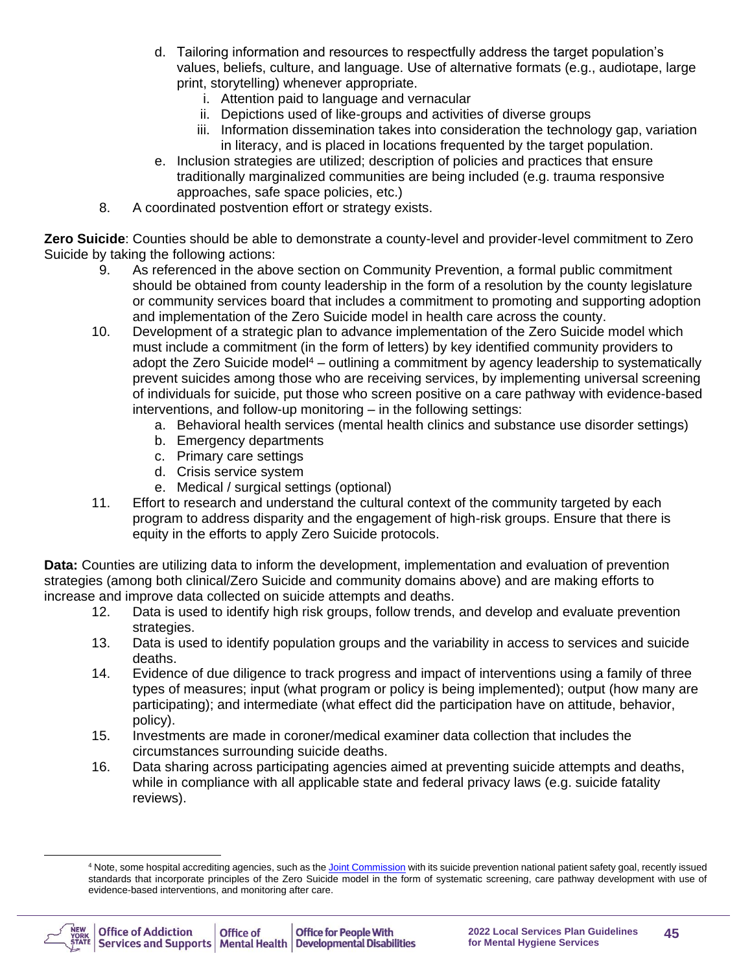- d. Tailoring information and resources to respectfully address the target population's values, beliefs, culture, and language. Use of alternative formats (e.g., audiotape, large print, storytelling) whenever appropriate.
	- i. Attention paid to language and vernacular
	- ii. Depictions used of like-groups and activities of diverse groups
	- iii. Information dissemination takes into consideration the technology gap, variation in literacy, and is placed in locations frequented by the target population.
- e. Inclusion strategies are utilized; description of policies and practices that ensure traditionally marginalized communities are being included (e.g. trauma responsive approaches, safe space policies, etc.)
- 8. A coordinated postvention effort or strategy exists.

**Zero Suicide**: Counties should be able to demonstrate a county-level and provider-level commitment to Zero Suicide by taking the following actions:

- 9. As referenced in the above section on Community Prevention, a formal public commitment should be obtained from county leadership in the form of a resolution by the county legislature or community services board that includes a commitment to promoting and supporting adoption and implementation of the Zero Suicide model in health care across the county.
- 10. Development of a strategic plan to advance implementation of the Zero Suicide model which must include a commitment (in the form of letters) by key identified community providers to adopt the Zero Suicide model<sup>4</sup> – outlining a commitment by agency leadership to systematically prevent suicides among those who are receiving services, by implementing universal screening of individuals for suicide, put those who screen positive on a care pathway with evidence-based interventions, and follow-up monitoring – in the following settings:
	- a. Behavioral health services (mental health clinics and substance use disorder settings)
	- b. Emergency departments
	- c. Primary care settings
	- d. Crisis service system
	- e. Medical / surgical settings (optional)
- 11. Effort to research and understand the cultural context of the community targeted by each program to address disparity and the engagement of high-risk groups. Ensure that there is equity in the efforts to apply Zero Suicide protocols.

**Data:** Counties are utilizing data to inform the development, implementation and evaluation of prevention strategies (among both clinical/Zero Suicide and community domains above) and are making efforts to increase and improve data collected on suicide attempts and deaths.

- 12. Data is used to identify high risk groups, follow trends, and develop and evaluate prevention strategies.
- 13. Data is used to identify population groups and the variability in access to services and suicide deaths.
- 14. Evidence of due diligence to track progress and impact of interventions using a family of three types of measures; input (what program or policy is being implemented); output (how many are participating); and intermediate (what effect did the participation have on attitude, behavior, policy).
- 15. Investments are made in coroner/medical examiner data collection that includes the circumstances surrounding suicide deaths.
- 16. Data sharing across participating agencies aimed at preventing suicide attempts and deaths, while in compliance with all applicable state and federal privacy laws (e.g. suicide fatality reviews).

<sup>&</sup>lt;sup>4</sup> Note, some hospital accrediting agencies, such as th[e Joint Commission](https://www.jointcommission.org/joint_commission_announces_new_national_patient_safety_goal_to_prevent_suicide_and_improve_at-risk_patient_care/) with its suicide prevention national patient safety goal. recently issued standards that incorporate principles of the Zero Suicide model in the form of systematic screening, care pathway development with use of evidence-based interventions, and monitoring after care.

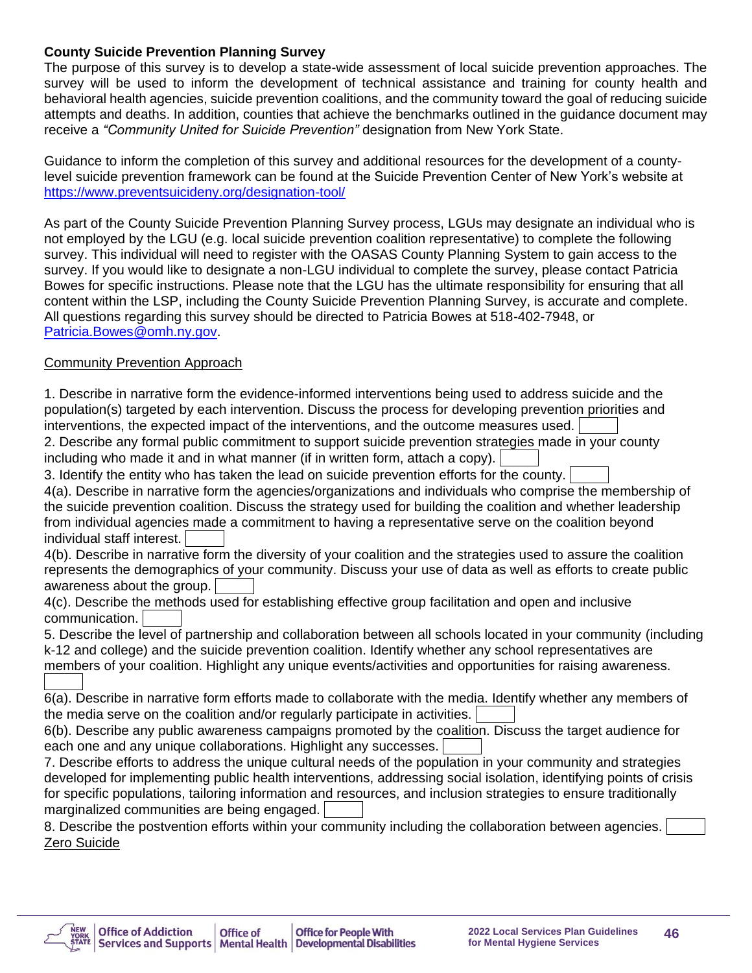#### **County Suicide Prevention Planning Survey**

The purpose of this survey is to develop a state-wide assessment of local suicide prevention approaches. The survey will be used to inform the development of technical assistance and training for county health and behavioral health agencies, suicide prevention coalitions, and the community toward the goal of reducing suicide attempts and deaths. In addition, counties that achieve the benchmarks outlined in the guidance document may receive a *"Community United for Suicide Prevention"* designation from New York State.

Guidance to inform the completion of this survey and additional resources for the development of a countylevel suicide prevention framework can be found at the Suicide Prevention Center of New York's website at [https://www.preventsuicideny.org/designation-tool/](https://www.preventsuicideny.org/designation-tool-for-communities-united-to-prevent-suicide/)

As part of the County Suicide Prevention Planning Survey process, LGUs may designate an individual who is not employed by the LGU (e.g. local suicide prevention coalition representative) to complete the following survey. This individual will need to register with the OASAS County Planning System to gain access to the survey. If you would like to designate a non-LGU individual to complete the survey, please contact Patricia Bowes for specific instructions. Please note that the LGU has the ultimate responsibility for ensuring that all content within the LSP, including the County Suicide Prevention Planning Survey, is accurate and complete. All questions regarding this survey should be directed to Patricia Bowes at 518-402-7948, or [Patricia.Bowes@omh.ny.gov.](mailto:Patricia.Bowes@omh.ny.gov)

## Community Prevention Approach

1. Describe in narrative form the evidence-informed interventions being used to address suicide and the population(s) targeted by each intervention. Discuss the process for developing prevention priorities and interventions, the expected impact of the interventions, and the outcome measures used.

2. Describe any formal public commitment to support suicide prevention strategies made in your county including who made it and in what manner (if in written form, attach a copy).

3. Identify the entity who has taken the lead on suicide prevention efforts for the county.

4(a). Describe in narrative form the agencies/organizations and individuals who comprise the membership of the suicide prevention coalition. Discuss the strategy used for building the coalition and whether leadership from individual agencies made a commitment to having a representative serve on the coalition beyond individual staff interest.

4(b). Describe in narrative form the diversity of your coalition and the strategies used to assure the coalition represents the demographics of your community. Discuss your use of data as well as efforts to create public awareness about the group.

4(c). Describe the methods used for establishing effective group facilitation and open and inclusive communication.

5. Describe the level of partnership and collaboration between all schools located in your community (including k-12 and college) and the suicide prevention coalition. Identify whether any school representatives are members of your coalition. Highlight any unique events/activities and opportunities for raising awareness.

6(a). Describe in narrative form efforts made to collaborate with the media. Identify whether any members of the media serve on the coalition and/or regularly participate in activities.

6(b). Describe any public awareness campaigns promoted by the coalition. Discuss the target audience for each one and any unique collaborations. Highlight any successes.

7. Describe efforts to address the unique cultural needs of the population in your community and strategies developed for implementing public health interventions, addressing social isolation, identifying points of crisis for specific populations, tailoring information and resources, and inclusion strategies to ensure traditionally marginalized communities are being engaged.

8. Describe the postvention efforts within your community including the collaboration between agencies. Zero Suicide

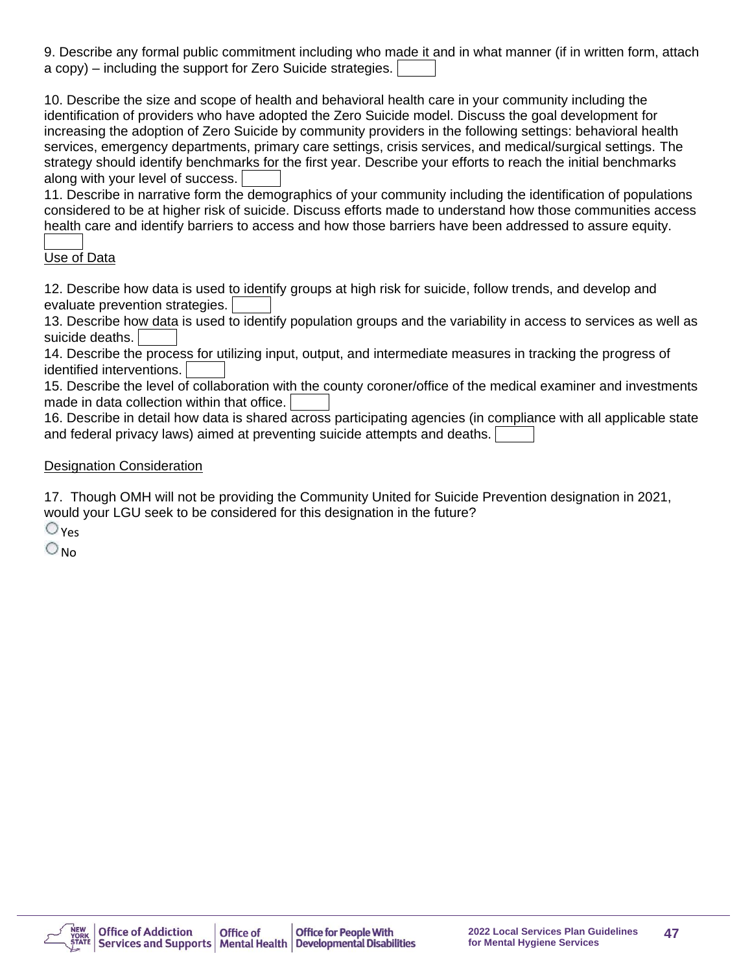9. Describe any formal public commitment including who made it and in what manner (if in written form, attach a copy) – including the support for Zero Suicide strategies.

10. Describe the size and scope of health and behavioral health care in your community including the identification of providers who have adopted the Zero Suicide model. Discuss the goal development for increasing the adoption of Zero Suicide by community providers in the following settings: behavioral health services, emergency departments, primary care settings, crisis services, and medical/surgical settings. The strategy should identify benchmarks for the first year. Describe your efforts to reach the initial benchmarks along with your level of success.

11. Describe in narrative form the demographics of your community including the identification of populations considered to be at higher risk of suicide. Discuss efforts made to understand how those communities access health care and identify barriers to access and how those barriers have been addressed to assure equity.

## Use of Data

12. Describe how data is used to identify groups at high risk for suicide, follow trends, and develop and evaluate prevention strategies.

13. Describe how data is used to identify population groups and the variability in access to services as well as suicide deaths.

14. Describe the process for utilizing input, output, and intermediate measures in tracking the progress of identified interventions.

15. Describe the level of collaboration with the county coroner/office of the medical examiner and investments made in data collection within that office.

16. Describe in detail how data is shared across participating agencies (in compliance with all applicable state and federal privacy laws) aimed at preventing suicide attempts and deaths.

## Designation Consideration

17. Though OMH will not be providing the Community United for Suicide Prevention designation in 2021, would your LGU seek to be considered for this designation in the future?

 $\bigcirc$  Yes

 $\bigcirc_{\mathsf{No}}$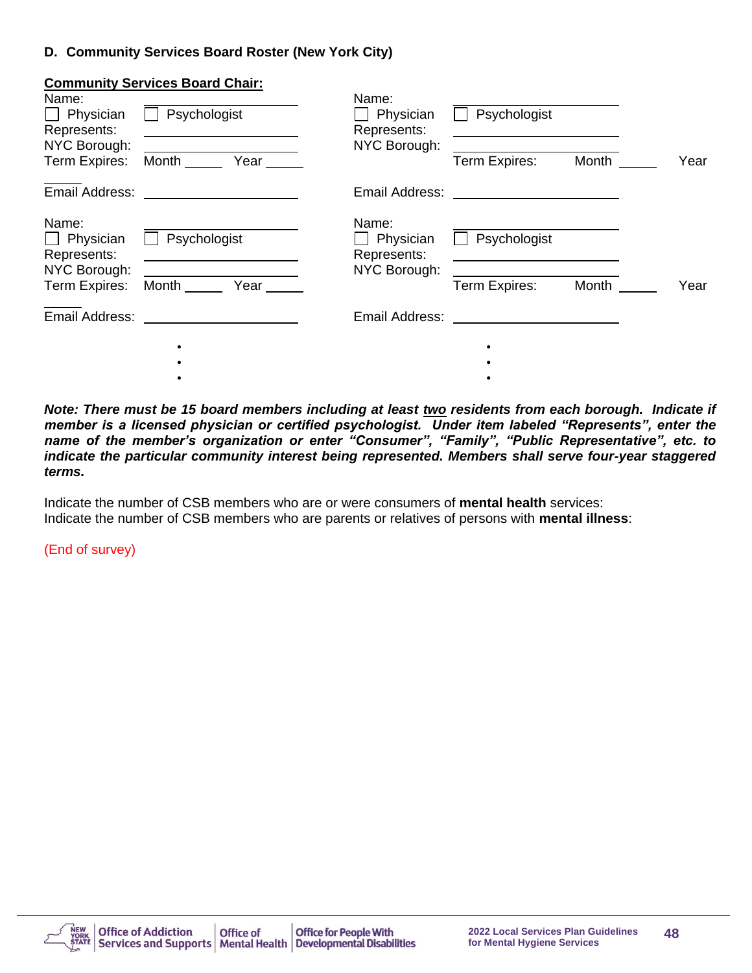#### **D. Community Services Board Roster (New York City)**

|                                   | <b>Community Services Board Chair:</b> |                                   |                                                                      |       |      |
|-----------------------------------|----------------------------------------|-----------------------------------|----------------------------------------------------------------------|-------|------|
| Name:<br>Physician<br>Represents: | Psychologist                           | Name:<br>Physician<br>Represents: | Psychologist<br><u> 1989 - Johann Stone, Amerikaansk politiker (</u> |       |      |
| NYC Borough:<br>Term Expires:     | Month Year                             | NYC Borough:                      | Term Expires:                                                        | Month | Year |
| Email Address:                    |                                        | Email Address:                    |                                                                      |       |      |
| Name:<br>Physician<br>Represents: | Psychologist                           | Name:<br>Physician<br>Represents: | Psychologist                                                         |       |      |
| NYC Borough:<br>Term Expires:     | Month<br>Year                          | NYC Borough:                      | Term Expires:                                                        | Month | Year |
| Email Address:                    |                                        | Email Address:                    |                                                                      |       |      |
|                                   | ٠                                      |                                   |                                                                      |       |      |
|                                   |                                        |                                   |                                                                      |       |      |
|                                   |                                        |                                   |                                                                      |       |      |

*Note: There must be 15 board members including at least two residents from each borough. Indicate if member is a licensed physician or certified psychologist. Under item labeled "Represents", enter the name of the member's organization or enter "Consumer", "Family", "Public Representative", etc. to indicate the particular community interest being represented. Members shall serve four-year staggered terms.*

Indicate the number of CSB members who are or were consumers of **mental health** services: Indicate the number of CSB members who are parents or relatives of persons with **mental illness**:

(End of survey)

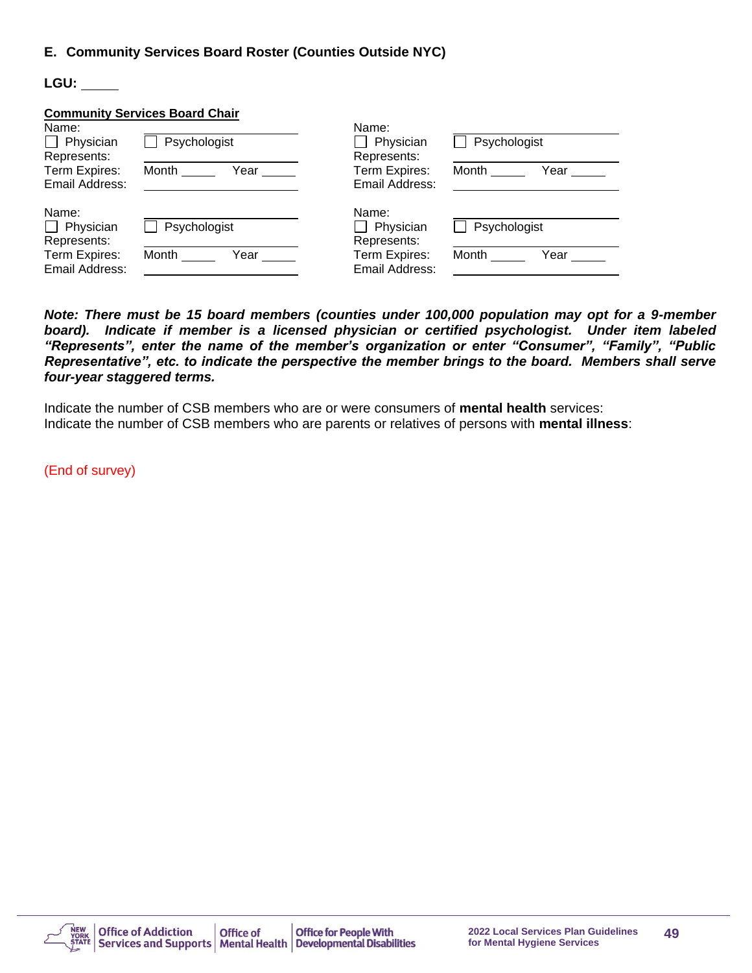#### **E. Community Services Board Roster (Counties Outside NYC)**

**LGU:** 

|                | <b>Community Services Board Chair</b> |                |               |
|----------------|---------------------------------------|----------------|---------------|
| Name:          |                                       | Name:          |               |
| Physician      | Psychologist                          | Physician      | Psychologist  |
| Represents:    |                                       | Represents:    |               |
| Term Expires:  | Month<br>Year                         | Term Expires:  | Month<br>Year |
| Email Address: |                                       | Email Address: |               |
| Name:          |                                       | Name:          |               |
| Physician      | Psychologist                          | Physician      | Psychologist  |
| Represents:    |                                       | Represents:    |               |
| Term Expires:  | Month<br>Year                         | Term Expires:  | Month<br>Year |
| Email Address: |                                       | Email Address: |               |

*Note: There must be 15 board members (counties under 100,000 population may opt for a 9-member*  board). Indicate if member is a licensed physician or certified psychologist. Under item labeled *"Represents", enter the name of the member's organization or enter "Consumer", "Family", "Public Representative", etc. to indicate the perspective the member brings to the board. Members shall serve four-year staggered terms.*

Indicate the number of CSB members who are or were consumers of **mental health** services: Indicate the number of CSB members who are parents or relatives of persons with **mental illness**:

(End of survey)

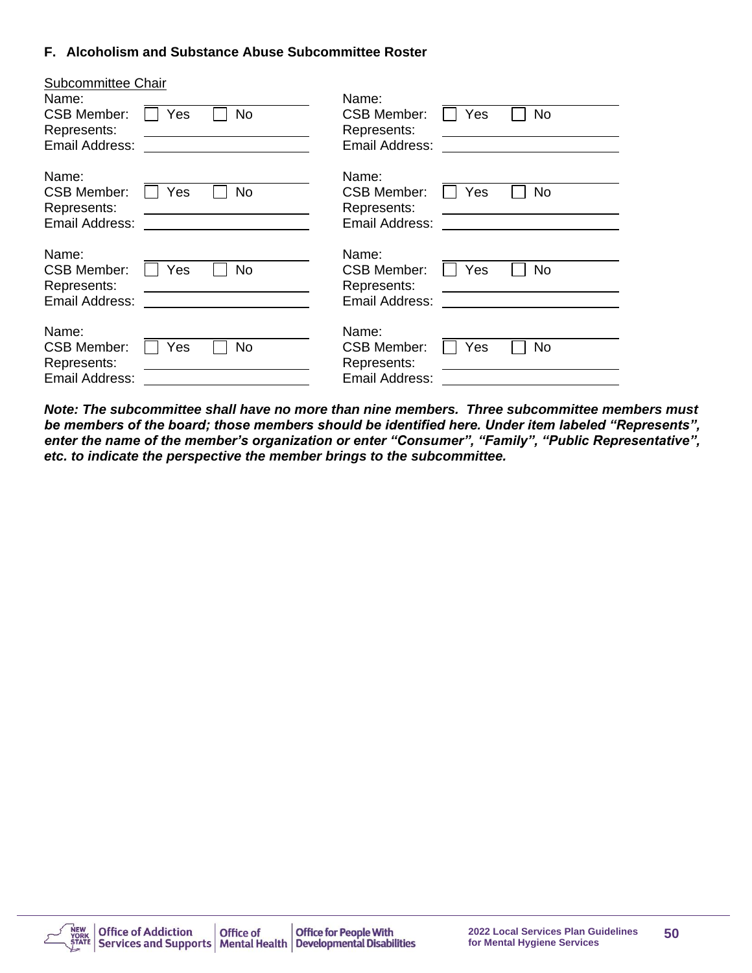#### **F. Alcoholism and Substance Abuse Subcommittee Roster**

| <b>Subcommittee Chair</b> |                  |                       |     |           |
|---------------------------|------------------|-----------------------|-----|-----------|
| Name:                     |                  | Name:                 |     |           |
| <b>CSB Member:</b>        | No<br>Yes        | <b>CSB Member:</b>    | Yes | No        |
| Represents:               |                  | Represents:           |     |           |
| Email Address:            |                  | Email Address:        |     |           |
|                           |                  |                       |     |           |
| Name:                     |                  | Name:                 |     |           |
| <b>CSB Member:</b>        | <b>No</b><br>Yes | <b>CSB Member:</b>    | Yes | <b>No</b> |
| Represents:               |                  | Represents:           |     |           |
| Email Address:            |                  | Email Address:        |     |           |
|                           |                  |                       |     |           |
| Name:                     |                  | Name:                 |     |           |
| <b>CSB Member:</b>        | No<br>Yes        | <b>CSB Member:</b>    | Yes | No        |
| Represents:               |                  | Represents:           |     |           |
| Email Address:            |                  | Email Address:        |     |           |
|                           |                  |                       |     |           |
| Name:                     |                  | Name:                 |     |           |
| <b>CSB Member:</b>        | No<br>Yes        | <b>CSB Member:</b>    | Yes | No        |
| Represents:               |                  | Represents:           |     |           |
| Email Address:            |                  | <b>Email Address:</b> |     |           |
|                           |                  |                       |     |           |

*Note: The subcommittee shall have no more than nine members. Three subcommittee members must be members of the board; those members should be identified here. Under item labeled "Represents", enter the name of the member's organization or enter "Consumer", "Family", "Public Representative", etc. to indicate the perspective the member brings to the subcommittee.*

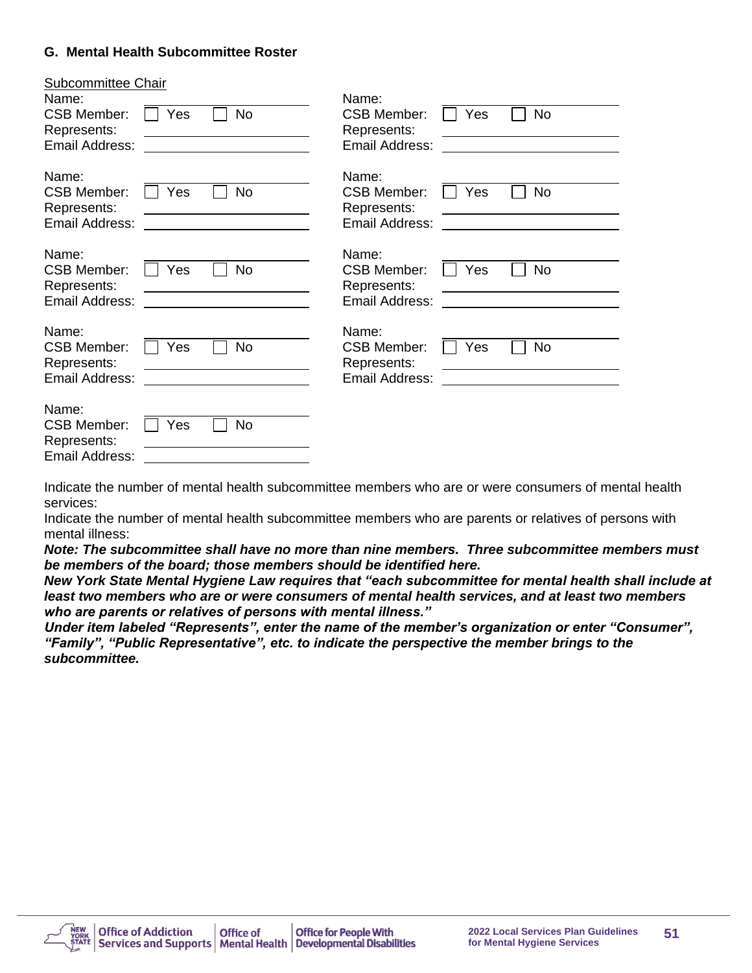#### **G. Mental Health Subcommittee Roster**

| <b>Subcommittee Chair</b>         |                  |                                                       |
|-----------------------------------|------------------|-------------------------------------------------------|
| Name:                             |                  | Name:                                                 |
| <b>CSB Member:</b><br>Represents: | <b>No</b><br>Yes | <b>No</b><br><b>CSB Member:</b><br>Yes<br>Represents: |
| Email Address:                    |                  | Email Address:                                        |
| Name:                             |                  | Name:                                                 |
| <b>CSB Member:</b>                | <b>No</b><br>Yes | <b>No</b><br><b>CSB Member:</b><br>Yes                |
| Represents:                       |                  | Represents:                                           |
| Email Address:                    |                  | Email Address:                                        |
| Name:                             |                  | Name:                                                 |
| <b>CSB Member:</b>                | <b>No</b><br>Yes | No<br><b>CSB Member:</b><br>Yes                       |
| Represents:<br>Email Address:     |                  | Represents:<br>Email Address:                         |
|                                   |                  |                                                       |
| Name:                             |                  | Name:                                                 |
| <b>CSB Member:</b><br>Represents: | Yes<br><b>No</b> | <b>No</b><br><b>CSB Member:</b><br>Yes<br>Represents: |
| Email Address:                    |                  | Email Address:                                        |
|                                   |                  |                                                       |
| Name:                             |                  |                                                       |
| <b>CSB Member:</b><br>Represents: | No<br>Yes        |                                                       |
| Email Address:                    |                  |                                                       |

Indicate the number of mental health subcommittee members who are or were consumers of mental health services:

Indicate the number of mental health subcommittee members who are parents or relatives of persons with mental illness:

*Note: The subcommittee shall have no more than nine members. Three subcommittee members must be members of the board; those members should be identified here.* 

*New York State Mental Hygiene Law requires that "each subcommittee for mental health shall include at least two members who are or were consumers of mental health services, and at least two members who are parents or relatives of persons with mental illness."*

*Under item labeled "Represents", enter the name of the member's organization or enter "Consumer", "Family", "Public Representative", etc. to indicate the perspective the member brings to the subcommittee.*

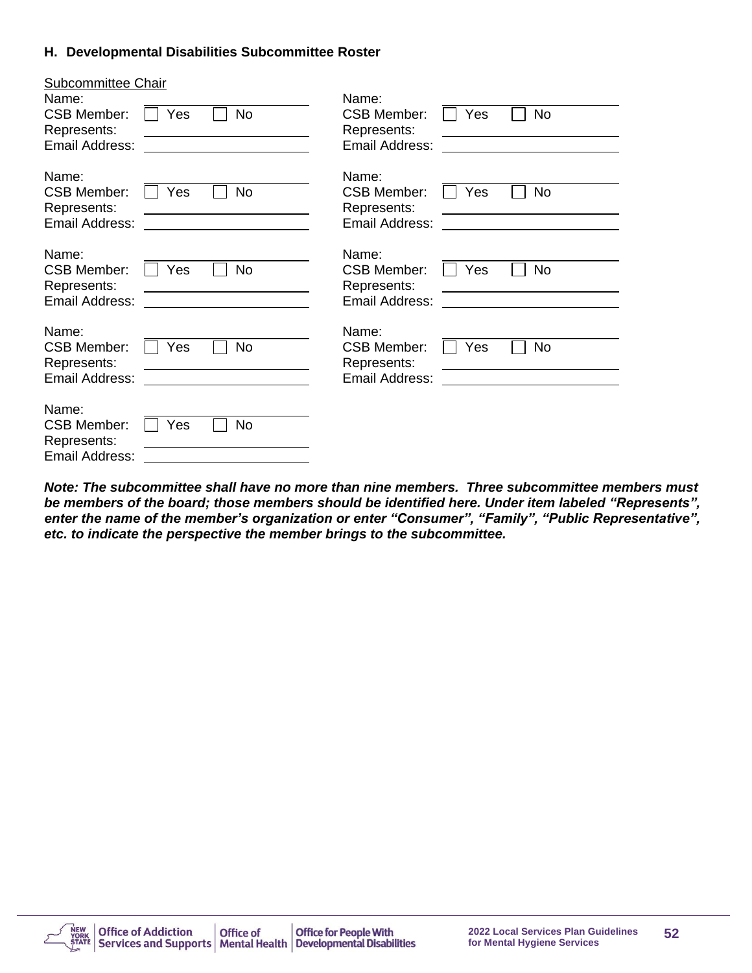#### **H. Developmental Disabilities Subcommittee Roster**

| <b>Subcommittee Chair</b> |                  |                                        |
|---------------------------|------------------|----------------------------------------|
| Name:                     |                  | Name:                                  |
| <b>CSB Member:</b>        | No<br>Yes        | <b>CSB Member:</b><br>No<br>Yes        |
| Represents:               |                  | Represents:                            |
| Email Address:            |                  | Email Address:                         |
|                           |                  |                                        |
| Name:                     |                  | Name:                                  |
| <b>CSB Member:</b>        | No<br>Yes        | <b>CSB Member:</b><br>No<br>Yes        |
| Represents:               |                  | Represents:                            |
| Email Address:            |                  | Email Address:                         |
|                           |                  |                                        |
| Name:                     |                  | Name:                                  |
| <b>CSB Member:</b>        | <b>No</b><br>Yes | <b>No</b><br><b>CSB Member:</b><br>Yes |
| Represents:               |                  | Represents:                            |
| Email Address:            |                  | Email Address:                         |
|                           |                  |                                        |
| Name:                     |                  | Name:                                  |
| <b>CSB Member:</b>        | <b>No</b><br>Yes | <b>No</b><br>Yes<br><b>CSB Member:</b> |
| Represents:               |                  | Represents:                            |
| Email Address:            |                  | Email Address:                         |
|                           |                  |                                        |
| Name:                     |                  |                                        |
| <b>CSB Member:</b>        | No<br>Yes        |                                        |
| Represents:               |                  |                                        |
| Email Address:            |                  |                                        |

*Note: The subcommittee shall have no more than nine members. Three subcommittee members must be members of the board; those members should be identified here. Under item labeled "Represents", enter the name of the member's organization or enter "Consumer", "Family", "Public Representative", etc. to indicate the perspective the member brings to the subcommittee.*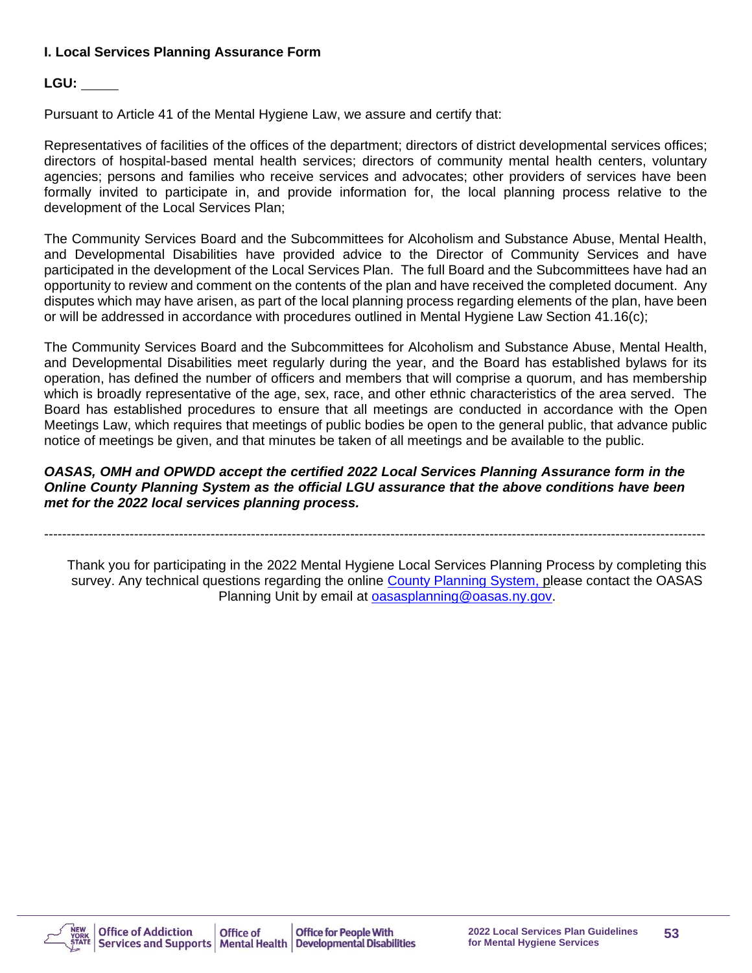## **I. Local Services Planning Assurance Form**

## **LGU:**

Pursuant to Article 41 of the Mental Hygiene Law, we assure and certify that:

Representatives of facilities of the offices of the department; directors of district developmental services offices; directors of hospital-based mental health services; directors of community mental health centers, voluntary agencies; persons and families who receive services and advocates; other providers of services have been formally invited to participate in, and provide information for, the local planning process relative to the development of the Local Services Plan;

The Community Services Board and the Subcommittees for Alcoholism and Substance Abuse, Mental Health, and Developmental Disabilities have provided advice to the Director of Community Services and have participated in the development of the Local Services Plan. The full Board and the Subcommittees have had an opportunity to review and comment on the contents of the plan and have received the completed document. Any disputes which may have arisen, as part of the local planning process regarding elements of the plan, have been or will be addressed in accordance with procedures outlined in Mental Hygiene Law Section 41.16(c);

The Community Services Board and the Subcommittees for Alcoholism and Substance Abuse, Mental Health, and Developmental Disabilities meet regularly during the year, and the Board has established bylaws for its operation, has defined the number of officers and members that will comprise a quorum, and has membership which is broadly representative of the age, sex, race, and other ethnic characteristics of the area served. The Board has established procedures to ensure that all meetings are conducted in accordance with the Open Meetings Law, which requires that meetings of public bodies be open to the general public, that advance public notice of meetings be given, and that minutes be taken of all meetings and be available to the public.

#### *OASAS, OMH and OPWDD accept the certified 2022 Local Services Planning Assurance form in the Online County Planning System as the official LGU assurance that the above conditions have been met for the 2022 local services planning process.*

---------------------------------------------------------------------------------------------------------------------------------------------------

Thank you for participating in the 2022 Mental Hygiene Local Services Planning Process by completing this survey. Any technical questions regarding the online [County Planning System,](https://cps.oasas.ny.gov/cps/) please contact the OASAS Planning Unit by email at **oasasplanning@oasas.ny.gov.** 

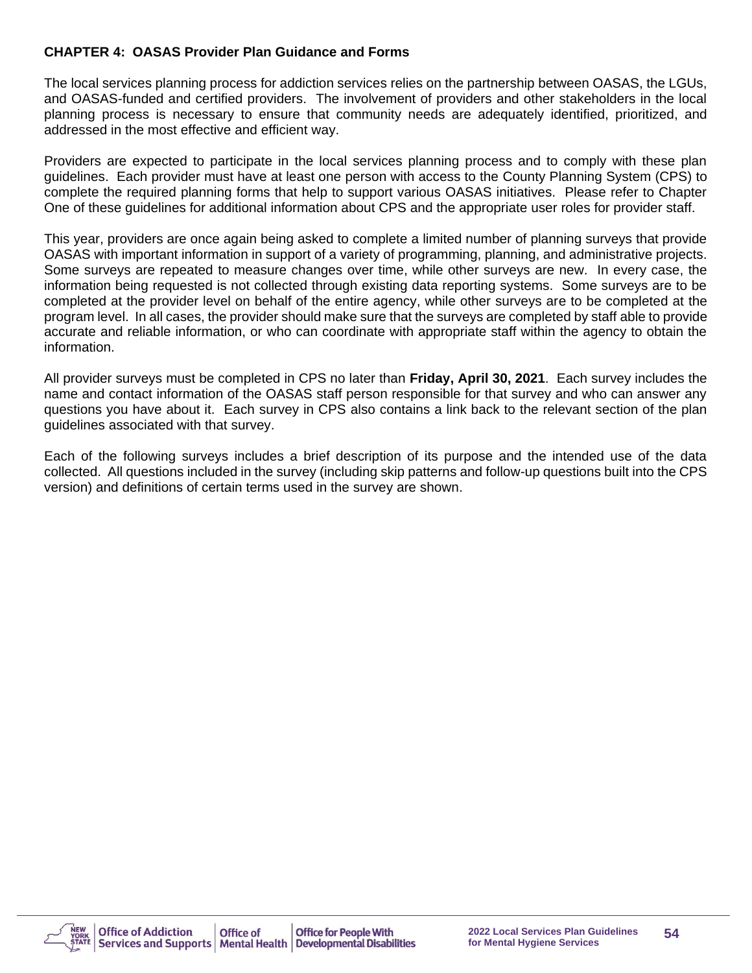#### **CHAPTER 4: OASAS Provider Plan Guidance and Forms**

The local services planning process for addiction services relies on the partnership between OASAS, the LGUs, and OASAS-funded and certified providers. The involvement of providers and other stakeholders in the local planning process is necessary to ensure that community needs are adequately identified, prioritized, and addressed in the most effective and efficient way.

Providers are expected to participate in the local services planning process and to comply with these plan guidelines. Each provider must have at least one person with access to the County Planning System (CPS) to complete the required planning forms that help to support various OASAS initiatives. Please refer to Chapter One of these guidelines for additional information about CPS and the appropriate user roles for provider staff.

This year, providers are once again being asked to complete a limited number of planning surveys that provide OASAS with important information in support of a variety of programming, planning, and administrative projects. Some surveys are repeated to measure changes over time, while other surveys are new. In every case, the information being requested is not collected through existing data reporting systems. Some surveys are to be completed at the provider level on behalf of the entire agency, while other surveys are to be completed at the program level. In all cases, the provider should make sure that the surveys are completed by staff able to provide accurate and reliable information, or who can coordinate with appropriate staff within the agency to obtain the information.

All provider surveys must be completed in CPS no later than **Friday, April 30, 2021**. Each survey includes the name and contact information of the OASAS staff person responsible for that survey and who can answer any questions you have about it. Each survey in CPS also contains a link back to the relevant section of the plan guidelines associated with that survey.

Each of the following surveys includes a brief description of its purpose and the intended use of the data collected. All questions included in the survey (including skip patterns and follow-up questions built into the CPS version) and definitions of certain terms used in the survey are shown.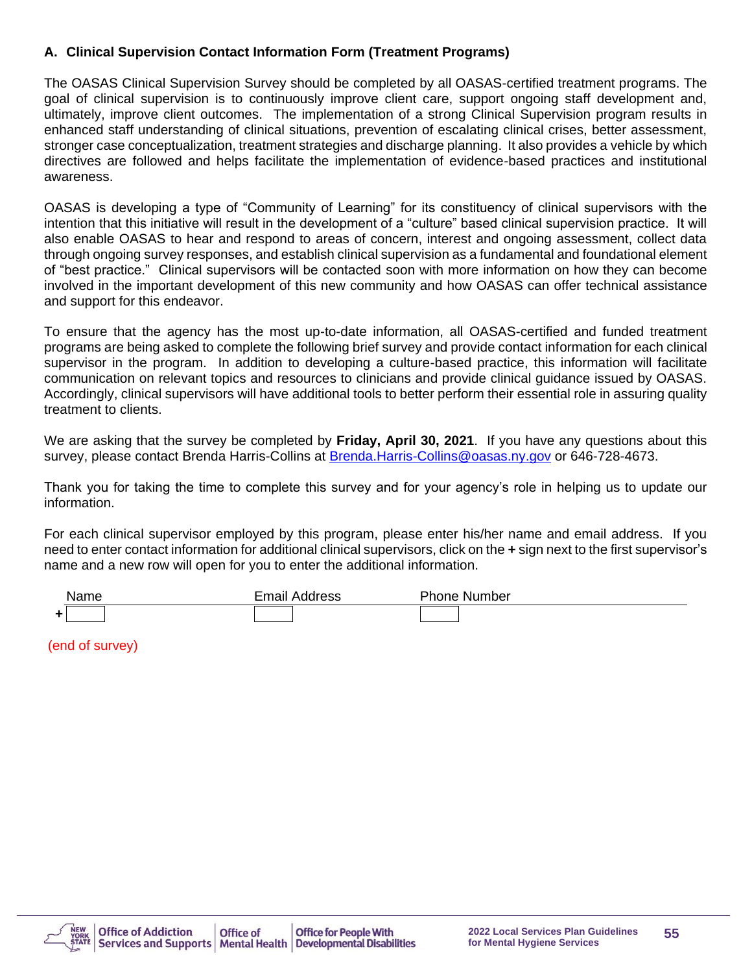## **A. Clinical Supervision Contact Information Form (Treatment Programs)**

The OASAS Clinical Supervision Survey should be completed by all OASAS-certified treatment programs. The goal of clinical supervision is to continuously improve client care, support ongoing staff development and, ultimately, improve client outcomes. The implementation of a strong Clinical Supervision program results in enhanced staff understanding of clinical situations, prevention of escalating clinical crises, better assessment, stronger case conceptualization, treatment strategies and discharge planning. It also provides a vehicle by which directives are followed and helps facilitate the implementation of evidence-based practices and institutional awareness.

OASAS is developing a type of "Community of Learning" for its constituency of clinical supervisors with the intention that this initiative will result in the development of a "culture" based clinical supervision practice. It will also enable OASAS to hear and respond to areas of concern, interest and ongoing assessment, collect data through ongoing survey responses, and establish clinical supervision as a fundamental and foundational element of "best practice." Clinical supervisors will be contacted soon with more information on how they can become involved in the important development of this new community and how OASAS can offer technical assistance and support for this endeavor.

To ensure that the agency has the most up-to-date information, all OASAS-certified and funded treatment programs are being asked to complete the following brief survey and provide contact information for each clinical supervisor in the program. In addition to developing a culture-based practice, this information will facilitate communication on relevant topics and resources to clinicians and provide clinical guidance issued by OASAS. Accordingly, clinical supervisors will have additional tools to better perform their essential role in assuring quality treatment to clients.

We are asking that the survey be completed by **Friday, April 30, 2021**. If you have any questions about this survey, please contact Brenda Harris-Collins at [Brenda.Harris-Collins@oasas.ny.gov](mailto:Brenda.Harris-Collins@oasas.ny.gov) or 646-728-4673.

Thank you for taking the time to complete this survey and for your agency's role in helping us to update our information.

For each clinical supervisor employed by this program, please enter his/her name and email address. If you need to enter contact information for additional clinical supervisors, click on the **+** sign next to the first supervisor's name and a new row will open for you to enter the additional information.

| 'ame | Email<br>. | . hone د<br>Number |
|------|------------|--------------------|
|      |            |                    |

(end of survey)

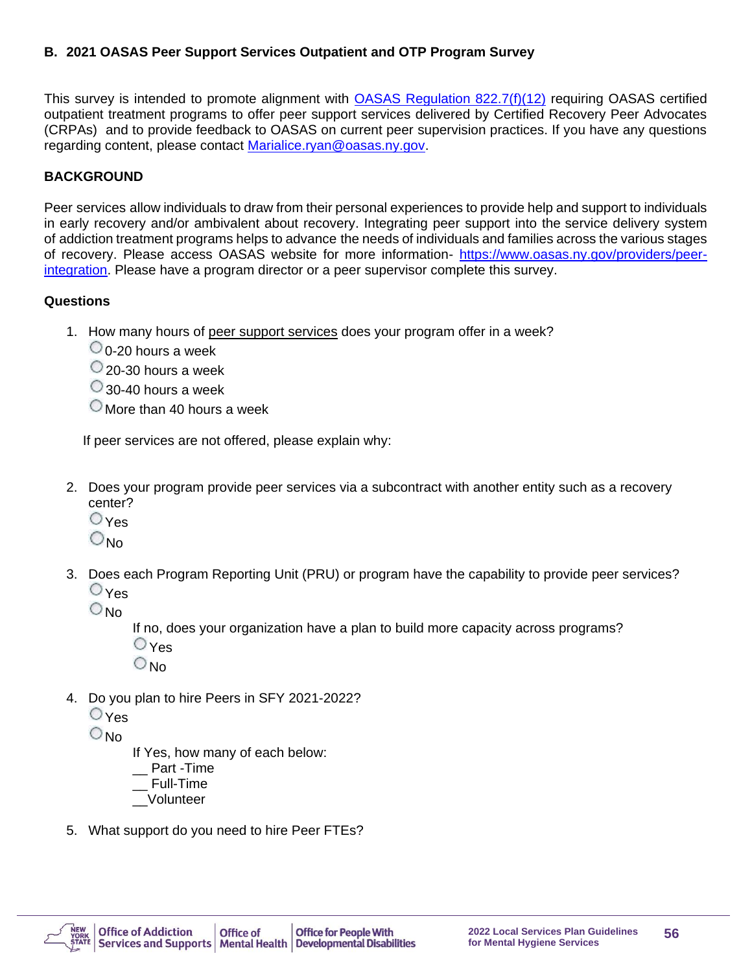## **B. 2021 OASAS Peer Support Services Outpatient and OTP Program Survey**

This survey is intended to promote alignment with **OASAS Regulation 822.7(f)(12)** requiring OASAS certified outpatient treatment programs to offer peer support services delivered by Certified Recovery Peer Advocates (CRPAs) and to provide feedback to OASAS on current peer supervision practices. If you have any questions regarding content, please contact [Marialice.ryan@oasas.ny.gov.](mailto:Marialice.ryan@oasas.ny.gov)

## **BACKGROUND**

Peer services allow individuals to draw from their personal experiences to provide help and support to individuals in early recovery and/or ambivalent about recovery. Integrating peer support into the service delivery system of addiction treatment programs helps to advance the needs of individuals and families across the various stages of recovery. Please access OASAS website for more information- [https://www.oasas.ny.gov/providers/peer](https://www.oasas.ny.gov/providers/peer-integration)[integration.](https://www.oasas.ny.gov/providers/peer-integration) Please have a program director or a peer supervisor complete this survey.

#### **Questions**

- 1. How many hours of peer support services does your program offer in a week?
	- $\bigcirc$  0-20 hours a week
	- 20-30 hours a week
	- 30-40 hours a week
	- $\circlearrowright$  More than 40 hours a week

If peer services are not offered, please explain why:

- 2. Does your program provide peer services via a subcontract with another entity such as a recovery center?
	- Yes
	- $\bigcirc_{\text{No}}$
- 3. Does each Program Reporting Unit (PRU) or program have the capability to provide peer services?  $O$  Yes

 $\bigcirc$  No

If no, does your organization have a plan to build more capacity across programs?

- **O**Yes
- $O<sub>No</sub>$
- 4. Do you plan to hire Peers in SFY 2021-2022?
	- Yes

 $O_{N_Q}$ 

If Yes, how many of each below:

- \_\_ Part -Time
- \_\_ Full-Time
- \_\_Volunteer
- 5. What support do you need to hire Peer FTEs?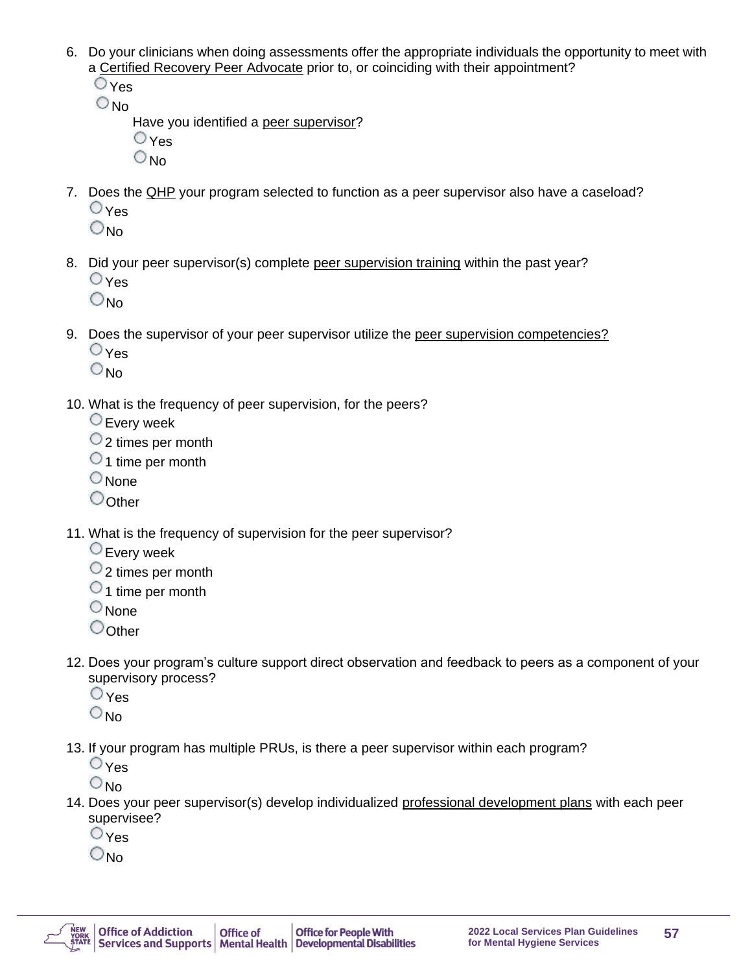- 6. Do your clinicians when doing assessments offer the appropriate individuals the opportunity to meet with a Certified Recovery Peer Advocate prior to, or coinciding with their appointment?
	- $\bigcirc$  Yes  $\bigcirc_{\textsf{No}}$

Have you identified a peer supervisor?  $\bigcirc$  Yes

- $\bigcirc_{\text{No}}$
- 7. Does the QHP your program selected to function as a peer supervisor also have a caseload?  $\bigcirc$  Yes
	- $O_{N_{0}}$
- 8. Did your peer supervisor(s) complete peer supervision training within the past year?  $\bigcirc$  Yes
	- $\bigcirc_{\text{No}}$
- 9. Does the supervisor of your peer supervisor utilize the [peer supervision competencies?](http://www.williamwhitepapers.com/pr/dlm_uploads/Peer-Supervision-Competencies-2017.pdf)
	- $\bigcirc$  Yes
	- $\bigcirc_{\text{No}}$
- 10. What is the frequency of peer supervision, for the peers?
	- Every week
	- 2 times per month
	- $\circ$  1 time per month
	- $\bigcirc$  None
	- Oother
- 11. What is the frequency of supervision for the peer supervisor?
	- Every week
	- $\circ$  2 times per month
	- $\circ$  1 time per month
	- $\circ$  None
	- $\bigcirc$ Other
- 12. Does your program's culture support direct observation and feedback to peers as a component of your supervisory process?
	- $\bigcirc$  Yes
	- $\bigcirc$ <sub>No</sub>
- 13. If your program has multiple PRUs, is there a peer supervisor within each program?
	- $O_{\text{Yes}}$
	- $\bigcirc$  No
- 14. Does your peer supervisor(s) develop individualized professional development plans with each peer supervisee?
	- $\bigcirc$  Yes
	- $\bigcirc_{\mathsf{No}}$

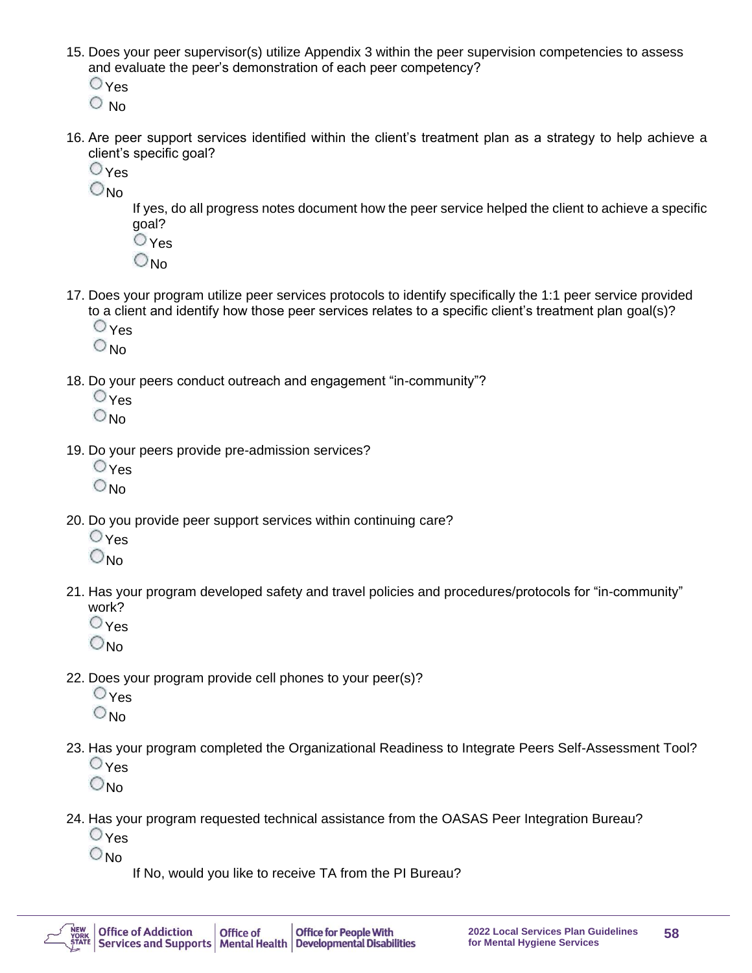- 15. Does your peer supervisor(s) utilize [Appendix](https://oasas.ny.gov/system/files/documents/2020/01/recovery._peer_supervision_appendix3_2019.pdf) 3 within the peer supervision competencies to assess and evaluate the peer's demonstration of each peer competency?
	- $\bigcirc$  Yes
	- $\circ$  No
- 16. Are peer support services identified within the client's treatment plan as a strategy to help achieve a client's specific goal?
	- $\bigcirc$  Yes
	- O<sub>No</sub>

If yes, do all progress notes document how the peer service helped the client to achieve a specific goal?

- $O_{\text{Yes}}$
- $O_{N<sub>0</sub>}$
- 17. Does your program utilize peer services protocols to identify specifically the 1:1 peer service provided to a client and identify how those peer services relates to a specific client's treatment plan goal(s)?
	- $\overline{\mathsf{O}}$  Yes
	- $\bigcirc_{\text{No}}$
- 18. Do your peers conduct outreach and engagement "in-community"?
	- $O_{\text{Yes}}$
	- $\bigcirc_{\text{No}}$
- 19. Do your peers provide pre-admission services?
	- **O**Yes
	- $\bigcirc_{\text{No}}$
- 20. Do you provide peer support services within continuing care?
	- Yes
	- $O_{\mathsf{No}}$
- 21. Has your program developed safety and travel policies and procedures/protocols for "in-community" work?
	- $\bigcirc$  Yes
	- $\bigcirc_{\text{No}}$
- 22. Does your program provide cell phones to your peer(s)?
	- $\bigcirc$  Yes
	- $\bigcirc_{\text{No}}$
- 23. Has your program completed the Organizational Readiness to Integrate Peers Self-Assessment Tool?  $\bigcirc$  Yes
	- $\bigcirc_{\text{No}}$
- 24. Has your program requested technical assistance from the OASAS Peer Integration Bureau?
	- $\bigcirc$  Yes
	- $\bigcirc$ <sub>No</sub>
- If No, would you like to receive TA from the PI Bureau?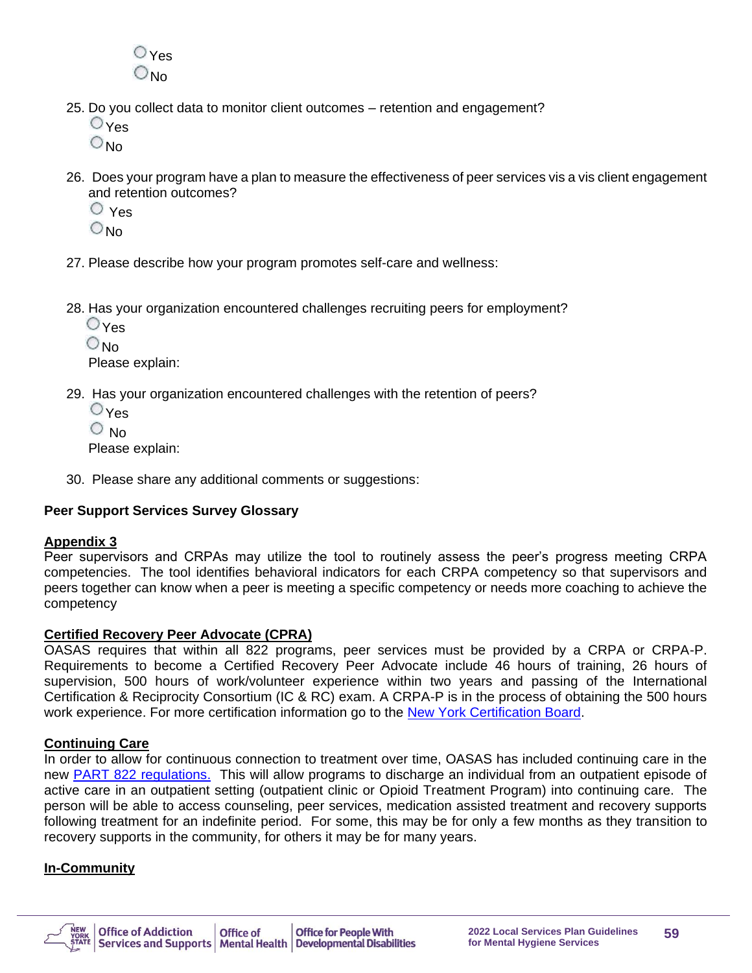$O_{\text{Yes}}$  $\bigcirc$ No

- 25. Do you collect data to monitor client outcomes retention and engagement?
	- $O_{\text{Yes}}$
	- $\bigcirc$  No.
- 26. Does your program have a plan to measure the effectiveness of peer services vis a vis client engagement and retention outcomes?
	- Yes
	- $\bigcirc$ <sub>No</sub>
- 27. Please describe how your program promotes self-care and wellness:
- 28. Has your organization encountered challenges recruiting peers for employment?

Yes

 $\bigcirc_{\text{No}}$ 

Please explain:

- 29. Has your organization encountered challenges with the retention of peers?
	- Yes
	- O No

Please explain:

30. Please share any additional comments or suggestions:

## **Peer Support Services Survey Glossary**

#### **Appendix 3**

Peer supervisors and CRPAs may utilize the tool to routinely assess the peer's progress meeting CRPA competencies. The tool identifies behavioral indicators for each CRPA competency so that supervisors and peers together can know when a peer is meeting a specific competency or needs more coaching to achieve the competency

#### **Certified Recovery Peer Advocate (CPRA)**

OASAS requires that within all 822 programs, peer services must be provided by a CRPA or CRPA-P. Requirements to become a Certified Recovery Peer Advocate include 46 hours of training, 26 hours of supervision, 500 hours of work/volunteer experience within two years and passing of the International Certification & Reciprocity Consortium (IC & RC) exam. A CRPA-P is in the process of obtaining the 500 hours work experience. For more certification information go to the [New York Certification Board.](http://www.asapnys.org/ny-certification-board/)

#### **Continuing Care**

In order to allow for continuous connection to treatment over time, OASAS has included continuing care in the new [PART 822 regulations](https://oasas.ny.gov/system/files?file=documents/2019/05/Part822.pdf)[.](http://www.oasas.ny.gov/regs/index.cfm) This will allow programs to discharge an individual from an outpatient episode of active care in an outpatient setting (outpatient clinic or Opioid Treatment Program) into continuing care. The person will be able to access counseling, peer services, medication assisted treatment and recovery supports following treatment for an indefinite period. For some, this may be for only a few months as they transition to recovery supports in the community, for others it may be for many years.

#### **In-Community**

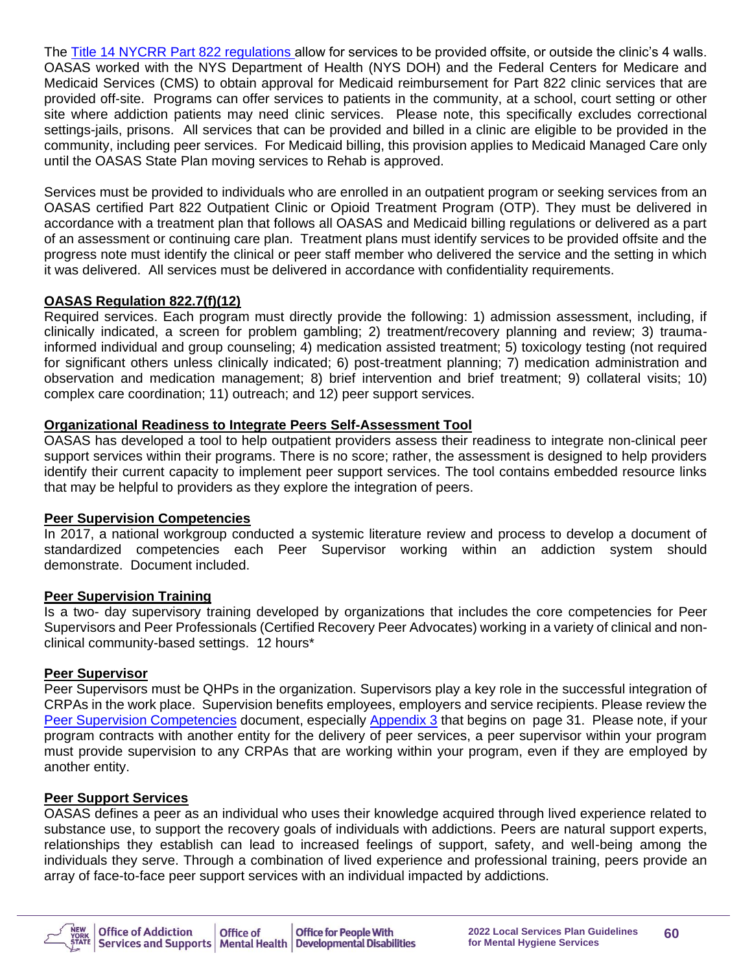The [Title 14 NYCRR Part 822 regulations](https://oasas.ny.gov/system/files?file=documents/2019/05/Part822.pdf) [a](https://www.oasas.ny.gov/regs/index.cfm)llow for services to be provided offsite, or outside the clinic's 4 walls. OASAS worked with the NYS Department of Health (NYS DOH) and the Federal Centers for Medicare and Medicaid Services (CMS) to obtain approval for Medicaid reimbursement for Part 822 clinic services that are provided off-site. Programs can offer services to patients in the community, at a school, court setting or other site where addiction patients may need clinic services. Please note, this specifically excludes correctional settings-jails, prisons. All services that can be provided and billed in a clinic are eligible to be provided in the community, including peer services. For Medicaid billing, this provision applies to Medicaid Managed Care only until the OASAS State Plan moving services to Rehab is approved.

Services must be provided to individuals who are enrolled in an outpatient program or seeking services from an OASAS certified Part 822 Outpatient Clinic or Opioid Treatment Program (OTP). They must be delivered in accordance with a treatment plan that follows all OASAS and Medicaid billing regulations or delivered as a part of an assessment or continuing care plan. Treatment plans must identify services to be provided offsite and the progress note must identify the clinical or peer staff member who delivered the service and the setting in which it was delivered. All services must be delivered in accordance with confidentiality requirements.

## **OASAS Regulation 822.7(f)(12)**

Required services. Each program must directly provide the following: 1) admission assessment, including, if clinically indicated, a screen for problem gambling; 2) treatment/recovery planning and review; 3) traumainformed individual and group counseling; 4) medication assisted treatment; 5) toxicology testing (not required for significant others unless clinically indicated; 6) post-treatment planning; 7) medication administration and observation and medication management; 8) brief intervention and brief treatment; 9) collateral visits; 10) complex care coordination; 11) outreach; and 12) peer support services.

## **Organizational Readiness to Integrate Peers Self-Assessment Tool**

OASAS has developed a tool to help outpatient providers assess their readiness to integrate non-clinical peer support services within their programs. There is no score; rather, the assessment is designed to help providers identify their current capacity to implement peer support services. The tool contains embedded resource links that may be helpful to providers as they explore the integration of peers.

## **Peer Supervision Competencies**

In 2017, a national workgroup conducted a systemic literature review and process to develop a document of standardized competencies each Peer Supervisor working within an addiction system should demonstrate. Document included.

## **Peer Supervision Training**

Is a two- day supervisory training developed by organizations that includes the core competencies for Peer Supervisors and Peer Professionals (Certified Recovery Peer Advocates) working in a variety of clinical and nonclinical community-based settings. 12 hours\*

## **Peer Supervisor**

Peer Supervisors must be QHPs in the organization. Supervisors play a key role in the successful integration of CRPAs in the work place. Supervision benefits employees, employers and service recipients. Please review the [Peer Supervision Competencies](https://oasas.ny.gov/system/files/documents/2019/12/peer-supervision-competencies-2017.pdf) document, especially [Appendix 3](https://oasas.ny.gov/providers/peer-integration) that begins on page 31. Please note, if your program contracts with another entity for the delivery of peer services, a peer supervisor within your program must provide supervision to any CRPAs that are working within your program, even if they are employed by another entity.

## **Peer Support Services**

OASAS defines a peer as an individual who uses their knowledge acquired through lived experience related to substance use, to support the recovery goals of individuals with addictions. Peers are natural support experts, relationships they establish can lead to increased feelings of support, safety, and well-being among the individuals they serve. Through a combination of lived experience and professional training, peers provide an array of face-to-face peer support services with an individual impacted by addictions.

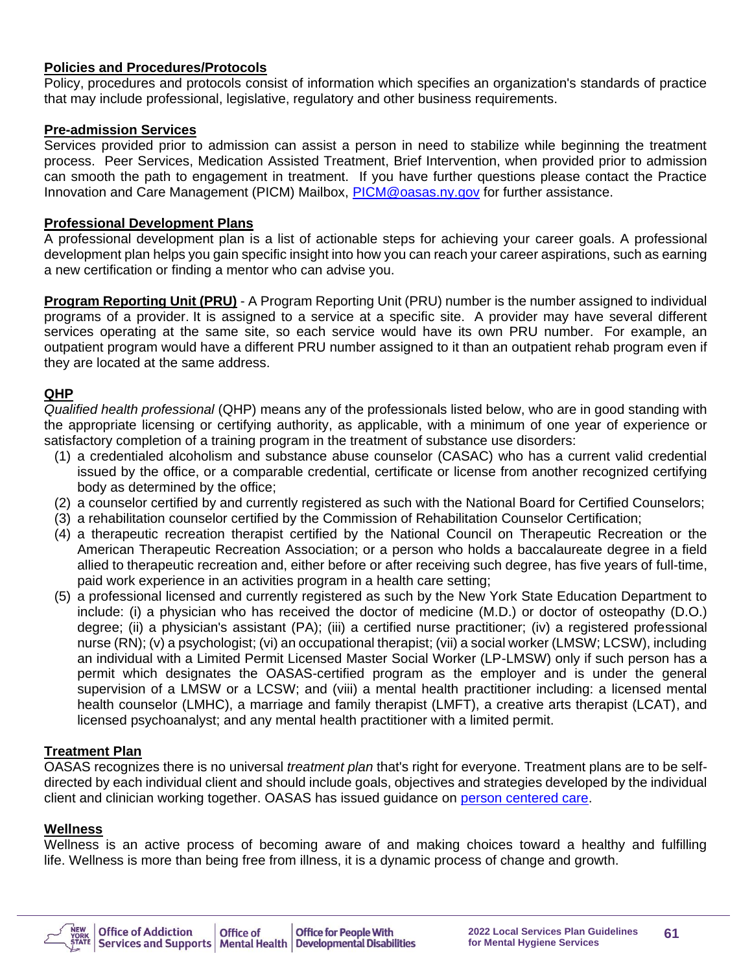#### **Policies and Procedures/Protocols**

Policy, procedures and protocols consist of information which specifies an organization's standards of practice that may include professional, legislative, regulatory and other business requirements.

#### **Pre-admission Services**

Services provided prior to admission can assist a person in need to stabilize while beginning the treatment process. Peer Services, Medication Assisted Treatment, Brief Intervention, when provided prior to admission can smooth the path to engagement in treatment. If you have further questions please contact the Practice Innovation and Care Management (PICM) Mailbox, [PICM@oasas.ny.gov](mailto:PICM@oasas.ny.gov) for further assistance.

#### **Professional Development Plans**

A professional development plan is a list of actionable steps for achieving your career goals. A professional development plan helps you gain specific insight into how you can reach your career aspirations, such as earning a new certification or finding a mentor who can advise you.

**Program Reporting Unit (PRU)** - A Program Reporting Unit (PRU) number is the number assigned to individual programs of a provider. It is assigned to a service at a specific site. A provider may have several different services operating at the same site, so each service would have its own PRU number. For example, an outpatient program would have a different PRU number assigned to it than an outpatient rehab program even if they are located at the same address.

#### **QHP**

*Qualified health professional* (QHP) means any of the professionals listed below, who are in good standing with the appropriate licensing or certifying authority, as applicable, with a minimum of one year of experience or satisfactory completion of a training program in the treatment of substance use disorders:

- (1) a credentialed alcoholism and substance abuse counselor (CASAC) who has a current valid credential issued by the office, or a comparable credential, certificate or license from another recognized certifying body as determined by the office;
- (2) a counselor certified by and currently registered as such with the National Board for Certified Counselors;
- (3) a rehabilitation counselor certified by the Commission of Rehabilitation Counselor Certification;
- (4) a therapeutic recreation therapist certified by the National Council on Therapeutic Recreation or the American Therapeutic Recreation Association; or a person who holds a baccalaureate degree in a field allied to therapeutic recreation and, either before or after receiving such degree, has five years of full-time, paid work experience in an activities program in a health care setting;
- (5) a professional licensed and currently registered as such by the New York State Education Department to include: (i) a physician who has received the doctor of medicine (M.D.) or doctor of osteopathy (D.O.) degree; (ii) a physician's assistant (PA); (iii) a certified nurse practitioner; (iv) a registered professional nurse (RN); (v) a psychologist; (vi) an occupational therapist; (vii) a social worker (LMSW; LCSW), including an individual with a Limited Permit Licensed Master Social Worker (LP-LMSW) only if such person has a permit which designates the OASAS-certified program as the employer and is under the general supervision of a LMSW or a LCSW; and (viii) a mental health practitioner including: a licensed mental health counselor (LMHC), a marriage and family therapist (LMFT), a creative arts therapist (LCAT), and licensed psychoanalyst; and any mental health practitioner with a limited permit.

#### **Treatment Plan**

OASAS recognizes there is no universal *treatment plan* that's right for everyone. Treatment plans are to be selfdirected by each individual client and should include goals, objectives and strategies developed by the individual client and clinician working together. OASAS has issued guidance on [person centered care.](https://www.google.com/url?sa=t&rct=j&q=&esrc=s&source=web&cd=3&ved=2ahUKEwjxku-O0KbnAhX8hXIEHQyDBosQFjACegQICxAE&url=https%3A%2F%2Foasas.ny.gov%2Fperson-centered-care&usg=AOvVaw2Dm9GUjkNqcabDyrxZ3pZd)

#### **Wellness**

Wellness is an active process of becoming aware of and making choices toward a healthy and fulfilling life. Wellness is more than being free from illness, it is a dynamic process of change and growth.